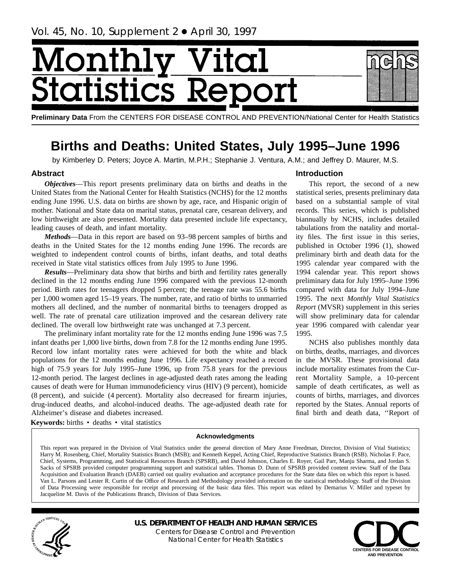# <span id="page-0-0"></span>[onth] tatisi .cs I

**Preliminary Data** From the CENTERS FOR DISEASE CONTROL AND PREVENTION/National Center for Health Statistics

# **Births and Deaths: United States, July 1995–June 1996**

by Kimberley D. Peters; Joyce A. Martin, M.P.H.; Stephanie J. Ventura, A.M.; and Jeffrey D. Maurer, M.S.

# **Abstract**

*Objectives*—This report presents preliminary data on births and deaths in the United States from the National Center for Health Statistics (NCHS) for the 12 months ending June 1996. U.S. data on births are shown by age, race, and Hispanic origin of mother. National and State data on marital status, prenatal care, cesarean delivery, and low birthweight are also presented. Mortality data presented include life expectancy, leading causes of death, and infant mortality.

*Methods*—Data in this report are based on 93–98 percent samples of births and deaths in the United States for the 12 months ending June 1996. The records are weighted to independent control counts of births, infant deaths, and total deaths received in State vital statistics offices from July 1995 to June 1996.

*Results*—Preliminary data show that births and birth and fertility rates generally declined in the 12 months ending June 1996 compared with the previous 12-month period. Birth rates for teenagers dropped 5 percent; the teenage rate was 55.6 births per 1,000 women aged 15–19 years. The number, rate, and ratio of births to unmarried mothers all declined, and the number of nonmarital births to teenagers dropped as well. The rate of prenatal care utilization improved and the cesarean delivery rate declined. The overall low birthweight rate was unchanged at 7.3 percent.

The preliminary infant mortality rate for the 12 months ending June 1996 was 7.5 infant deaths per 1,000 live births, down from 7.8 for the 12 months ending June 1995. Record low infant mortality rates were achieved for both the white and black populations for the 12 months ending June 1996. Life expectancy reached a record high of 75.9 years for July 1995–June 1996, up from 75.8 years for the previous 12-month period. The largest declines in age-adjusted death rates among the leading causes of death were for Human immunodeficiency virus (HIV) (9 percent), homicide (8 percent), and suicide (4 percent). Mortality also decreased for firearm injuries, drug-induced deaths, and alcohol-induced deaths. The age-adjusted death rate for Alzheimer's disease and diabetes increased.

Keywords: births · deaths · vital statistics

# **Introduction**

This report, the second of a new statistical series, presents preliminary data based on a substantial sample of vital records. This series, which is published biannually by NCHS, includes detailed tabulations from the natality and mortality files. The first issue in this series, published in October 1996 (1), showed preliminary birth and death data for the 1995 calendar year compared with the 1994 calendar year. This report shows preliminary data for July 1995–June 1996 compared with data for July 1994–June 1995. The next *Monthly Vital Statistics Report* (MVSR) supplement in this series will show preliminary data for calendar year 1996 compared with calendar year 1995.

NCHS also publishes monthly data on births, deaths, marriages, and divorces in the MVSR. These provisional data include mortality estimates from the Current Mortality Sample, a 10-percent sample of death certificates, as well as counts of births, marriages, and divorces reported by the States. Annual reports of final birth and death data, ''Report of

# **Acknowledgments**

This report was prepared in the Division of Vital Statistics under the general direction of Mary Anne Freedman, Director, Division of Vital Statistics; Harry M. Rosenberg, Chief, Mortality Statistics Branch (MSB); and Kenneth Keppel, Acting Chief, Reproductive Statistics Branch (RSB). Nicholas F. Pace, Chief, Systems, Programming, and Statistical Resources Branch (SPSRB), and David Johnson, Charles E. Royer, Gail Parr, Manju Sharma, and Jordan S. Sacks of SPSRB provided computer programming support and statistical tables. Thomas D. Dunn of SPSRB provided content review. Staff of the Data Acquisition and Evaluation Branch (DAEB) carried out quality evaluation and acceptance procedures for the State data files on which this report is based. Van L. Parsons and Lester R. Curtin of the Office of Research and Methodology provided information on the statistical methodology. Staff of the Division of Data Processing were responsible for receipt and processing of the basic data files. This report was edited by Demarius V. Miller and typeset by Jacqueline M. Davis of the Publications Branch, Division of Data Services.



**U.S. DEPARTMENT OF HEALTH AND HUMAN SERVICES** Centers for Disease Control and Prevention National Center for Health Statistics

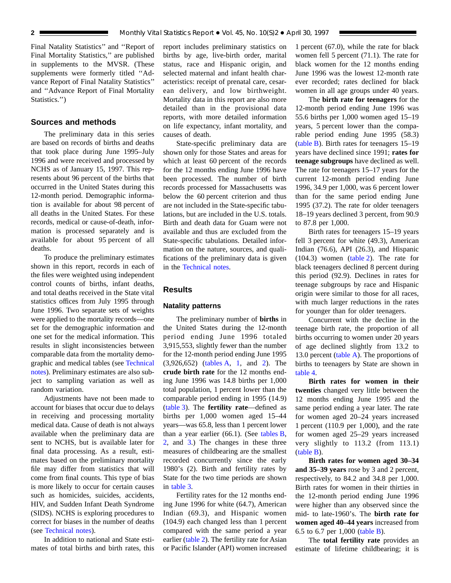<span id="page-1-0"></span>Final Natality Statistics'' and ''Report of Final Mortality Statistics,'' are published in supplements to the MVSR. (These supplements were formerly titled ''Advance Report of Final Natality Statistics'' and ''Advance Report of Final Mortality Statistics.'')

# **Sources and methods**

The preliminary data in this series are based on records of births and deaths that took place during June 1995–July 1996 and were received and processed by NCHS as of January 15, 1997. This represents about 96 percent of the births that occurred in the United States during this 12-month period. Demographic information is available for about 98 percent of all deaths in the United States. For these records, medical or cause-of-death, information is processed separately and is available for about 95 percent of all deaths.

To produce the preliminary estimates shown in this report, records in each of the files were weighted using independent control counts of births, infant deaths, and total deaths received in the State vital statistics offices from July 1995 through June 1996. Two separate sets of weights were applied to the mortality records—one set for the demographic information and one set for the medical information. This results in slight inconsistencies between comparable data from the mortality demographic and medical tables (see [Technical](#page-32-0) [notes\)](#page-32-0). Preliminary estimates are also subject to sampling variation as well as random variation.

Adjustments have not been made to account for biases that occur due to delays in receiving and processing mortality medical data. Cause of death is not always available when the preliminary data are sent to NCHS, but is available later for final data processing. As a result, estimates based on the preliminary mortality file may differ from statistics that will come from final counts. This type of bias is more likely to occur for certain causes such as homicides, suicides, accidents, HIV, and Sudden Infant Death Syndrome (SIDS). NCHS is exploring procedures to correct for biases in the number of deaths (see [Technical notes\)](#page-32-0).

In addition to national and State estimates of total births and birth rates, this report includes preliminary statistics on births by age, live-birth order, marital status, race and Hispanic origin, and selected maternal and infant health characteristics: receipt of prenatal care, cesarean delivery, and low birthweight. Mortality data in this report are also more detailed than in the provisional data reports, with more detailed information on life expectancy, infant mortality, and causes of death.

State-specific preliminary data are shown only for those States and areas for which at least 60 percent of the records for the 12 months ending June 1996 have been processed. The number of birth records processed for Massachusetts was below the 60 percent criterion and thus are not included in the State-specific tabulations, but are included in the U.S. totals. Birth and death data for Guam were not available and thus are excluded from the State-specific tabulations. Detailed information on the nature, sources, and qualifications of the preliminary data is given in the [Technical notes.](#page-32-0)

# **Results**

#### **Natality patterns**

The preliminary number of **births** in the United States during the 12-month period ending June 1996 totaled 3,915,553, slightly fewer than the number for the 12-month period ending June 1995 (3,926,652) [\(tables A,](#page-2-0) [1,](#page-7-0) and [2\)](#page-8-0). The **crude birth rate** for the 12 months ending June 1996 was 14.8 births per 1,000 total population, 1 percent lower than the comparable period ending in 1995 (14.9) [\(table 3\)](#page-9-0). The **fertility rate**—defined as births per 1,000 women aged 15–44 years—was 65.8, less than 1 percent lower than a year earlier  $(66.1)$ . (See [tables B,](#page-2-0) [2,](#page-8-0) and [3.](#page-9-0)) The changes in these three measures of childbearing are the smallest recorded concurrently since the early 1980's (2). Birth and fertility rates by State for the two time periods are shown in [table 3.](#page-9-0)

Fertility rates for the 12 months ending June 1996 for white (64.7), American Indian (69.3), and Hispanic women (104.9) each changed less than 1 percent compared with the same period a year earlier [\(table 2\)](#page-8-0). The fertility rate for Asian or Pacific Islander (API) women increased

1 percent (67.0), while the rate for black women fell 5 percent (71.1). The rate for black women for the 12 months ending June 1996 was the lowest 12-month rate ever recorded; rates declined for black women in all age groups under 40 years.

The **birth rate for teenagers** for the 12-month period ending June 1996 was 55.6 births per 1,000 women aged 15–19 years, 5 percent lower than the comparable period ending June 1995 (58.3) [\(table B\)](#page-2-0). Birth rates for teenagers 15–19 years have declined since 1991; **rates for teenage subgroups** have declined as well. The rate for teenagers 15–17 years for the current 12-month period ending June 1996, 34.9 per 1,000, was 6 percent lower than for the same period ending June 1995 (37.2). The rate for older teenagers 18–19 years declined 3 percent, from 90.9 to 87.8 per 1,000.

Birth rates for teenagers 15–19 years fell 3 percent for white (49.3), American Indian (76.6), API (26.3), and Hispanic (104.3) women [\(table 2\)](#page-8-0). The rate for black teenagers declined 8 percent during this period (92.9). Declines in rates for teenage subgroups by race and Hispanic origin were similar to those for all races, with much larger reductions in the rates for younger than for older teenagers.

Concurrent with the decline in the teenage birth rate, the proportion of all births occurring to women under 20 years of age declined slightly from 13.2 to 13.0 percent [\(table A\).](#page-2-0) The proportions of births to teenagers by State are shown in [table 4.](#page-10-0)

**Birth rates for women in their twenties** changed very little between the 12 months ending June 1995 and the same period ending a year later. The rate for women aged 20–24 years increased 1 percent (110.9 per 1,000), and the rate for women aged 25–29 years increased very slightly to 113.2 (from 113.1) [\(table B\).](#page-2-0)

**Birth rates for women aged 30–34 and 35–39 years** rose by 3 and 2 percent, respectively, to 84.2 and 34.8 per 1,000. Birth rates for women in their thirties in the 12-month period ending June 1996 were higher than any observed since the mid- to late-1960's. The **birth rate for women aged 40–44 years** increased from 6.5 to 6.7 per 1,000 [\(table B\)](#page-2-0).

The **total fertility rate** provides an estimate of lifetime childbearing; it is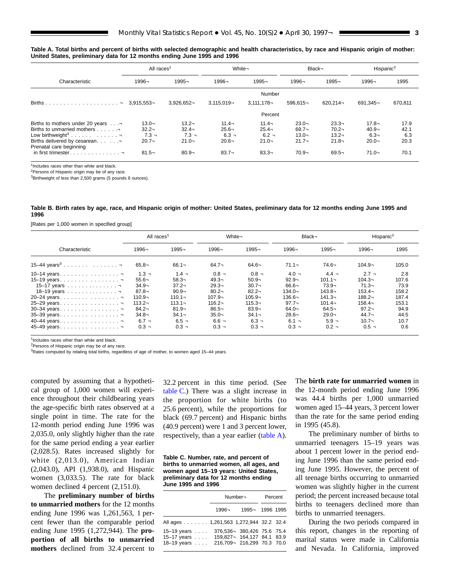<span id="page-2-0"></span>

|  | Table A. Total births and percent of births with selected demographic and health characteristics, by race and Hispanic origin of mother: |  |  |
|--|------------------------------------------------------------------------------------------------------------------------------------------|--|--|
|  | United States, preliminary data for 12 months ending June 1995 and 1996                                                                  |  |  |

|                                                                                                                                                                          | All races <sup>1</sup>                      |                                             | White-                                      |                                             |                                              | Black-                                       | Hispanic <sup>2</sup>                       |                             |
|--------------------------------------------------------------------------------------------------------------------------------------------------------------------------|---------------------------------------------|---------------------------------------------|---------------------------------------------|---------------------------------------------|----------------------------------------------|----------------------------------------------|---------------------------------------------|-----------------------------|
| Characteristic                                                                                                                                                           | 1996¬                                       | 1995-                                       | 1996-                                       | 1995-                                       | 1996-                                        | 1995-                                        | 1996¬                                       | 1995                        |
|                                                                                                                                                                          |                                             |                                             |                                             |                                             |                                              |                                              |                                             |                             |
|                                                                                                                                                                          |                                             | $3.926.652 -$                               | $3.115.019 -$                               | $3.111.178 -$                               | $596.615 -$                                  | $620.214 -$                                  | $691.345 -$                                 | 670,811                     |
|                                                                                                                                                                          |                                             |                                             |                                             | Percent                                     |                                              |                                              |                                             |                             |
| Eirths to mothers under 20 years<br>Firths to unmarried mothers<br>Low birthweight <sup>3</sup> <del>.</del><br>Firths delivered by cesarean.<br>Prenatal care beginning | $13.0 -$<br>$32.2 -$<br>$7.3 -$<br>$20.7 -$ | $13.2 -$<br>$32.4 -$<br>$7.3 -$<br>$21.0 -$ | $11.4 -$<br>$25.6 -$<br>$6.3 -$<br>$20.6 -$ | $11.4 -$<br>$25.4 -$<br>$6.2 -$<br>$21.0 -$ | $23.0 -$<br>$69.7 -$<br>$13.0 -$<br>$21.7 -$ | $23.3 -$<br>$70.2 -$<br>$13.2 -$<br>$21.8 -$ | $17.8 -$<br>$40.9 -$<br>$6.3 -$<br>$20.0 -$ | 17.9<br>42.1<br>6.3<br>20.3 |
| in first trimester. $\ldots$ , $\lnot$                                                                                                                                   | $81.5 -$                                    | $80.9 -$                                    | $83.7 -$                                    | $83.3 -$                                    | $70.9 -$                                     | $69.5 -$                                     | $71.0 -$                                    | 70.1                        |

<sup>1</sup>Includes races other than white and black

<sup>2</sup>Persons of Hispanic origin may be of any race.

<sup>3</sup>Birthweight of less than 2,500 grams (5 pounds 8 ounces).

Table B. Birth rates by age, race, and Hispanic origin of mother: United States, preliminary data for 12 months ending June 1995 and **1996**

[Rates per 1,000 women in specified group]

|                            | All races <sup>1</sup> |           | White-    |           | Black-    |           | Hispanic <sup>2</sup> |       |
|----------------------------|------------------------|-----------|-----------|-----------|-----------|-----------|-----------------------|-------|
| Characteristic             | 1996¬                  | 1995-     | 1996-     | 1995-     | 1996-     | 1995-     | 1996-                 | 1995  |
| 15-44 years <sup>3</sup> 7 | $65.8 -$               | $66.1 -$  | $64.7 -$  | $64.6 -$  | $71.1 -$  | $74.6 -$  | $104.9 -$             | 105.0 |
| 10-14 years                | $1.3 -$                | $1.4 -$   | $0.8 -$   | $0.8 -$   | $4.0 -$   | $4.4 -$   | $2.7 -$               | 2.8   |
| 15-19 years                | $55.6 -$               | $58.3 -$  | $49.3 -$  | $50.9 -$  | $92.9 -$  | $101.1 -$ | $104.3 -$             | 107.6 |
|                            | $34.9 -$               | $37.2 -$  | $29.3 -$  | $30.7 -$  | $66.6 -$  | $73.9 -$  | $71.3 -$              | 73.9  |
|                            | $87.8 -$               | $90.9 -$  | $80.2 -$  | $82.2 -$  | 134.0¬    | $143.8 -$ | $153.4 -$             | 158.2 |
| 20-24 years                | $110.9 -$              | $110.1 -$ | $107.9 -$ | $105.9 -$ | $136.6 -$ | $141.3 -$ | $188.2 -$             | 187.4 |
| 25-29 years                | $113.2 -$              | $113.1 -$ | $116.2 -$ | $115.3 -$ | $97.7 -$  | $101.4 -$ | $158.4 -$             | 153.1 |
|                            | $84.2 -$               | $81.9 -$  | $86.5 -$  | $83.9 -$  | $64.0 -$  | $64.5 -$  | $97.2 -$              | 94.9  |
| 35-39 years                | $34.8 -$               | $34.1 -$  | $35.0 -$  | $34.1 -$  | $28.6 -$  | $29.0 -$  | $44.7 -$              | 44.5  |
| 40-44 years                | $6.7 -$                | $6.5 -$   | $6.6 -$   | $6.3 -$   | $6.1 -$   | $5.9 -$   | $10.7 -$              | 10.7  |
| 45-49 years                | $0.3 -$                | $0.3 -$   | $0.3 -$   | $0.3 -$   | $0.3 -$   | $0.2 -$   | $0.5 -$               | 0.6   |

<sup>1</sup>Includes races other than white and black.

<sup>2</sup>Persons of Hispanic origin may be of any race

<sup>3</sup>Rates computed by relating total births, regardless of age of mother, to women aged 15-44 years.

computed by assuming that a hypothetical group of 1,000 women will experience throughout their childbearing years the age-specific birth rates observed at a single point in time. The rate for the 12-month period ending June 1996 was 2,035.0, only slightly higher than the rate for the same period ending a year earlier (2,028.5). Rates increased slightly for white (2,013.0), American Indian (2,043.0), API (1,938.0), and Hispanic women (3,033.5). The rate for black women declined 4 percent (2,151.0).

The **preliminary number of births to unmarried mothers** for the 12 months ending June 1996 was 1,261,563, 1 percent fewer than the comparable period ending June 1995 (1,272,944). The **proportion of all births to unmarried mothers** declined from 32.4 percent to

32.2 percent in this time period. (See table C.) There was a slight increase in the proportion for white births (to 25.6 percent), while the proportions for black (69.7 percent) and Hispanic births (40.9 percent) were 1 and 3 percent lower, respectively, than a year earlier (table A).

**Table C. Number, rate, and percent of births to unmarried women, all ages, and women aged 15–19 years: United States, preliminary data for 12 months ending June 1995 and 1996**

|                                                                                                           |                             | Number¬        | Percent |  |  |
|-----------------------------------------------------------------------------------------------------------|-----------------------------|----------------|---------|--|--|
|                                                                                                           | 1996¬                       | 1995-1996 1995 |         |  |  |
| All ages 1,261,563 1,272,944 32.2 32.4                                                                    |                             |                |         |  |  |
| 15-19 years 376,536-380,426 75.6 75.4<br>15–17 years $\ldots$ .<br>18-19 years 216,709- 216,299 70.3 70.0 | 159.827 - 164.127 84.1 83.9 |                |         |  |  |

The **birth rate for unmarried women** in the 12-month period ending June 1996 was 44.4 births per 1,000 unmarried women aged 15–44 years, 3 percent lower than the rate for the same period ending in 1995 (45.8).

The preliminary number of births to unmarried teenagers 15–19 years was about 1 percent lower in the period ending June 1996 than the same period ending June 1995. However, the percent of all teenage births occurring to unmarried women was slightly higher in the current period; the percent increased because total births to teenagers declined more than births to unmarried teenagers.

During the two periods compared in this report, changes in the reporting of marital status were made in California and Nevada. In California, improved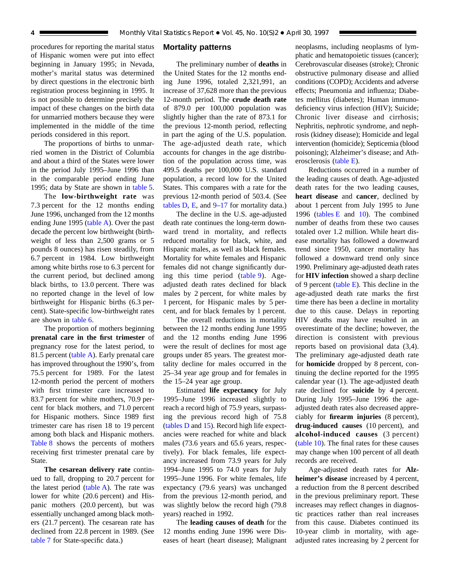<span id="page-3-0"></span>procedures for reporting the marital status of Hispanic women were put into effect beginning in January 1995; in Nevada, mother's marital status was determined by direct questions in the electronic birth registration process beginning in 1995. It is not possible to determine precisely the impact of these changes on the birth data for unmarried mothers because they were implemented in the middle of the time periods considered in this report.

The proportions of births to unmarried women in the District of Columbia and about a third of the States were lower in the period July 1995–June 1996 than in the comparable period ending June 1995; data by State are shown in [table 5.](#page-11-0)

The **low-birthweight rate** was 7.3 percent for the 12 months ending June 1996, unchanged from the 12 months ending June 1995 [\(table A\).](#page-2-0) Over the past decade the percent low birthweight (birthweight of less than 2,500 grams or 5 pounds 8 ounces) has risen steadily, from 6.7 percent in 1984. Low birthweight among white births rose to 6.3 percent for the current period, but declined among black births, to 13.0 percent. There was no reported change in the level of low birthweight for Hispanic births (6.3 percent). State-specific low-birthweight rates are shown in [table 6.](#page-12-0)

The proportion of mothers beginning **prenatal care in the first trimester** of pregnancy rose for the latest period, to 81.5 percent [\(table A\)](#page-2-0). Early prenatal care has improved throughout the 1990's, from 75.5 percent for 1989. For the latest 12-month period the percent of mothers with first trimester care increased to 83.7 percent for white mothers, 70.9 percent for black mothers, and 71.0 percent for Hispanic mothers. Since 1989 first trimester care has risen 18 to 19 percent among both black and Hispanic mothers. [Table 8](#page-14-0) shows the percents of mothers receiving first trimester prenatal care by State.

**The cesarean delivery rate** continued to fall, dropping to 20.7 percent for the latest period [\(table A\)](#page-2-0). The rate was lower for white (20.6 percent) and Hispanic mothers (20.0 percent), but was essentially unchanged among black mothers (21.7 percent). The cesarean rate has declined from 22.8 percent in 1989. (See [table 7](#page-13-0) for State-specific data.)

#### **Mortality patterns**

The preliminary number of **deaths** in the United States for the 12 months ending June 1996, totaled 2,321,991, an increase of 37,628 more than the previous 12-month period. The **crude death rate** of 879.0 per 100,000 population was slightly higher than the rate of 873.1 for the previous 12-month period, reflecting in part the aging of the U.S. population. The age-adjusted death rate, which accounts for changes in the age distribution of the population across time, was 499.5 deaths per 100,000 U.S. standard population, a record low for the United States. This compares with a rate for the previous 12-month period of 503.4. (See tables  $D$ ,  $E$ , and  $9-17$  for mortality data.)

The decline in the U.S. age-adjusted death rate continues the long-term downward trend in mortality, and reflects reduced mortality for black, white, and Hispanic males, as well as black females. Mortality for white females and Hispanic females did not change significantly during this time period [\(table 9\)](#page-15-0). Ageadjusted death rates declined for black males by 2 percent, for white males by 1 percent, for Hispanic males by 5 percent, and for black females by 1 percent.

The overall reductions in mortality between the 12 months ending June 1995 and the 12 months ending June 1996 were the result of declines for most age groups under 85 years. The greatest mortality decline for males occurred in the 25–34 year age group and for females in the 15–24 year age group.

Estimated **life expectancy** for July 1995–June 1996 increased slightly to reach a record high of 75.9 years, surpassing the previous record high of 75.8 [\(tables D](#page-4-0) and [15\)](#page-28-0). Record high life expectancies were reached for white and black males (73.6 years and 65.6 years, respectively). For black females, life expectancy increased from 73.9 years for July 1994–June 1995 to 74.0 years for July 1995–June 1996. For white females, life expectancy (79.6 years) was unchanged from the previous 12-month period, and was slightly below the record high (79.8 years) reached in 1992.

The **leading causes of death** for the 12 months ending June 1996 were Diseases of heart (heart disease); Malignant neoplasms, including neoplasms of lymphatic and hematopoietic tissues (cancer); Cerebrovascular diseases (stroke); Chronic obstructive pulmonary disease and allied conditions (COPD); Accidents and adverse effects; Pneumonia and influenza; Diabetes mellitus (diabetes); Human immunodeficiency virus infection (HIV); Suicide; Chronic liver disease and cirrhosis; Nephritis, nephrotic syndrome, and nephrosis (kidney disease); Homicide and legal intervention (homicide); Septicemia (blood poisoning); Alzheimer's disease; and Atherosclerosis [\(table E\)](#page-4-0).

Reductions occurred in a number of the leading causes of death. Age-adjusted death rates for the two leading causes, **heart disease** and **cancer**, declined by about 1 percent from July 1995 to June 1996 (tables  $E$  and [10\).](#page-21-0) The combined number of deaths from these two causes totaled over 1.2 million. While heart disease mortality has followed a downward trend since 1950, cancer mortality has followed a downward trend only since 1990. Preliminary age-adjusted death rates for **HIV infection** showed a sharp decline of 9 percent (table  $E$ ). This decline in the age-adjusted death rate marks the first time there has been a decline in mortality due to this cause. Delays in reporting HIV deaths may have resulted in an overestimate of the decline; however, the direction is consistent with previous reports based on provisional data (3,4). The preliminary age-adjusted death rate for **homicide** dropped by 8 percent, continuing the decline reported for the 1995 calendar year (1). The age-adjusted death rate declined for **suicide** by 4 percent. During July 1995–June 1996 the ageadjusted death rates also decreased appreciably for **firearm injuries** (8 percent), **drug-induced causes** (10 percent), and **alcohol-induced causes** (3 percent) [\(table 10\)](#page-21-0). The final rates for these causes may change when 100 percent of all death records are received.

Age-adjusted death rates for **Alzheimer's disease** increased by 4 percent, a reduction from the 8 percent described in the previous preliminary report. These increases may reflect changes in diagnostic practices rather than real increases from this cause. Diabetes continued its 10-year climb in mortality, with ageadjusted rates increasing by 2 percent for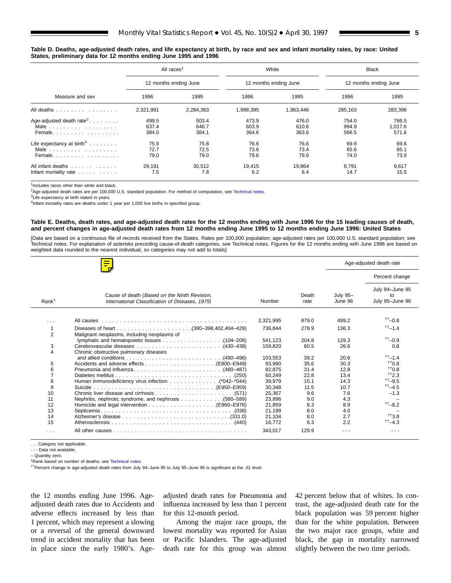<span id="page-4-0"></span>

|  | Table D. Deaths, age-adjusted death rates, and life expectancy at birth, by race and sex and infant mortality rates, by race: United |  |  |  |  |  |  |
|--|--------------------------------------------------------------------------------------------------------------------------------------|--|--|--|--|--|--|
|  | States, preliminary data for 12 months ending June 1995 and 1996                                                                     |  |  |  |  |  |  |

|                                                                                       | All races <sup>1</sup>  |                         |                         | White                   |                         | <b>Black</b>              |  |
|---------------------------------------------------------------------------------------|-------------------------|-------------------------|-------------------------|-------------------------|-------------------------|---------------------------|--|
|                                                                                       |                         | 12 months ending June   |                         | 12 months ending June   | 12 months ending June   |                           |  |
| Measure and sex                                                                       | 1996                    | 1995                    | 1996                    | 1995                    | 1996                    | 1995                      |  |
| All deaths                                                                            | 2.321.991               | 2,284,363               | 1,998,395               | 1.963.446               | 285.163                 | 283,396                   |  |
| Age-adjusted death rate <sup>2</sup><br>Female                                        | 499.5<br>637.4<br>384.0 | 503.4<br>646.7<br>384.1 | 473.9<br>603.9<br>364.6 | 476.0<br>610.6<br>363.6 | 754.0<br>994.9<br>566.5 | 766.5<br>1.017.6<br>571.6 |  |
| Life expectancy at birth <sup>3</sup><br>Male $\ldots \ldots \ldots \ldots$<br>Female | 75.9<br>72.7<br>79.0    | 75.8<br>72.5<br>79.0    | 76.6<br>73.6<br>79.6    | 76.6<br>73.4<br>79.6    | 69.9<br>65.6<br>74.0    | 69.6<br>65.1<br>73.9      |  |
| All infant deaths<br>Infant mortality rate $\ldots$                                   | 29.191<br>7.5           | 30.512<br>7.8           | 19.415<br>6.2           | 19.864<br>6.4           | 8.791<br>14.7           | 9,617<br>15.5             |  |

<sup>1</sup>Includes races other than white and black

<sup>2</sup>Age-adjusted death rates are per 100,000 U.S. standard population. For method of computation, see [Technical notes.](#page-32-0)

<sup>3</sup>Life expectancy at birth stated in years.

<sup>4</sup>Infant mortality rates are deaths under 1 year per 1,000 live births in specified group.

#### **Table E. Deaths, death rates, and age-adjusted death rates for the 12 months ending with June 1996 for the 15 leading causes of death, and percent changes in age-adjusted death rates from 12 months ending June 1995 to 12 months ending June 1996: United States**

[Data are based on a continuous file of records received from the States. Rates per 100,000 population; age-adjusted rates per 100,000 U.S. standard population; see [Technical notes. F](#page-32-0)or explanation of asterisks preceding cause-of-death categories, se[e Technical notes.](#page-32-0) Figures for the 12 months ending with June 1996 are based on weighted data rounded to the nearest individual, so categories may not add to totals]

|                   |                                                                                                                                                                                                                               |           |               |                            | Age-adjusted death rate                  |
|-------------------|-------------------------------------------------------------------------------------------------------------------------------------------------------------------------------------------------------------------------------|-----------|---------------|----------------------------|------------------------------------------|
|                   |                                                                                                                                                                                                                               |           |               |                            | Percent change                           |
| Rank <sup>1</sup> | Cause of death (Based on the Ninth Revision,<br>International Classification of Diseases, 1975).                                                                                                                              | Number    | Death<br>rate | <b>July 95-</b><br>June 96 | July 94-June 95<br>to<br>July 95-June 96 |
| $\cdots$          | All causes experiences in the contract of the contract of the contract of the contract of the contract of the contract of the contract of the contract of the contract of the contract of the contract of the contract of the | 2,321,995 | 879.0         | 499.2                      | $++$ <sub>-0.8</sub>                     |
| 1                 |                                                                                                                                                                                                                               | 736.844   | 278.9         | 136.3                      | $^{++}$ -1.4                             |
| $\overline{2}$    | Malignant neoplasms, including neoplasms of                                                                                                                                                                                   |           |               |                            |                                          |
|                   | Iymphatic and hematopoietic tissues 104-208)                                                                                                                                                                                  | 541.123   | 204.8         | 129.3                      | $^{++}$ -0.9                             |
| 3                 |                                                                                                                                                                                                                               | 159.820   | 60.5          | 26.6                       | 0.8                                      |
| 4                 | Chronic obstructive pulmonary diseases                                                                                                                                                                                        |           |               |                            |                                          |
|                   |                                                                                                                                                                                                                               | 103.553   | 39.2          | 20.6                       | $^{++}$ -1.4                             |
| 5                 |                                                                                                                                                                                                                               | 93.990    | 35.6          | 30.3                       | $+10.8$                                  |
| 6                 |                                                                                                                                                                                                                               | 82.875    | 31.4          | 12.8                       | $^{++}0.8$                               |
| $\overline{7}$    |                                                                                                                                                                                                                               | 60.249    | 22.8          | 13.4                       | $^{++2.3}$                               |
| 8                 |                                                                                                                                                                                                                               | 39,979    | 15.1          | 14.3                       | $++$ <sub>-9.5</sub>                     |
| 9                 |                                                                                                                                                                                                                               | 30.348    | 11.5          | 10.7                       | $^{++}$ -4.5                             |
| 10                |                                                                                                                                                                                                                               | 25,367    | 9.6           | 7.6                        | $-1.3$                                   |
| 11                |                                                                                                                                                                                                                               | 23.896    | 9.0           | 4.3                        |                                          |
| 12                |                                                                                                                                                                                                                               | 21,859    | 8.3           | 8.9                        | $^{++}$ -8.2                             |
| 13                |                                                                                                                                                                                                                               | 21.199    | 8.0           | 4.0                        |                                          |
| 14                |                                                                                                                                                                                                                               | 21,104    | 8.0           | 2.7                        | $+13.8$                                  |
| 15                |                                                                                                                                                                                                                               | 16.772    | 6.3           | 2.2                        | $^{++}$ -4.3                             |
| $\cdots$          |                                                                                                                                                                                                                               | 343,017   | 129.9         |                            |                                          |

. . . Category not applicable.

- - - Data not available.

– Quantity zero.

<sup>1</sup>Rank based on number of deaths; see [Technical notes.](#page-32-0)

††Percent change in age-adjusted death rates from July 94–June 95 to July 95–June 96 is significant at the .01 level.

the 12 months ending June 1996. Ageadjusted death rates due to Accidents and adverse effects increased by less than 1 percent, which may represent a slowing or a reversal of the general downward trend in accident mortality that has been in place since the early 1980's. Age-

adjusted death rates for Pneumonia and influenza increased by less than 1 percent for this 12-month period.

Among the major race groups, the lowest mortality was reported for Asian or Pacific Islanders. The age-adjusted death rate for this group was almost

42 percent below that of whites. In contrast, the age-adjusted death rate for the black population was 59 percent higher than for the white population. Between the two major race groups, white and black, the gap in mortality narrowed slightly between the two time periods.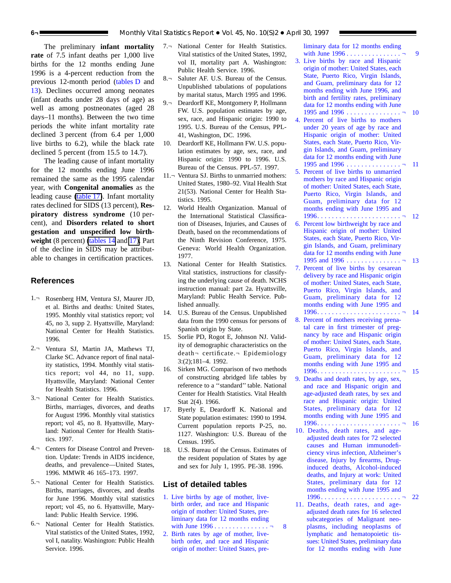The preliminary **infant mortality rate** of 7.5 infant deaths per 1,000 live births for the 12 months ending June 1996 is a 4-percent reduction from the previous 12-month period [\(tables](#page-4-0) D and [13\)](#page-25-0). Declines occurred among neonates (infant deaths under 28 days of age) as well as among postneonates (aged 28 days–11 months). Between the two time periods the white infant mortality rate declined 3 percent (from 6.4 per 1,000 live births to 6.2), while the black rate declined 5 percent (from 15.5 to 14.7).

The leading cause of infant mortality for the 12 months ending June 1996 remained the same as the 1995 calendar year, with **Congenital anomalies** as the leading cause [\(table](#page-31-0) 17). Infant mortality rates declined for SIDS (13 percent), **Respiratory distress syndrome** (10 percent), and **Disorders related to short gestation and unspecified low birthweight** (8 percent) [\(tables](#page-26-0) 14 and [17\).](#page-31-0) Part of the decline in SIDS may be attributable to changes in certification practices.

#### **References**

- 1.¬ Rosenberg HM, Ventura SJ, Maurer JD, et al. Births and deaths: United States, 1995. Monthly vital statistics report; vol 45, no 3, supp 2. Hyattsville, Maryland: National Center for Health Statistics. 1996.
- 2.¬ Ventura SJ, Martin JA, Mathews TJ, Clarke SC. Advance report of final natality statistics, 1994. Monthly vital statistics report; vol 44, no 11, supp. Hyattsville, Maryland: National Center for Health Statistics. 1996.
- 3.¬ National Center for Health Statistics. Births, marriages, divorces, and deaths for August 1996. Monthly vital statistics report; vol 45, no 8. Hyattsville, Maryland: National Center for Health Statistics. 1997.
- 4.¬ Centers for Disease Control and Prevention. Update: Trends in AIDS incidence, deaths, and prevalence—United States, 1996. MMWR 46 165–173. 1997.
- 5.¬ National Center for Health Statistics. Births, marriages, divorces, and deaths for June 1996. Monthly vital statistics report; vol 45, no 6. Hyattsville, Maryland: Public Health Service. 1996.
- 6.¬ National Center for Health Statistics. Vital statistics of the United States, 1992, vol I, natality. Washington: Public Health Service. 1996.
- 7.¬ National Center for Health Statistics. Vital statistics of the United States, 1992, vol II, mortality part A. Washington: Public Health Service. 1996.
- 8.¬ Saluter AF. U.S. Bureau of the Census. Unpublished tabulations of populations by marital status, March 1995 and 1996.
- 9.¬ Deardorff KE, Montgomery P, Hollmann FW. U.S. population estimates by age, sex, race, and Hispanic origin: 1990 to 1995. U.S. Bureau of the Census, PPL-41, Washington, DC. 1996.
- 10. Deardorff KE, Hollmann FW. U.S. population estimates by age, sex, race, and Hispanic origin: 1990 to 1996. U.S. Bureau of the Census. PPL-57. 1997.
- 11.¬ Ventura SJ. Births to unmarried mothers: United States, 1980–92. Vital Health Stat 21(53). National Center for Health Statistics. 1995.
- 12. World Health Organization. Manual of the International Statistical Classification of Diseases, Injuries, and Causes of Death, based on the recommendations of the Ninth Revision Conference, 1975. Geneva: World Health Organization. 1977.
- 13. National Center for Health Statistics. Vital statistics, instructions for classifying the underlying cause of death. NCHS instruction manual: part 2a. Hyattsville, Maryland: Public Health Service. Published annually.
- 14. U.S. Bureau of the Census. Unpublished data from the 1990 census for persons of Spanish origin by State.
- 15. Sorlie PD, Rogot E, Johnson NJ. Validity of demographic characteristics on the death¬ certificate.¬ Epidemiology 3:(2);181–4. 1992.
- 16. Sirken MG. Comparison of two methods of constructing abridged life tables by reference to a ''standard'' table. National Center for Health Statistics. Vital Health Stat 2(4). 1966.
- 17. Byerly E, Deardorff K. National and State population estimates: 1990 to 1994. Current population reports P-25, no. 1127. Washington: U.S. Bureau of the Census. 1995.
- 18. U.S. Bureau of the Census. Estimates of the resident population of States by age and sex for July 1, 1995. PE-38. 1996.

#### **List of detailed tables**

- 1. Live births by age of mother, livebirth order, and race and Hispanic origin of mother: United States, preliminary data for 12 months ending with June 1996 [...............](#page-7-0) ¬ 8
- 2. Birth rates by age of mother, livebirth order, and race and [Hispanic](#page-8-0) origin of mother: United States, pre-

liminary data for 12 months ending with June 1996 . . . . . . . . . . . . . . . . 9

- 3. Live births by race and Hispanic origin of mother: United States, each State, Puerto Rico, Virgin Islands, and Guam, preliminary data for 12 months ending with June 1996, and birth and fertility rates, preliminary data for 12 months ending with June 1995 and 1996 [...............](#page-9-0) ¬ 10
- 4. Percent of live births to mothers under 20 years of age by race and Hispanic origin of mother: United States, each State, Puerto Rico, Virgin Islands, and Guam, preliminary data for 12 months ending with June 1995 and 1996 [...............](#page-10-0) ¬ 11
- 5. Percent of live births to unmarried mothers by race and Hispanic origin of mother: United States, each State, Puerto Rico, Virgin Islands, and Guam, preliminary data for 12 months ending with June 1995 and [1996.......................](#page-11-0) ¬ 12
- 6. Percent low birthweight by race and Hispanic origin of mother: United States, each State, Puerto Rico, Virgin Islands, and Guam, preliminary data for 12 months ending with June 1995 and 1996 [...............](#page-12-0) ¬ 13
- 7. Percent of live births by cesarean delivery by race and Hispanic origin of mother: United States, each State, Puerto Rico, Virgin Islands, and Guam, preliminary data for 12 months ending with June 1995 and [1996.......................](#page-13-0) ¬ 14
- 8. Percent of mothers receiving prenatal care in first trimester of pregnancy by race and Hispanic origin of mother: United States, each State, Puerto Rico, Virgin Islands, and Guam, preliminary data for 12 months ending with June 1995 and [1996.......................](#page-14-0) ¬ 15
- 9. Deaths and death rates, by age, sex, and race and Hispanic origin and age-adjusted death rates, by sex and race and Hispanic origin: United States, preliminary data for 12 months ending with June 1995 and [1996.......................](#page-15-0) ¬ 16
- 10. Deaths, death rates, and ageadjusted death rates for 72 selected causes and Human immunodeficiency virus infection, Alzheimer's disease, Injury by firearms, Druginduced deaths, Alcohol-induced deaths, and Injury at work: United States, preliminary data for 12 months ending with June 1995 and 1996 [......................](#page-21-0) ¬ 22
- 11. Deaths, death rates, and ageadjusted death rates for 16 selected subcategories of Malignant neoplasms, including neoplasms of lymphatic and [hematopoietic](#page-23-0) tissues: United States, preliminary data for 12 months ending with June

<span id="page-5-0"></span>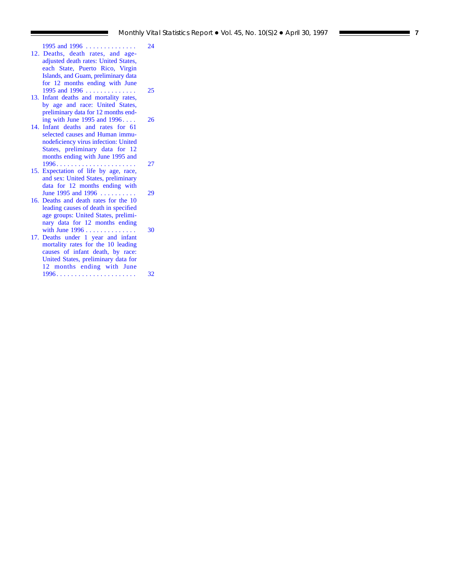- 1995 and 1996 [. . . . . . . . . . . . . . 24](#page-23-0) [12. Deaths, death rates, and age](#page-24-0)adjusted death rates: United States, each State, Puerto Rico, Virgin Islands, and Guam, preliminary data for 12 months ending with June 1995 and 1996 . . . . . . . . . . . . . . . 25
- [13. Infant deaths and mortality rates,](#page-25-0) by age and race: United States, preliminary data for 12 months ending with June 1995 and 1996.... 26
- [14. Infant deaths and rates for 61](#page-26-0) selected causes and Human immunodeficiency virus infection: United States, preliminary data for 12 months ending with June 1995 and 1996 . . . . . . . . . . . . . . . . . . . . . . 27
- [15. Expectation of life by age, race,](#page-28-0) and sex: United States, preliminary data for 12 months ending with June 1995 and 1996 . . . . . . . . . . 29
- [16. Deaths and death rates for the 10](#page-29-0) leading causes of death in specified age groups: United States, preliminary data for 12 months ending with June 1996 . . . . . . . . . . . . . . . . 30
- [17. Deaths under 1 year and infant](#page-31-0) mortality rates for the 10 leading causes of infant death, by race: United States, preliminary data for 12 months ending with June 1996 . . . . . . . . . . . . . . . . . . . . . . 32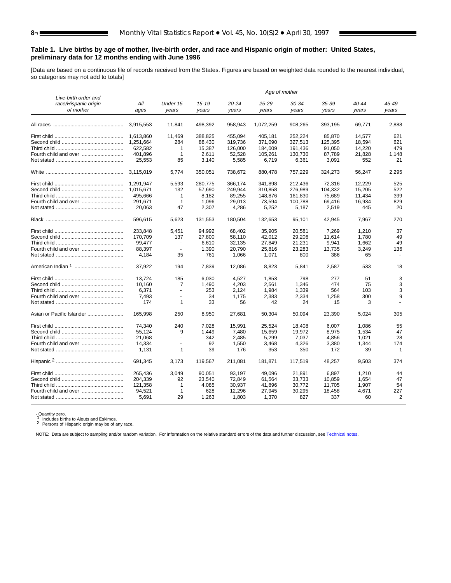# **Table 1. Live births by age of mother, live-birth order, and race and Hispanic origin of mother: United States, preliminary data for 12 months ending with June 1996**

[Data are based on a continuous file of records received from the States. Figures are based on weighted data rounded to the nearest individual, so categories may not add to totals]

|                                                           |             | Age of mother     |                    |                    |                    |                |                |                |                |  |
|-----------------------------------------------------------|-------------|-------------------|--------------------|--------------------|--------------------|----------------|----------------|----------------|----------------|--|
| Live-birth order and<br>race/Hispanic origin<br>of mother | All<br>ages | Under 15<br>years | $15 - 19$<br>years | $20 - 24$<br>years | $25 - 29$<br>years | 30-34<br>years | 35-39<br>years | 40-44<br>years | 45-49<br>years |  |
|                                                           | 3,915,553   | 11,841            | 498,392            | 958,943            | 1,072,259          | 908,265        | 393,195        | 69,771         | 2,888          |  |
|                                                           | 1.613.860   | 11,469            | 388,825            | 455,094            | 405,181            | 252,224        | 85,870         | 14,577         | 621            |  |
|                                                           | 1,251,664   | 284               | 88,430             | 319,736            | 371,090            | 327,513        | 125,395        | 18,594         | 621            |  |
|                                                           | 622.582     | $\mathbf{1}$      | 15.387             | 126,000            | 184.009            | 191.436        | 91,050         | 14,220         | 479            |  |
|                                                           | 401,896     | $\mathbf{1}$      | 2,611              | 52,528             | 105,261            | 130,730        | 87,789         | 21,828         | 1,148          |  |
|                                                           | 25,553      | 85                | 3,140              | 5,585              | 6,719              | 6,361          | 3,091          | 552            | 21             |  |
|                                                           | 3.115.019   | 5.774             | 350,051            | 738.672            | 880,478            | 757,229        | 324,273        | 56.247         | 2,295          |  |
|                                                           | 1.291.947   | 5,593             | 280,775            | 366,174            | 341,898            | 212,436        | 72,316         | 12,229         | 525            |  |
|                                                           | 1.015.671   | 132               | 57,690             | 249.944            | 310,858            | 276.989        | 104,332        | 15,205         | 522            |  |
|                                                           | 495,666     | $\mathbf{1}$      | 8,182              | 89,255             | 148,876            | 161,830        | 75,689         | 11,434         | 399            |  |
|                                                           | 291,671     | 1                 | 1,096              | 29,013             | 73,594             | 100,788        | 69,416         | 16,934         | 829            |  |
|                                                           | 20,063      | 47                | 2,307              | 4,286              | 5,252              | 5,187          | 2,519          | 445            | 20             |  |
|                                                           | 596,615     | 5,623             | 131,553            | 180,504            | 132,653            | 95,101         | 42,945         | 7.967          | 270            |  |
|                                                           | 233.848     | 5,451             | 94,992             | 68,402             | 35,905             | 20,581         | 7,269          | 1,210          | 37             |  |
|                                                           | 170.709     | 137               | 27,800             | 58,110             | 42,012             | 29,206         | 11.614         | 1.780          | 49             |  |
|                                                           | 99,477      | ÷.                | 6,610              | 32,135             | 27,849             | 21,231         | 9,941          | 1,662          | 49             |  |
|                                                           | 88,397      | $\blacksquare$    | 1,390              | 20,790             | 25,816             | 23,283         | 13,735         | 3,249          | 136            |  |
|                                                           | 4.184       | 35                | 761                | 1.066              | 1,071              | 800            | 386            | 65             |                |  |
|                                                           | 37.922      | 194               | 7,839              | 12.086             | 8,823              | 5.841          | 2,587          | 533            | 18             |  |
|                                                           | 13.724      | 185               | 6,030              | 4,527              | 1,853              | 798            | 277            | 51             | 3              |  |
|                                                           | 10,160      | 7                 | 1,490              | 4,203              | 2,561              | 1,346          | 474            | 75             | 3              |  |
|                                                           | 6.371       | $\sim$            | 253                | 2,124              | 1,984              | 1,339          | 564            | 103            | 3              |  |
|                                                           | 7.493       | $\blacksquare$    | 34                 | 1,175              | 2,383              | 2,334          | 1,258          | 300            | 9              |  |
|                                                           | 174         | $\mathbf{1}$      | 33                 | 56                 | 42                 | 24             | 15             | 3              |                |  |
|                                                           | 165.998     | 250               | 8,950              | 27.681             | 50,304             | 50,094         | 23,390         | 5.024          | 305            |  |
|                                                           | 74.340      | 240               | 7.028              | 15.991             | 25,524             | 18,408         | 6.007          | 1.086          | 55             |  |
|                                                           | 55.124      | 9                 | 1.449              | 7.480              | 15,659             | 19.972         | 8,975          | 1.534          | 47             |  |
|                                                           | 21,068      | $\blacksquare$    | 342                | 2,485              | 5,299              | 7,037          | 4,856          | 1,021          | 28             |  |
| Fourth child and over                                     | 14,334      | ÷.                | 92                 | 1,550              | 3,468              | 4,326          | 3,380          | 1,344          | 174            |  |
|                                                           | 1,131       | 1                 | 39                 | 176                | 353                | 350            | 172            | 39             | $\mathbf{1}$   |  |
|                                                           | 691.345     | 3.173             | 119,567            | 211,081            | 181.871            | 117.519        | 48.257         | 9.503          | 374            |  |
|                                                           | 265.436     | 3.049             | 90.051             | 93.197             | 49.096             | 21,891         | 6.897          | 1.210          | 44             |  |
|                                                           | 204,339     | 92                | 23,540             | 72,849             | 61,564             | 33,733         | 10,859         | 1,654          | 47             |  |
|                                                           | 121,358     | 1                 | 4.085              | 30,937             | 41,896             | 30,772         | 11,705         | 1.907          | 54             |  |
|                                                           | 94,521      | $\mathbf{1}$      | 628                | 12,296             | 27,945             | 30,295         | 18,458         | 4.671          | 227            |  |
|                                                           | 5,691       | 29                | 1,263              | 1,803              | 1,370              | 827            | 337            | 60             | 2              |  |

- Quantity zero.<br>1 Includes births to Aleuts and Eskimos.<br>2 Persons of Hispanic origin may be of any race.

NOTE: Data are subject to sampling and/or random variation. For information on the relative standard errors of the data and further discussion, see [Technical notes.](#page-32-0)

<span id="page-7-0"></span>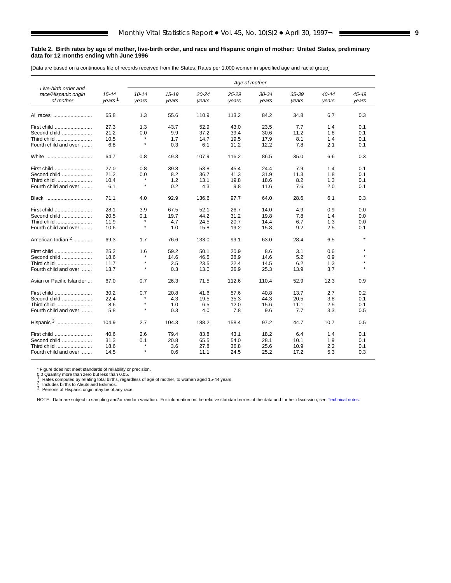#### <span id="page-8-0"></span>**Table 2. Birth rates by age of mother, live-birth order, and race and Hispanic origin of mother: United States, preliminary data for 12 months ending with June 1996**

[Data are based on a continuous file of records received from the States. Rates per 1,000 women in specified age and racial group]

|                                              |                    | Age of mother |           |           |           |       |       |           |       |
|----------------------------------------------|--------------------|---------------|-----------|-----------|-----------|-------|-------|-----------|-------|
| Live-birth order and<br>race/Hispanic origin | $15 - 44$          | $10 - 14$     | $15 - 19$ | $20 - 24$ | $25 - 29$ | 30-34 | 35-39 | $40 - 44$ | 45-49 |
| of mother                                    | years <sup>1</sup> | years         | years     | years     | years     | years | years | years     | years |
| All races                                    | 65.8               | 1.3           | 55.6      | 110.9     | 113.2     | 84.2  | 34.8  | 6.7       | 0.3   |
| First child                                  | 27.3               | 1.3           | 43.7      | 52.9      | 43.0      | 23.5  | 7.7   | 1.4       | 0.1   |
| Second child                                 | 21.2               | 0.0           | 9.9       | 37.2      | 39.4      | 30.6  | 11.2  | 1.8       | 0.1   |
| Third child                                  | 10.5               | $\star$       | 1.7       | 14.7      | 19.5      | 17.9  | 8.1   | 1.4       | 0.1   |
| Fourth child and over                        | 6.8                | $\star$       | 0.3       | 6.1       | 11.2      | 12.2  | 7.8   | 2.1       | 0.1   |
| White                                        | 64.7               | 0.8           | 49.3      | 107.9     | 116.2     | 86.5  | 35.0  | 6.6       | 0.3   |
| First child                                  | 27.0               | 0.8           | 39.8      | 53.8      | 45.4      | 24.4  | 7.9   | 1.4       | 0.1   |
| Second child                                 | 21.2               | 0.0           | 8.2       | 36.7      | 41.3      | 31.9  | 11.3  | 1.8       | 0.1   |
| Third child                                  | 10.4               | $\star$       | 1.2       | 13.1      | 19.8      | 18.6  | 8.2   | 1.3       | 0.1   |
| Fourth child and over                        | 6.1                | $\star$       | 0.2       | 4.3       | 9.8       | 11.6  | 7.6   | 2.0       | 0.1   |
| Black                                        | 71.1               | 4.0           | 92.9      | 136.6     | 97.7      | 64.0  | 28.6  | 6.1       | 0.3   |
| First child                                  | 28.1               | 3.9           | 67.5      | 52.1      | 26.7      | 14.0  | 4.9   | 0.9       | 0.0   |
| Second child                                 | 20.5               | 0.1           | 19.7      | 44.2      | 31.2      | 19.8  | 7.8   | 1.4       | 0.0   |
| Third child                                  | 11.9               | $\star$       | 4.7       | 24.5      | 20.7      | 14.4  | 6.7   | 1.3       | 0.0   |
| Fourth child and over                        | 10.6               | $\star$       | 1.0       | 15.8      | 19.2      | 15.8  | 9.2   | 2.5       | 0.1   |
| American Indian <sup>2</sup>                 | 69.3               | 1.7           | 76.6      | 133.0     | 99.1      | 63.0  | 28.4  | 6.5       |       |
| First child                                  | 25.2               | 1.6           | 59.2      | 50.1      | 20.9      | 8.6   | 3.1   | 0.6       |       |
| Second child                                 | 18.6               | $\star$       | 14.6      | 46.5      | 28.9      | 14.6  | 5.2   | 0.9       |       |
| Third child                                  | 11.7               | $\star$       | 2.5       | 23.5      | 22.4      | 14.5  | 6.2   | 1.3       |       |
| Fourth child and over                        | 13.7               | $\star$       | 0.3       | 13.0      | 26.9      | 25.3  | 13.9  | 3.7       |       |
| Asian or Pacific Islander                    | 67.0               | 0.7           | 26.3      | 71.5      | 112.6     | 110.4 | 52.9  | 12.3      | 0.9   |
| First child                                  | 30.2               | 0.7           | 20.8      | 41.6      | 57.6      | 40.8  | 13.7  | 2.7       | 0.2   |
| Second child                                 | 22.4               |               | 4.3       | 19.5      | 35.3      | 44.3  | 20.5  | 3.8       | 0.1   |
| Third child                                  | 8.6                | $\star$       | 1.0       | 6.5       | 12.0      | 15.6  | 11.1  | 2.5       | 0.1   |
| Fourth child and over                        | 5.8                | $\star$       | 0.3       | 4.0       | 7.8       | 9.6   | 7.7   | 3.3       | 0.5   |
| Hispanic 3                                   | 104.9              | 2.7           | 104.3     | 188.2     | 158.4     | 97.2  | 44.7  | 10.7      | 0.5   |
| First child                                  | 40.6               | 2.6           | 79.4      | 83.8      | 43.1      | 18.2  | 6.4   | 1.4       | 0.1   |
| Second child                                 | 31.3               | 0.1           | 20.8      | 65.5      | 54.0      | 28.1  | 10.1  | 1.9       | 0.1   |
| Third child                                  | 18.6               | $\star$       | 3.6       | 27.8      | 36.8      | 25.6  | 10.9  | 2.2       | 0.1   |
| Fourth child and over                        | 14.5               | $\star$       | 0.6       | 11.1      | 24.5      | 25.2  | 17.2  | 5.3       | 0.3   |

\* Figure does not meet standards of reliability or precision.<br>
0.0 Quantity more than zero but less than 0.05.<br>
1 Rates computed by relating total births, regardless of age of mother, to women aged 15-44 years.<br>
2 Includes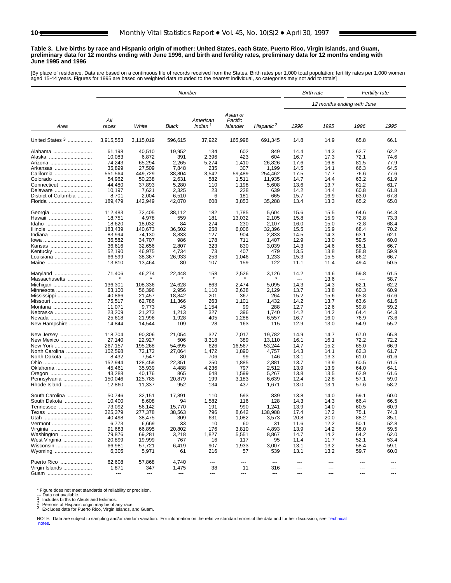#### <span id="page-9-0"></span>**Table 3. Live births by race and Hispanic origin of mother: United States, each State, Puerto Rico, Virgin Islands, and Guam, preliminary data for 12 months ending with June 1996, and birth and fertility rates, preliminary data for 12 months ending with June 1995 and 1996**

[By place of residence. Data are based on a continuous file of records received from the States. Birth rates per 1,000 total population; fertility rates per 1,000 women<br>aged 15-44 years. Figures for 1995 are based on weigh

|                        | Number            |                  |               |                     |                     |                       |                | <b>Birth rate</b><br>Fertility rate |                |                |
|------------------------|-------------------|------------------|---------------|---------------------|---------------------|-----------------------|----------------|-------------------------------------|----------------|----------------|
|                        |                   |                  |               |                     |                     |                       |                | 12 months ending with June          |                |                |
|                        | All               |                  |               | American            | Asian or<br>Pacific |                       |                |                                     |                |                |
| Area                   | races             | White            | Black         | Indian <sup>1</sup> | Islander            | Hispanic <sup>2</sup> | 1996           | 1995                                | 1996           | 1995           |
| United States $3$      | 3.915.553         | 3,115,019        | 596,615       | 37,922              | 165,998             | 691,345               | 14.8           | 14.9                                | 65.8           | 66.1           |
| Alabama                | 61,198            | 40,510           | 19,952        | 134                 | 602                 | 849                   | 14.4           | 14.3                                | 62.7           | 62.2           |
| Alaska                 | 10,083            | 6,872            | 391           | 2,396               | 423                 | 604                   | 16.7           | 17.3                                | 72.1           | 74.6           |
| Arizona                | 74,243            | 65,294           | 2,265         | 5,274               | 1,410               | 26,826                | 17.6           | 16.8                                | 81.5           | 77.9           |
| Arkansas               | 35,899            | 27,509           | 7,848         | 235                 | 307                 | 1,199                 | 14.5           | 14.1                                | 66.3           | 64.5           |
| California             | 551,564           | 449,729          | 38,804        | 3,542               | 59,489              | 254,462               | 17.5           | 17.7                                | 76.6           | 77.6           |
| Colorado               | 54,962            | 50,238           | 2,631         | 582                 | 1,511               | 11,935                | 14.7           | 14.4                                | 63.2           | 61.9           |
| Connecticut            | 44,480            | 37,893           | 5,280         | 110                 | 1,198               | 5,608                 | 13.6           | 13.7                                | 61.2           | 61.7           |
| Delaware               | 10,197            | 7,621            | 2,325         | 23                  | 228                 | 639                   | 14.2           | 14.4                                | 60.8           | 61.8           |
| District of Columbia   | 8,701             | 2,004            | 6,510         | 6                   | 181                 | 665                   | 15.7           | 16.9                                | 63.0           | 67.8           |
| Florida                | 189,479           | 142,949          | 42,070        | 608                 | 3,853               | 35,288                | 13.4           | 13.3                                | 65.2           | 65.0           |
| Georgia                | 112,483           | 72,405           | 38,112        | 182                 | 1,785               | 5,604                 | 15.6           | 15.5                                | 64.6           | 64.3           |
| Hawaii                 | 18,751            | 4,978            | 559           | 181                 | 13,032              | 2,105                 | 15.8           | 15.9                                | 72.8           | 73.3           |
| Idaho                  | 18,620            | 18,032           | 84            | 274                 | 230                 | 2,107                 | 16.0           | 15.0                                | 72.8           | 68.4           |
| Illinois               | 183,439           | 140.673          | 36,502        | 258                 | 6,006               | 32,396                | 15.5           | 15.9                                | 68.4           | 70.2           |
| Indiana                | 83,994            | 74.130           | 8,833         | 127                 | 904                 | 2,833                 | 14.5           | 14.3                                | 63.1           | 62.1           |
|                        | 36,582            | 34.707           | 986           | 178                 | 711                 | 1,407                 | 12.9           | 13.0                                | 59.5           | 60.0           |
| Kansas                 | 36,616            | 32.656           | 2,807         | 323                 | 830                 | 3,039                 | 14.3           | 14.6                                | 65.1           | 66.7           |
| Kentucky               | 52,190            | 46,975           | 4,734         | 73                  | 407                 | 479                   | 13.5           | 13.8                                | 58.8           | 59.9           |
| Louisiana              | 66,599            | 38,367           | 26,933        | 253                 | 1,046               | 1,233                 | 15.3           | 15.5                                | 66.2           | 66.7           |
| Maine                  | 13,810            | 13,464           | 80            | 107                 | 159                 | 122                   | 11.1           | 11.4                                | 49.4           | 50.5           |
| Maryland               | 71,406            | 46,274           | 22,448        | 158                 | 2,526               | 3,126                 | 14.2           | 14.6                                | 59.8           | 61.5           |
| Massachusetts          |                   |                  |               |                     |                     |                       | $\overline{a}$ | 13.6                                | ---            | 58.7           |
| Michigan               | 136,301           | 108.336          | 24,628        | 863                 | 2,474               | 5,095                 | 14.3           | 14.3                                | 62.1           | 62.2           |
| Minnesota              | 63,100            | 56,396           | 2,956         | 1,110               | 2,638               | 2,129                 | 13.7           | 13.8                                | 60.3           | 60.9           |
| Mississippi            | 40,866            | 21,457           | 18,842        | 201                 | 367                 | 264                   | 15.2           | 15.6                                | 65.8           | 67.6           |
| Missouri               | 75,517            | 62,786           | 11,366        | 263                 | 1,101               | 1,432                 | 14.2           | 13.7                                | 63.6           | 61.6<br>59.2   |
| Montana                | 11,071            | 9,773            | 45            | 1,154               | 99                  | 288                   | 12.7           | 12.6                                | 59.8           |                |
| Nebraska               | 23,209            | 21,273           | 1,213         | 327                 | 396                 | 1,740                 | 14.2           | 14.2                                | 64.4           | 64.3           |
| Nevada                 | 25,618            | 21,996           | 1,928         | 405                 | 1,288               | 6,557                 | 16.7           | 16.0                                | 76.9           | 73.6           |
| New Hampshire          | 14,844            | 14,544           | 109           | 28                  | 163                 | 115                   | 12.9           | 13.0                                | 54.9           | 55.2           |
| New Jersey             | 118,704<br>27,140 | 90,306<br>22,927 | 21,054<br>506 | 327<br>3,318        | 7,017<br>389        | 19,782<br>13,110      | 14.9<br>16.1   | 14.7<br>16.1                        | 67.0<br>72.2   | 65.8<br>72.2   |
| New Mexico<br>New York | 267,157           | 195,268          | 54,695        | 626                 | 16,567              | 53,244                | 14.7           | 15.2                                | 65.0           | 66.9           |
| North Carolina         | 102,598           | 72,172           | 27,064        | 1,472               | 1,890               | 4,757                 | 14.3           | 14.1                                | 62.3           | 61.7           |
| North Dakota           | 8,432             | 7,547            | 80            | 706                 | 99                  | 146                   | 13.1           | 13.3                                | 61.0           | 61.6           |
|                        | 152,944           | 128,458          | 22,351        | 250                 | 1,885               | 2,881                 | 13.7           | 13.9                                | 60.5           | 61.5           |
| Oklahoma               | 45,461            | 35,939           | 4,488         | 4,236               | 797                 | 2,512                 | 13.9           | 13.9                                | 64.0           | 64.1           |
|                        | 43,288            | 40,176           | 865           | 648                 | 1,599               | 5,267                 | 13.8           | 13.5                                | 62.9           | 61.6           |
| Oregon<br>Pennsylvania | 150,046           | 125,785          | 20,879        | 199                 | 3,183               | 6,639                 | 12.4           | 12.8                                | 57.1           | 59.0           |
| Rhode Island           | 12,860            | 11,337           | 952           | 134                 | 437                 | 1,671                 | 13.0           | 13.1                                | 57.6           | 58.2           |
| South Carolina         | 50,746            | 32,151           | 17,891        | 110                 | 593                 | 839                   | 13.8           | 14.0                                | 59.1           | 60.0           |
| South Dakota           | 10,400            | 8,608            | 94            | 1,582               | 116                 | 128                   | 14.3           | 14.3                                | 66.4           | 66.5           |
| Tennessee              | 73,092            | 56,142           | 15,770        | 191                 | 990                 | 1,241                 | 13.9           | 14.0                                | 60.5           | 60.9           |
| Texas                  | 325,379           | 277,378          | 38,563        | 796                 | 8,642               | 138,988               | 17.4           | 17.2                                | 75.1           | 74.3           |
| Utah                   | 40,498            | 38,475           | 309           | 631                 | 1,082               | 3,573                 | 20.8           | 20.0                                | 88.2           | 85.1           |
| Vermont                | 6,773             | 6,669            | 33            | 10                  | 60                  | 31                    | 11.6           | 12.2                                | 50.1           | 52.8           |
| Virginia               | 91,683            | 66,895           | 20,802        | 176                 | 3,810               | 4,893                 | 13.9           | 14.2                                | 58.0           | 59.5           |
| Washington             | 79,876            | 69,281           | 3,218         | 1,827               | 5,551               | 8,867                 | 14.7           | 14.2                                | 64.2           | 62.0           |
| West Virginia          | 20,899            | 19,999           | 767           | 16                  | 117                 | 95                    | 11.4           | 11.7                                | 52.1           | 53.4           |
| Wisconsin              | 66,981            | 57,721           | 6,419         | 907                 | 1,933               | 3,007                 | 13.1           | 13.2                                | 58.4           | 59.1           |
| Wyoming                | 6,305             | 5,971            | 61            | 216                 | 57                  | 539                   | 13.1           | 13.2                                | 59.7           | 60.0           |
| Puerto Rico            | 62,608            | 57,868           | 4,740         | ---                 | $\overline{a}$      | $---$                 | $\overline{a}$ | $\overline{\phantom{a}}$            | $\overline{a}$ | $---$          |
| Virgin Islands         | 1,871             | 347              | 1,475         | 38                  | 11                  | 316                   | $---$          | ---                                 | ---            | $---$          |
| Guam                   | ---               | ---              |               | $\cdots$            | ---                 | ---                   | ---            | ---                                 | ---            | $\overline{a}$ |

\* Figure does not meet standards of reliability or precision.<br>--- Data not available.<br>1 Includes births to Aleuts and Eskimos.<br>2 Persons of Hispanic origin may be of any race.<br>3 Excludes data for Puerto Rico, Virgin Island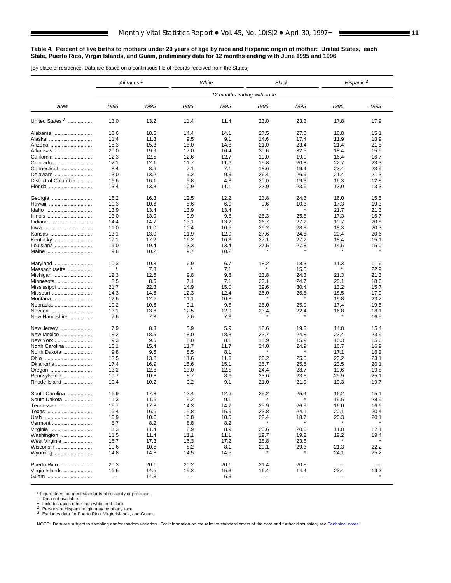#### <span id="page-10-0"></span>**Table 4. Percent of live births to mothers under 20 years of age by race and Hispanic origin of mother: United States, each State, Puerto Rico, Virgin Islands, and Guam, preliminary data for 12 months ending with June 1995 and 1996**

[By place of residence. Data are based on a continuous file of records received from the States]

|                      | All races <sup>1</sup> |      | White |                            |      | Black   | Hispanic <sup>2</sup>    |                          |
|----------------------|------------------------|------|-------|----------------------------|------|---------|--------------------------|--------------------------|
|                      |                        |      |       | 12 months ending with June |      |         |                          |                          |
| Area                 | 1996                   | 1995 | 1996  | 1995                       | 1996 | 1995    | 1996                     | 1995                     |
| United States 3      | 13.0                   | 13.2 | 11.4  | 11.4                       | 23.0 | 23.3    | 17.8                     | 17.9                     |
| Alabama              | 18.6                   | 18.5 | 14.4  | 14.1                       | 27.5 | 27.5    | 16.8                     | 15.1                     |
| Alaska               | 11.4                   | 11.3 | 9.5   | 9.1                        | 14.6 | 17.4    | 11.9                     | 13.9                     |
| Arizona              | 15.3                   | 15.3 | 15.0  | 14.8                       | 21.0 | 23.4    | 21.4                     | 21.5                     |
| Arkansas             | 20.0                   | 19.9 | 17.0  | 16.4                       | 30.6 | 32.3    | 18.4                     | 15.9                     |
| California           | 12.3                   | 12.5 | 12.6  | 12.7                       | 19.0 | 19.0    | 16.4                     | 16.7                     |
| Colorado             | 12.1                   | 12.1 | 11.7  | 11.6                       | 19.8 | 20.8    | 22.7                     | 23.3                     |
| Connecticut          | 8.4                    | 8.6  | 7.1   | 7.1                        | 18.6 | 19.4    | 23.4                     | 23.9                     |
| Delaware             | 13.0                   | 13.2 | 9.2   | 9.3                        | 26.4 | 26.9    | 21.4                     | 21.3                     |
| District of Columbia | 16.6                   | 16.1 | 6.8   | 4.8                        | 20.0 | 19.3    | 16.3                     | 12.8                     |
| Florida              | 13.4                   | 13.8 | 10.9  | 11.1                       | 22.9 | 23.6    | 13.0                     | 13.3                     |
|                      |                        |      |       |                            |      |         |                          |                          |
| Georgia              | 16.2                   | 16.3 | 12.5  | 12.2                       | 23.8 | 24.3    | 16.0                     | 15.6                     |
| Hawaii               | 10.3                   | 10.6 | 5.6   | 6.0                        | 9.6  | 10.3    | 17.3                     | 19.3                     |
| Idaho                | 13.9                   | 13.4 | 13.9  | 13.4                       |      | $\star$ | 21.7                     | 21.3                     |
| Illinois             | 13.0                   | 13.0 | 9.9   | 9.8                        | 26.3 | 25.8    | 17.3                     | 16.7                     |
| Indiana              | 14.4                   | 14.7 | 13.1  | 13.2                       | 26.7 | 27.2    | 19.7                     | 20.8                     |
| lowa                 | 11.0                   | 11.0 | 10.4  | 10.5                       | 29.2 | 28.8    | 18.3                     | 20.3                     |
| Kansas               | 13.1                   | 13.0 | 11.9  | 12.0                       | 27.6 | 24.8    | 20.4                     | 20.6                     |
| Kentucky             | 17.1                   | 17.2 | 16.2  | 16.3                       | 27.1 | 27.2    | 18.4                     | 15.1                     |
| Louisiana            | 19.0                   | 19.4 | 13.3  | 13.4                       | 27.5 | 27.8    | 14.5                     | 15.0                     |
| Maine                | 9.8                    | 10.2 | 9.7   | 10.2                       |      |         |                          |                          |
| Maryland             | 10.3                   | 10.3 | 6.9   | 6.7                        | 18.2 | 18.3    | 11.3                     | 11.6                     |
| Massachusetts        |                        | 7.8  |       | 7.1                        |      | 15.5    |                          | 22.9                     |
| Michigan             | 12.3                   | 12.6 | 9.8   | 9.8                        | 23.8 | 24.3    | 21.3                     | 21.3                     |
| Minnesota            | 8.5                    | 8.5  | 7.1   | 7.1                        | 23.1 | 24.7    | 20.1                     | 18.6                     |
| Mississippi          | 21.7                   | 22.3 | 14.9  | 15.0                       | 29.6 | 30.4    | 13.2                     | 15.7                     |
| Missouri             | 14.3                   | 14.6 | 12.3  | 12.4                       | 26.0 | 26.8    | 18.5                     | 17.0                     |
| Montana              | 12.6                   | 12.6 | 11.1  | 10.8                       |      |         | 19.8                     | 23.2                     |
| Nebraska             | 10.2                   | 10.6 | 9.1   | 9.5                        | 26.0 | 25.0    | 17.4                     | 19.5                     |
| Nevada               | 13.1                   | 13.6 | 12.5  | 12.9                       | 23.4 | 22.4    | 16.8                     | 18.1                     |
| New Hampshire        | 7.6                    | 7.3  | 7.6   | 7.3                        |      |         |                          | 16.5                     |
|                      |                        |      |       |                            |      |         |                          |                          |
| New Jersey           | 7.9                    | 8.3  | 5.9   | 5.9                        | 18.6 | 19.3    | 14.8                     | 15.4                     |
| New Mexico           | 18.2                   | 18.5 | 18.0  | 18.3                       | 23.7 | 24.8    | 23.4                     | 23.9                     |
| New York             | 9.3                    | 9.5  | 8.0   | 8.1                        | 15.9 | 15.9    | 15.3                     | 15.6                     |
| North Carolina       | 15.1                   | 15.4 | 11.7  | 11.7                       | 24.0 | 24.9    | 16.7                     | 16.9                     |
| North Dakota         | 9.8                    | 9.5  | 8.5   | 8.1                        |      |         | 17.1                     | 16.2                     |
| Ohio                 | 13.5                   | 13.8 | 11.6  | 11.8                       | 25.2 | 25.5    | 23.2                     | 23.1                     |
| Oklahoma             | 17.4                   | 16.9 | 15.6  | 15.1                       | 26.7 | 25.6    | 20.5                     | 20.1                     |
| Oregon               | 13.2                   | 12.8 | 13.0  | 12.5                       | 24.4 | 28.7    | 19.6                     | 19.8                     |
| Pennsylvania         | 10.7                   | 10.8 | 8.7   | 8.6                        | 23.6 | 23.8    | 25.9                     | 25.1                     |
| Rhode Island         | 10.4                   | 10.2 | 9.2   | 9.1                        | 21.0 | 21.9    | 19.3                     | 19.7                     |
| South Carolina       | 16.9                   | 17.3 | 12.4  | 12.6                       | 25.2 | 25.4    | 16.2                     | 15.1                     |
| South Dakota         | 11.3                   | 11.6 | 9.2   | 9.1                        |      |         | 19.5                     | 28.9                     |
| Tennessee            | 16.7                   | 17.3 | 14.3  | 14.7                       | 25.9 | 26.9    | 16.0                     | 16.6                     |
| Texas                | 16.4                   | 16.6 | 15.8  | 15.9                       | 23.8 | 24.1    | 20.1                     | 20.4                     |
| Utah                 | 10.9                   | 10.6 | 10.8  | 10.5                       | 22.4 | 18.7    | 20.3                     | 20.1                     |
| Vermont              | 8.7                    | 8.2  | 8.8   | 8.2                        |      |         |                          |                          |
| Virginia             | 11.3                   | 11.4 | 8.9   | 8.9                        | 20.6 | 20.5    | 11.8                     | 12.1                     |
|                      |                        |      |       |                            |      |         |                          |                          |
| Washington           | 11.5                   | 11.4 | 11.1  | 11.1                       | 19.7 | 19.2    | 19.2                     | 19.4                     |
| West Virginia        | 16.7                   | 17.3 | 16.3  | 17.2                       | 28.8 | 23.5    |                          |                          |
| Wisconsin            | 10.6                   | 10.5 | 8.2   | 8.1                        | 29.1 | 29.3    | 21.3                     | 22.2                     |
| Wyoming              | 14.8                   | 14.8 | 14.5  | 14.5                       |      |         | 24.1                     | 25.2                     |
| Puerto Rico          | 20.3                   | 20.1 | 20.2  | 20.1                       | 21.4 | 20.8    | $\hspace{0.05cm} \ldots$ | $\hspace{0.05cm} \ldots$ |
| Virgin Islands       | 16.6                   | 14.5 | 19.3  | 15.3                       | 16.4 | 14.4    | 23.4                     | 19.2                     |
| Guam                 | ---                    | 14.3 | ---   | 5.3                        | ---  | ---     | ---                      |                          |

\* Figure does not meet standards of reliability or precision.<br>--- Data not available.<br>1 Includes races other than white and black.<br>2 Persons of Hispanic origin may be of any race.<br>3 Excludes data for Puerto Rico, Virgin Is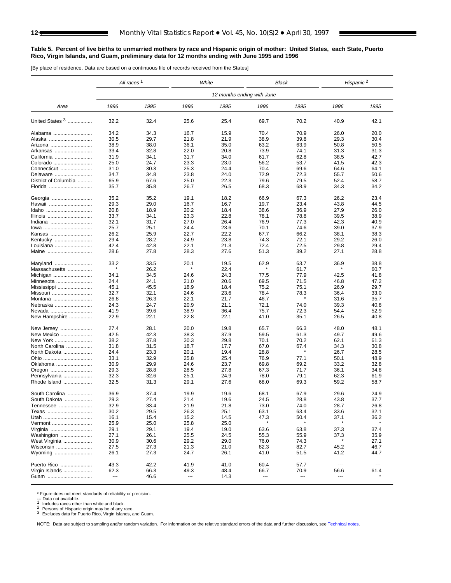#### <span id="page-11-0"></span>**Table 5. Percent of live births to unmarried mothers by race and Hispanic origin of mother: United States, each State, Puerto Rico, Virgin Islands, and Guam, preliminary data for 12 months ending with June 1995 and 1996**

[By place of residence. Data are based on a continuous file of records received from the States]

|                      | All races <sup>1</sup>   |      | White                 |                            | Black |      | Hispanic <sup>2</sup>         |                               |
|----------------------|--------------------------|------|-----------------------|----------------------------|-------|------|-------------------------------|-------------------------------|
|                      |                          |      |                       | 12 months ending with June |       |      |                               |                               |
| Area                 | 1996                     | 1995 | 1996                  | 1995                       | 1996  | 1995 | 1996                          | 1995                          |
| United States 3      | 32.2                     | 32.4 | 25.6                  | 25.4                       | 69.7  | 70.2 | 40.9                          | 42.1                          |
| Alabama              | 34.2                     | 34.3 | 16.7                  | 15.9                       | 70.4  | 70.9 | 26.0                          | 20.0                          |
| Alaska               | 30.5                     | 29.7 | 21.8                  | 21.9                       | 38.9  | 39.8 | 29.3                          | 30.4                          |
| Arizona              | 38.9                     | 38.0 | 36.1                  | 35.0                       | 63.2  | 63.9 | 50.8                          | 50.5                          |
| Arkansas             | 33.4                     | 32.8 | 22.0                  | 20.8                       | 73.9  | 74.1 | 31.3                          | 31.3                          |
| California           | 31.9                     | 34.1 | 31.7                  | 34.0                       | 61.7  | 62.8 | 38.5                          | 42.7                          |
| Colorado             | 25.0                     | 24.7 | 23.3                  | 23.0                       | 56.2  | 53.7 | 41.5                          | 42.3                          |
| Connecticut          | 31.0                     | 30.3 | 25.3                  | 24.4                       | 70.4  | 69.6 | 64.6                          | 64.1                          |
| Delaware             | 34.7                     | 34.8 | 23.8                  | 24.0                       | 72.9  | 72.3 | 55.7                          | 50.6                          |
| District of Columbia | 65.9                     | 67.6 | 25.0                  | 22.3                       | 79.6  | 79.5 | 52.4                          | 58.7                          |
| Florida              | 35.7                     | 35.8 | 26.7                  | 26.5                       | 68.3  | 68.9 | 34.3                          | 34.2                          |
|                      |                          |      |                       |                            |       |      |                               |                               |
| Georgia              | 35.2                     | 35.2 | 19.1                  | 18.2                       | 66.9  | 67.3 | 26.2                          | 23.4                          |
| Hawaii               | 29.3                     | 29.0 | 16.7                  | 16.7                       | 19.7  | 23.4 | 43.8                          | 44.5                          |
| Idaho                | 20.8                     | 18.9 | 20.2                  | 18.4                       | 38.6  | 36.9 | 27.9                          | 26.0                          |
| Illinois             | 33.7                     | 34.1 | 23.3                  | 22.8                       | 78.1  | 78.8 | 39.5                          | 38.9                          |
| Indiana              | 32.1                     | 31.7 | 27.0                  | 26.4                       | 76.9  | 77.3 | 42.3                          | 40.9                          |
| lowa                 | 25.7                     | 25.1 | 24.4                  | 23.6                       | 70.1  | 74.6 | 39.0                          | 37.9                          |
| Kansas               | 26.2                     | 25.9 | 22.7                  | 22.2                       | 67.7  | 66.2 | 38.1                          | 38.3                          |
| Kentucky             | 29.4                     | 28.2 | 24.9                  | 23.8                       | 74.3  | 72.1 | 29.2                          | 26.0                          |
| Louisiana            | 42.4                     | 42.8 | 22.1                  | 21.3                       | 72.4  | 72.5 | 29.8                          | 29.4                          |
| Maine                | 28.6                     | 27.8 | 28.3                  | 27.6                       | 51.3  | 39.2 | 27.1                          | 28.8                          |
|                      |                          |      |                       |                            |       |      |                               |                               |
| Maryland             | 33.2                     | 33.5 | 20.1                  | 19.5                       | 62.9  | 63.7 | 36.9                          | 38.8                          |
| Massachusetts        |                          | 26.2 |                       | 22.4                       |       | 61.7 |                               | 60.7                          |
| Michigan             | 34.1                     | 34.5 | 24.6                  | 24.3                       | 77.5  | 77.9 | 42.5                          | 41.8                          |
| Minnesota            | 24.4                     | 24.1 | 21.0                  | 20.6                       | 69.5  | 71.5 | 46.8                          | 47.2                          |
| Mississippi          | 45.1                     | 45.5 | 18.9                  | 18.4                       | 75.2  | 75.1 | 26.9                          | 29.7                          |
| Missouri             | 32.7                     | 32.1 | 24.6                  | 23.6                       | 78.4  | 78.3 | 36.4                          | 33.0                          |
| Montana              | 26.8                     | 26.3 | 22.1                  | 21.7                       | 46.7  |      | 31.6                          | 35.7                          |
| Nebraska             | 24.3                     | 24.7 | 20.9                  | 21.1                       | 72.1  | 74.0 | 39.3                          | 40.8                          |
| Nevada               | 41.9                     | 39.6 | 38.9                  | 36.4                       | 75.7  | 72.3 | 54.4                          | 52.9                          |
| New Hampshire        | 22.9                     | 22.1 | 22.8                  | 22.1                       | 41.0  | 35.1 | 26.5                          | 40.8                          |
| New Jersey           | 27.4                     | 28.1 | 20.0                  | 19.8                       | 65.7  | 66.3 | 48.0                          | 48.1                          |
| New Mexico           | 42.5                     | 42.3 | 38.3                  | 37.9                       | 59.5  | 61.3 | 49.7                          | 49.6                          |
| New York             | 38.2                     | 37.8 | 30.3                  | 29.8                       | 70.1  | 70.2 | 62.1                          | 61.3                          |
| North Carolina       | 31.8                     | 31.5 | 18.7                  | 17.7                       | 67.0  | 67.4 | 34.3                          | 30.8                          |
| North Dakota         | 24.4                     | 23.3 | 20.1                  | 19.4                       | 28.8  |      | 26.7                          | 28.5                          |
| Ohio                 | 33.1                     | 32.9 | 25.8                  | 25.4                       | 76.9  | 77.1 | 50.1                          | 48.9                          |
| Oklahoma             | 30.9                     | 29.9 | 24.6                  | 23.7                       | 69.8  | 69.2 | 33.2                          | 32.8                          |
| Oregon               | 29.3                     | 28.8 | 28.5                  | 27.8                       | 67.3  | 71.7 | 36.1                          | 34.8                          |
| Pennsylvania         | 32.3                     | 32.6 | 25.1                  | 24.9                       | 78.0  | 79.1 | 62.3                          | 61.9                          |
| Rhode Island         | 32.5                     | 31.3 | 29.1                  | 27.6                       | 68.0  | 69.3 | 59.2                          | 58.7                          |
|                      |                          |      |                       |                            |       |      |                               |                               |
| South Carolina       | 36.9                     | 37.4 | 19.9                  | 19.6                       | 68.1  | 67.9 | 29.6                          | 24.9                          |
| South Dakota         | 29.3                     | 27.4 | 21.4                  | 19.6                       | 24.5  | 28.8 | 43.8                          | 37.7                          |
| Tennessee            | 32.9                     | 33.4 | 21.9                  | 21.8                       | 73.0  | 74.0 | 28.7                          | 26.8                          |
| Texas                | 30.2                     | 29.5 | 26.3                  | 25.1                       | 63.1  | 63.4 | 33.6                          | 32.1                          |
| Utah                 | 16.1                     | 15.4 | 15.2                  | 14.5                       | 47.3  | 50.4 | 37.1                          | 36.2                          |
| Vermont              | 25.9                     | 25.0 | 25.8                  | 25.0                       |       |      |                               |                               |
| Virginia             | 29.1                     | 29.1 | 19.4                  | 19.0                       | 63.6  | 63.8 | 37.3                          | 37.4                          |
| Washington           | 27.1                     | 26.1 | 25.5                  | 24.5                       | 55.3  | 55.9 | 37.3                          | 35.9                          |
| West Virginia        | 30.9                     | 30.6 | 29.2                  | 29.0                       | 76.0  | 74.3 |                               | 27.1                          |
| Wisconsin            | 27.5                     | 27.3 | 21.3                  | 21.0                       | 82.3  | 82.7 | 45.2                          | 46.7                          |
| Wyoming              | 26.1                     | 27.3 | 24.7                  | 26.1                       | 41.0  | 51.5 | 41.2                          | 44.7                          |
| Puerto Rico          | 43.3                     | 42.2 | 41.9                  | 41.0                       | 60.4  | 57.7 | $\hspace{1.5cm} \textbf{---}$ | $\hspace{1.5cm} \textbf{---}$ |
| Virgin Islands       | 62.3                     | 66.3 |                       | 48.4                       | 66.7  | 70.9 | 56.6                          | 61.4                          |
|                      | $\overline{\phantom{a}}$ | 46.6 | 49.3<br>$\sim$ $\sim$ | 14.3                       | ---   | ---  | $\cdots$                      |                               |
| Guam                 |                          |      |                       |                            |       |      |                               |                               |

\* Figure does not meet standards of reliability or precision.<br>--- Data not available.<br>1 Includes races other than white and black.<br>2 Persons of Hispanic origin may be of any race.<br>3 Excludes data for Puerto Rico, Virgin Is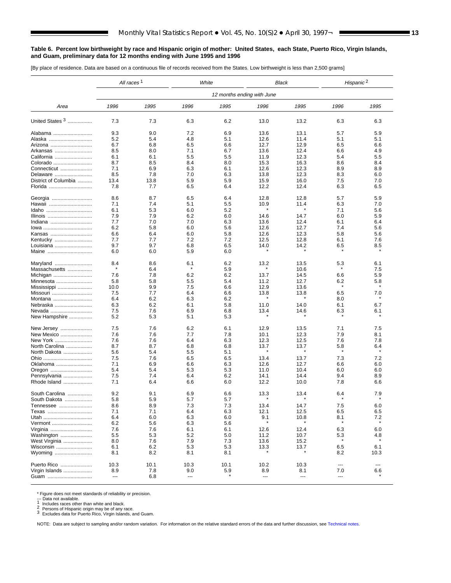#### <span id="page-12-0"></span>**Table 6. Percent low birthweight by race and Hispanic origin of mother: United States, each State, Puerto Rico, Virgin Islands, and Guam, preliminary data for 12 months ending with June 1995 and 1996**

[By place of residence. Data are based on a continuous file of records received from the States. Low birthweight is less than 2,500 grams]

|                      | All races <sup>1</sup> |      | White                    |                            | <b>Black</b>             |      | Hispanic <sup>2</sup> |      |
|----------------------|------------------------|------|--------------------------|----------------------------|--------------------------|------|-----------------------|------|
|                      |                        |      |                          | 12 months ending with June |                          |      |                       |      |
| Area                 | 1996                   | 1995 | 1996                     | 1995                       | 1996                     | 1995 | 1996                  | 1995 |
| United States 3      | 7.3                    | 7.3  | 6.3                      | 6.2                        | 13.0                     | 13.2 | 6.3                   | 6.3  |
| Alabama              | 9.3                    | 9.0  | 7.2                      | 6.9                        | 13.6                     | 13.1 | 5.7                   | 5.9  |
| Alaska               | 5.2                    | 5.4  | 4.8                      | 5.1                        | 12.6                     | 11.4 | 5.1                   | 5.1  |
| Arizona              | 6.7                    | 6.8  | 6.5                      | 6.6                        | 12.7                     | 12.9 | 6.5                   | 6.6  |
| Arkansas             | 8.5                    | 8.0  | 7.1                      | 6.7                        | 13.6                     | 12.4 | 6.6                   | 4.9  |
| California           | 6.1                    | 6.1  | 5.5                      | 5.5                        | 11.9                     | 12.3 | 5.4                   | 5.5  |
| Colorado             | 8.7                    | 8.5  | 8.4                      | 8.0                        | 15.3                     | 16.3 | 8.6                   | 8.4  |
| Connecticut          | 7.1                    | 6.9  | 6.3                      | 6.1                        | 12.6                     | 12.3 | 8.9                   | 8.9  |
| Delaware             | 8.5                    | 7.8  | 7.0                      | 6.3                        | 13.8                     | 12.3 | 8.3                   | 6.0  |
|                      |                        |      |                          |                            |                          |      |                       |      |
| District of Columbia | 13.4                   | 13.8 | 5.9                      | 5.9                        | 15.9                     | 16.0 | 7.5                   | 7.0  |
| Florida              | 7.8                    | 7.7  | 6.5                      | 6.4                        | 12.2                     | 12.4 | 6.3                   | 6.5  |
| Georgia              | 8.6                    | 8.7  | 6.5                      | 6.4                        | 12.8                     | 12.8 | 5.7                   | 5.9  |
| Hawaii               | 7.1                    | 7.4  | 5.1                      | 5.5                        | 10.9                     | 11.4 | 6.3                   | 7.0  |
| Idaho                | 6.1                    | 5.3  | 6.0                      | 5.2                        |                          |      | 7.1                   | 5.6  |
| Illinois             | 7.9                    | 7.9  | 6.2                      | 6.0                        | 14.6                     | 14.7 | 6.0                   | 5.9  |
| Indiana              | 7.7                    | 7.0  | 7.0                      | 6.3                        | 13.6                     | 12.4 | 6.1                   | 6.4  |
| lowa                 | 6.2                    | 5.8  | 6.0                      | 5.6                        | 12.6                     | 12.7 | 7.4                   | 5.6  |
| Kansas               | 6.6                    | 6.4  | 6.0                      | 5.8                        | 12.6                     | 12.3 | 5.8                   | 5.6  |
| Kentucky             | 7.7                    | 7.7  | 7.2                      | 7.2                        | 12.5                     | 12.8 | 6.1                   | 7.6  |
| Louisiana            | 9.7                    | 9.7  | 6.8                      | 6.5                        | 14.0                     | 14.2 | 6.5                   | 8.5  |
| Maine                | 6.0                    | 6.0  | 5.9                      | 6.0                        |                          |      |                       |      |
| Maryland             | 8.4                    | 8.6  | 6.1                      | 6.2                        | 13.2                     | 13.5 | 5.3                   | 6.1  |
| Massachusetts        | $\star$                | 6.4  | ×                        | 5.9                        |                          | 10.6 |                       | 7.5  |
|                      |                        |      |                          |                            |                          |      |                       | 5.9  |
| Michigan             | 7.6                    | 7.8  | 6.2                      | 6.2                        | 13.7                     | 14.5 | 6.6                   |      |
| Minnesota            | 5.8                    | 5.8  | 5.5                      | 5.4                        | 11.2                     | 12.7 | 6.2<br>$\star$        | 5.8  |
| Mississippi          | 10.0                   | 9.9  | 7.5                      | 6.6                        | 12.9                     | 13.6 |                       |      |
| Missouri             | 7.5                    | 7.7  | 6.4                      | 6.6                        | 13.8                     | 13.8 | 6.5                   | 7.0  |
| Montana              | 6.4                    | 6.2  | 6.3                      | 6.2                        |                          |      | 8.0                   |      |
| Nebraska             | 6.3                    | 6.2  | 6.1                      | 5.8                        | 11.0                     | 14.0 | 6.1                   | 6.7  |
| Nevada               | 7.5                    | 7.6  | 6.9                      | 6.8                        | 13.4                     | 14.6 | 6.3                   | 6.1  |
| New Hampshire        | 5.2                    | 5.3  | 5.1                      | 5.3                        |                          |      |                       |      |
| New Jersey           | 7.5                    | 7.6  | 6.2                      | 6.1                        | 12.9                     | 13.5 | 7.1                   | 7.5  |
| New Mexico           | 7.6                    | 7.6  | 7.7                      | 7.8                        | 10.1                     | 12.3 | 7.9                   | 8.1  |
| New York             | 7.6                    | 7.6  | 6.4                      | 6.3                        | 12.3                     | 12.5 | 7.6                   | 7.8  |
| North Carolina       | 8.7                    | 8.7  | 6.8                      | 6.8                        | 13.7                     | 13.7 | 5.8                   | 6.4  |
| North Dakota         | 5.6                    | 5.4  | 5.5                      | 5.1                        |                          |      |                       |      |
|                      | 7.5                    | 7.6  | 6.5                      | 6.5                        | 13.4                     | 13.7 | 7.3                   | 7.2  |
| Oklahoma             | 7.1                    | 6.9  | 6.6                      | 6.3                        | 12.6                     | 12.7 | 6.6                   | 6.0  |
| Oregon               | 5.4                    | 5.4  | 5.3                      | 5.3                        | 11.0                     | 10.4 | 6.0                   | 6.0  |
| Pennsylvania         | 7.5                    | 7.4  | 6.4                      | 6.2                        | 14.1                     | 14.4 | 9.4                   | 8.9  |
| Rhode Island         | 7.1                    | 6.4  | 6.6                      | 6.0                        | 12.2                     | 10.0 | 7.8                   | 6.6  |
|                      |                        |      |                          |                            |                          |      |                       |      |
| South Carolina       | 9.2                    | 9.1  | 6.9                      | 6.6                        | 13.3                     | 13.4 | 6.4                   | 7.9  |
| South Dakota         | 5.8                    | 5.9  | 5.7                      | 5.7                        |                          |      |                       |      |
| Tennessee            | 8.6                    | 8.9  | 7.3                      | 7.3                        | 13.4                     | 14.7 | 7.5                   | 6.0  |
| Texas                | 7.1                    | 7.1  | 6.4                      | 6.3                        | 12.1                     | 12.5 | 6.5                   | 6.5  |
| Utah                 | 6.4                    | 6.0  | 6.3                      | 6.0                        | 9.1                      | 10.8 | 8.1                   | 7.2  |
| Vermont              | 6.2                    | 5.6  | 6.3                      | 5.6                        |                          |      | $\pmb{\ast}$          |      |
| Virginia             | 7.6                    | 7.6  | 6.1                      | 6.1                        | 12.6                     | 12.4 | 6.3                   | 6.0  |
| Washington           | 5.5                    | 5.3  | 5.2                      | 5.0                        | 11.2                     | 10.7 | 5.3                   | 4.8  |
| West Virginia        | 8.0                    | 7.6  | 7.9                      | 7.3                        | 13.6                     | 15.2 |                       |      |
| Wisconsin            | 6.1                    | 6.2  | 5.3                      | 5.3                        | 13.3                     | 13.7 | 6.5                   | 6.1  |
| Wyoming              | 8.1                    | 8.2  | 8.1                      | 8.1                        |                          |      | 8.2                   | 10.3 |
| Puerto Rico          | 10.3                   | 10.1 | 10.3                     | 10.1                       | 10.2                     | 10.3 | ---                   | ---  |
| Virgin Islands       | 8.9                    | 7.8  | 9.0                      | 5.9                        | 8.9                      | 8.1  | 7.0                   | 6.6  |
| Guam                 | $\cdots$               | 6.8  | $\overline{\phantom{a}}$ |                            | $\overline{\phantom{a}}$ | ---  | ---                   |      |
|                      |                        |      |                          |                            |                          |      |                       |      |

\* Figure does not meet standards of reliability or precision.<br>--- Data not available.<br>1 Includes races other than white and black.<br>2 Persons of Hispanic origin may be of any race.<br>3 Excludes data for Puerto Rico, Virgin Is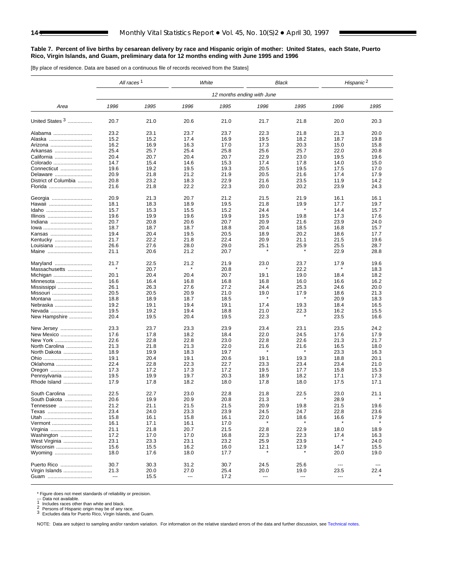#### <span id="page-13-0"></span>**Table 7. Percent of live births by cesarean delivery by race and Hispanic origin of mother: United States, each State, Puerto Rico, Virgin Islands, and Guam, preliminary data for 12 months ending with June 1995 and 1996**

[By place of residence. Data are based on a continuous file of records received from the States]

|                      | All races <sup>1</sup>   |      |                          | White                      |                          | Black   | Hispanic <sup>2</sup>    |                               |  |
|----------------------|--------------------------|------|--------------------------|----------------------------|--------------------------|---------|--------------------------|-------------------------------|--|
|                      |                          |      |                          | 12 months ending with June |                          |         |                          |                               |  |
| Area                 | 1996                     | 1995 | 1996                     | 1995                       | 1996                     | 1995    | 1996                     | 1995                          |  |
| United States 3      | 20.7                     | 21.0 | 20.6                     | 21.0                       | 21.7                     | 21.8    | 20.0                     | 20.3                          |  |
| Alabama              | 23.2                     | 23.1 | 23.7                     | 23.7                       | 22.3                     | 21.8    | 21.3                     | 20.0                          |  |
| Alaska               | 15.2                     | 15.2 | 17.4                     | 16.9                       | 19.5                     | 18.2    | 18.7                     | 19.8                          |  |
| Arizona              | 16.2                     | 16.9 | 16.3                     | 17.0                       | 17.3                     | 20.3    | 15.0                     | 15.8                          |  |
| Arkansas             | 25.4                     | 25.7 | 25.4                     | 25.8                       | 25.6                     | 25.7    | 22.0                     | 20.8                          |  |
| California           | 20.4                     | 20.7 | 20.4                     | 20.7                       | 22.9                     | 23.0    | 19.5                     | 19.6                          |  |
| Colorado             | 14.7                     | 15.4 | 14.6                     | 15.3                       | 17.4                     | 17.8    | 14.0                     | 15.0                          |  |
| Connecticut          | 19.6                     | 19.2 | 19.5                     | 19.3                       | 20.5                     | 19.5    | 17.5                     | 17.0                          |  |
| Delaware             | 20.9                     | 21.8 | 21.2                     | 21.9                       | 20.5                     | 21.6    | 17.4                     | 17.9                          |  |
| District of Columbia | 20.8                     | 23.2 | 18.3                     | 22.9                       | 21.6                     | 23.5    | 11.9                     | 14.2                          |  |
| Florida              | 21.6                     | 21.8 | 22.2                     | 22.3                       | 20.0                     | 20.2    | 23.9                     | 24.3                          |  |
| Georgia              | 20.9                     | 21.3 | 20.7                     | 21.2                       | 21.5                     | 21.9    | 16.1                     | 16.1                          |  |
| Hawaii               | 18.1                     | 18.3 | 18.9                     | 19.5                       | 21.8                     | 19.9    | 17.7                     | 19.7                          |  |
| Idaho                | 15.7                     | 15.3 | 15.5                     | 15.2                       | 24.4                     | $\star$ | 14.4                     | 15.7                          |  |
| Illinois             | 19.6                     | 19.9 | 19.6                     | 19.9                       | 19.5                     | 19.8    | 17.3                     | 17.6                          |  |
| Indiana              | 20.7                     | 20.8 | 20.6                     | 20.7                       | 20.9                     | 21.6    | 23.9                     | 24.0                          |  |
| lowa                 | 18.7                     | 18.7 | 18.7                     | 18.8                       | 20.4                     | 18.5    | 16.8                     | 15.7                          |  |
| Kansas               | 19.4                     | 20.4 | 19.5                     | 20.5                       | 18.9                     | 20.2    | 18.6                     | 17.7                          |  |
| Kentucky             | 21.7                     | 22.2 | 21.8                     | 22.4                       | 20.9                     | 21.1    | 21.5                     | 19.6                          |  |
| Louisiana            | 26.6                     | 27.6 | 28.0                     | 29.0                       | 25.1                     | 25.9    | 25.5                     | 28.7                          |  |
| Maine                | 21.1                     | 20.6 | 21.2                     | 20.7                       | ×                        | $\star$ | 22.9                     | 28.8                          |  |
| Maryland             | 21.7                     | 22.5 | 21.2                     | 21.9                       | 23.0                     | 23.7    | 17.9                     | 19.6                          |  |
| Massachusetts        | $\ast$                   | 20.7 |                          | 20.8                       |                          | 22.2    |                          | 18.3                          |  |
| Michigan             | 20.1                     | 20.4 | 20.4                     | 20.7                       | 19.1                     | 19.0    | 18.4                     | 18.2                          |  |
| Minnesota            | 16.6                     | 16.4 | 16.8                     | 16.8                       | 16.8                     | 16.0    | 16.6                     | 16.2                          |  |
| Mississippi          | 26.1                     | 26.3 | 27.6                     | 27.2                       | 24.4                     | 25.3    | 24.6                     | 20.0                          |  |
| Missouri             | 20.5                     | 20.5 | 20.9                     | 21.0                       | 19.0                     | 17.9    | 18.6                     | 21.3                          |  |
| Montana              | 18.8                     | 18.9 | 18.7                     | 18.5                       |                          |         | 20.9                     | 18.3                          |  |
| Nebraska             | 19.2                     | 19.1 | 19.4                     | 19.1                       | 17.4                     | 19.3    | 18.4                     | 16.5                          |  |
| Nevada               | 19.5                     | 19.2 | 19.4                     | 18.8                       | 21.0                     | 22.3    | 16.2                     | 15.5                          |  |
| New Hampshire        | 20.4                     | 19.5 | 20.4                     | 19.5                       | 22.3                     |         | 23.5                     | 16.6                          |  |
| New Jersey           | 23.3                     | 23.7 | 23.3                     | 23.9                       | 23.4                     | 23.1    | 23.5                     | 24.2                          |  |
| New Mexico           | 17.6                     | 17.8 | 18.2                     | 18.4                       | 22.0                     | 24.5    | 17.6                     | 17.9                          |  |
| New York             | 22.6                     | 22.8 | 22.8                     | 23.0                       | 22.8                     | 22.6    | 21.3                     | 21.7                          |  |
| North Carolina       | 21.3                     | 21.8 | 21.3                     | 22.0                       | 21.6                     | 21.6    | 16.5                     | 18.0                          |  |
| North Dakota         | 18.9                     | 19.9 | 18.3                     | 19.7                       |                          |         | 23.3                     | 16.3                          |  |
| Ohio                 | 19.1                     | 20.4 | 19.1                     | 20.6                       | 19.1                     | 19.3    | 18.8                     | 20.1                          |  |
| Oklahoma             | 22.4                     | 22.8 | 22.3                     | 22.7                       | 23.3                     | 23.4    | 23.4                     | 21.0                          |  |
| Oregon               | 17.3                     | 17.2 | 17.3                     | 17.2                       | 19.5                     | 17.7    | 15.8                     | 15.3                          |  |
| Pennsylvania         | 19.5                     | 19.9 | 19.7                     | 20.3                       | 18.9                     | 18.2    | 17.1                     | 17.3                          |  |
| Rhode Island         | 17.9                     | 17.8 | 18.2                     | 18.0                       | 17.8                     | 18.0    | 17.5                     | 17.1                          |  |
| South Carolina       | 22.5                     | 22.7 | 23.0                     | 22.8                       | 21.8                     | 22.5    | 23.0                     | 21.1                          |  |
| South Dakota         | 20.6                     | 19.9 | 20.9                     | 20.8                       | 21.3                     |         | 28.9                     |                               |  |
| Tennessee            | 21.2                     | 21.1 | 21.5                     | 21.5                       | 20.9                     | 19.8    | 21.5                     | 19.6                          |  |
| Texas                | 23.4                     | 24.0 | 23.3                     | 23.9                       | 24.5                     | 24.7    | 22.8                     | 23.6                          |  |
| Utah                 | 15.8                     | 16.1 | 15.8                     | 16.1                       | 22.0                     | 18.6    | 16.6                     | 17.9                          |  |
| Vermont              | 16.1                     | 17.1 | 16.1                     | 17.0                       |                          |         |                          |                               |  |
| Virginia             | 21.1                     | 21.8 | 20.7                     | 21.5                       | 22.8                     | 22.9    | 18.0                     | 18.9                          |  |
| Washington           | 17.2                     | 17.0 | 17.0                     | 16.8                       | 22.3                     | 22.3    | 17.4                     | 16.3                          |  |
| West Virginia        | 23.1                     | 23.3 | 23.1                     | 23.2                       | 25.9                     | 23.9    |                          | 24.0                          |  |
| Wisconsin            | 15.6                     | 15.5 | 16.2                     | 16.0                       | 12.1                     | 12.9    | 14.7                     | 15.5                          |  |
| Wyoming              | 18.0                     | 17.6 | 18.0                     | 17.7                       |                          |         | 20.0                     | 19.0                          |  |
| Puerto Rico          | 30.7                     | 30.3 | 31.2                     | 30.7                       | 24.5                     | 25.6    | $\hspace{0.05cm} \ldots$ | $\hspace{1.5cm} \textbf{---}$ |  |
| Virgin Islands       | 21.3                     | 20.0 | 27.0                     | 25.4                       | 20.0                     | 19.0    | 23.5                     | 22.4                          |  |
| Guam                 | $\overline{\phantom{a}}$ | 15.5 | $\overline{\phantom{a}}$ | 17.2                       | $\overline{\phantom{a}}$ | $\sim$  | $\cdots$                 |                               |  |

\* Figure does not meet standards of reliability or precision.<br>--- Data not available.<br>1 Includes races other than white and black.<br>2 Persons of Hispanic origin may be of any race.<br>3 Excludes data for Puerto Rico, Virgin Is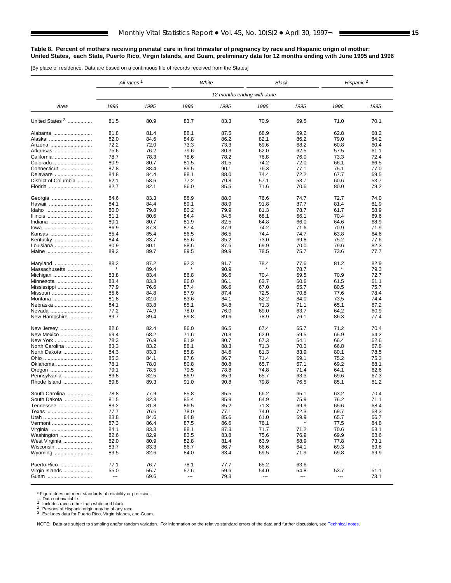#### <span id="page-14-0"></span>**Table 8. Percent of mothers receiving prenatal care in first trimester of pregnancy by race and Hispanic origin of mother: United States, each State, Puerto Rico, Virgin Islands, and Guam, preliminary data for 12 months ending with June 1995 and 1996**

[By place of residence. Data are based on a continuous file of records received from the States]

|                      | All races <sup>1</sup> |      | White |      |                            | Black | Hispanic <sup>2</sup> |      |
|----------------------|------------------------|------|-------|------|----------------------------|-------|-----------------------|------|
|                      |                        |      |       |      | 12 months ending with June |       |                       |      |
| Area                 | 1996                   | 1995 | 1996  | 1995 | 1996                       | 1995  | 1996                  | 1995 |
| United States 3      | 81.5                   | 80.9 | 83.7  | 83.3 | 70.9                       | 69.5  | 71.0                  | 70.1 |
| Alabama              | 81.8                   | 81.4 | 88.1  | 87.5 | 68.9                       | 69.2  | 62.8                  | 68.2 |
| Alaska               | 82.0                   | 84.6 | 84.8  | 86.2 | 82.1                       | 86.2  | 79.0                  | 84.2 |
| Arizona              | 72.2                   | 72.0 | 73.3  | 73.3 | 69.6                       | 68.2  | 60.8                  | 60.4 |
| Arkansas             | 75.6                   | 76.2 | 79.6  | 80.3 | 62.0                       | 62.5  | 57.5                  | 61.1 |
| California           | 78.7                   | 78.3 | 78.6  | 78.2 | 76.8                       | 76.0  | 73.3                  | 72.4 |
| Colorado             | 80.9                   | 80.7 | 81.5  | 81.5 | 74.2                       | 72.0  | 66.1                  | 66.5 |
| Connecticut          | 87.8                   | 88.4 | 89.5  | 90.1 | 76.3                       | 77.1  | 75.1                  | 77.0 |
| Delaware             | 84.8                   | 84.4 | 88.1  | 88.0 | 74.4                       | 72.2  | 67.7                  | 69.5 |
| District of Columbia | 62.1                   | 58.6 | 77.2  | 79.8 | 57.1                       | 53.7  | 60.6                  | 53.7 |
| Florida              | 82.7                   | 82.1 | 86.0  | 85.5 | 71.6                       | 70.6  | 80.0                  | 79.2 |
| Georgia              | 84.6                   | 83.3 | 88.9  | 88.0 | 76.6                       | 74.7  | 72.7                  | 74.0 |
| Hawaii               | 84.1                   | 84.4 | 89.1  | 88.9 | 91.8                       | 87.7  | 81.4                  | 81.9 |
| Idaho                | 80.0                   | 79.8 | 80.2  | 79.9 | 81.3                       | 78.7  | 61.7                  | 58.9 |
| Illinois             | 81.1                   | 80.6 | 84.4  | 84.5 | 68.1                       | 66.1  | 70.4                  | 69.6 |
| Indiana              | 80.1                   | 80.7 | 81.9  | 82.5 | 64.8                       | 66.0  | 64.6                  | 68.9 |
| lowa                 | 86.9                   | 87.3 | 87.4  | 87.9 | 74.2                       | 71.6  | 70.9                  | 71.9 |
| Kansas               | 85.4                   | 85.4 | 86.5  | 86.5 | 74.4                       | 74.7  | 63.8                  | 64.6 |
| Kentucky             | 84.4                   | 83.7 | 85.6  | 85.2 | 73.0                       | 69.8  | 75.2                  | 77.6 |
| Louisiana            | 80.9                   | 80.1 | 88.6  | 87.6 | 69.9                       | 70.0  | 79.6                  | 82.3 |
| Maine                | 89.2                   | 89.7 | 89.5  | 89.9 | 78.5                       | 75.7  | 73.6                  | 77.7 |
| Maryland             | 88.2                   | 87.2 | 92.3  | 91.7 | 78.4                       | 77.6  | 81.2                  | 82.9 |
| Massachusetts        |                        | 89.4 |       | 90.9 |                            | 78.7  |                       | 79.3 |
| Michigan             | 83.8                   | 83.4 | 86.8  | 86.6 | 70.4                       | 69.5  | 70.9                  | 72.7 |
| Minnesota            | 83.4                   | 83.3 | 86.0  | 86.1 | 63.7                       | 60.6  | 61.5                  | 61.1 |
| Mississippi          | 77.9                   | 76.6 | 87.4  | 86.6 | 67.0                       | 65.7  | 80.5                  | 75.7 |
| Missouri             | 85.6                   | 84.8 | 87.9  | 87.4 | 72.5                       | 70.8  | 77.6                  | 78.4 |
| Montana              | 81.8                   | 82.0 | 83.6  | 84.1 | 82.2                       | 84.0  | 73.5                  | 74.4 |
| Nebraska             | 84.1                   | 83.8 | 85.1  | 84.8 | 71.3                       | 71.1  | 65.1                  | 67.2 |
| Nevada               | 77.2                   | 74.9 | 78.0  | 76.0 | 69.0                       | 63.7  | 64.2                  | 60.9 |
| New Hampshire        | 89.7                   | 89.4 | 89.8  | 89.6 | 78.9                       | 76.1  | 86.3                  | 77.4 |
| New Jersey           | 82.6                   | 82.4 | 86.0  | 86.5 | 67.4                       | 65.7  | 71.2                  | 70.4 |
| New Mexico           | 69.4                   | 68.2 | 71.6  | 70.3 | 62.0                       | 59.5  | 65.9                  | 64.2 |
| New York             | 78.3                   | 76.9 | 81.9  | 80.7 | 67.3                       | 64.1  | 66.4                  | 62.6 |
| North Carolina       | 83.3                   | 83.2 | 88.1  | 88.3 | 71.3                       | 70.3  | 66.8                  | 67.8 |
| North Dakota         | 84.3                   | 83.3 | 85.8  | 84.6 | 81.3                       | 83.9  | 80.1                  | 78.5 |
| Ohio                 | 85.3                   | 84.1 | 87.6  | 86.7 | 71.4                       | 69.1  | 75.2                  | 75.3 |
| Oklahoma             | 78.1                   | 78.0 | 80.8  | 80.8 | 65.7                       | 67.1  | 69.2                  | 68.1 |
| Oregon               | 79.1                   | 78.5 | 79.5  | 78.8 | 74.8                       | 71.4  | 64.1                  | 62.6 |
| Pennsylvania         | 83.8                   | 82.5 | 86.9  | 85.9 | 65.7                       | 63.3  | 69.6                  | 67.3 |
| Rhode Island         | 89.8                   | 89.3 | 91.0  | 90.8 | 79.8                       | 76.5  | 85.1                  | 81.2 |
| South Carolina       | 78.8                   | 77.9 | 85.8  | 85.5 | 66.2                       | 65.1  | 63.2                  | 70.4 |
| South Dakota         | 81.5                   | 82.3 | 85.4  | 85.9 | 64.9                       | 75.9  | 76.2                  | 71.1 |
| Tennessee            | 83.2                   | 81.8 | 86.5  | 85.2 | 71.3                       | 69.9  | 65.6                  | 68.4 |
| Texas                | 77.7                   | 76.6 | 78.0  | 77.1 | 74.0                       | 72.3  | 69.7                  | 68.3 |
| Utah                 | 83.8                   | 84.6 | 84.8  | 85.6 | 61.0                       | 69.9  | 65.7                  | 66.7 |
| Vermont              | 87.3                   | 86.4 | 87.5  | 86.6 | 78.1                       |       | 77.5                  | 84.8 |
| Virginia             | 84.1                   | 83.3 | 88.1  | 87.3 | 71.7                       | 71.2  | 70.6                  | 68.1 |
| Washington           | 82.6                   | 82.9 | 83.5  | 83.8 | 75.6                       | 76.9  | 69.9                  | 68.6 |
| West Virginia        | 82.0                   | 80.9 | 82.8  | 81.4 | 63.9                       | 68.9  | 77.8                  | 73.1 |
| Wisconsin            | 83.7                   | 83.3 | 86.7  | 86.7 | 66.6                       | 64.1  | 69.3                  | 69.8 |
| Wyoming              | 83.5                   | 82.6 | 84.0  | 83.4 | 69.5                       | 71.9  | 69.8                  | 69.9 |
| Puerto Rico          | 77.1                   | 76.7 | 78.1  | 77.7 | 65.2                       | 63.6  | ---                   | ---  |
| Virgin Islands       | 55.0                   | 55.7 | 57.6  | 59.6 | 54.0                       | 54.8  | 53.7                  | 51.1 |
| Guam                 | ---                    | 69.6 | ---   | 79.3 | $\sim$                     | ---   | ---                   | 73.1 |
|                      |                        |      |       |      |                            |       |                       |      |

\* Figure does not meet standards of reliability or precision.<br>--- Data not available.<br>1 Includes races other than white and black.<br>2 Persons of Hispanic origin may be of any race.<br>3 Excludes data for Puerto Rico, Virgin Is

NOTE: Data are subject to sampling and/or random variation. For information on the relative standard errors of the data and further discussion, se[e Technical notes.](#page-32-0)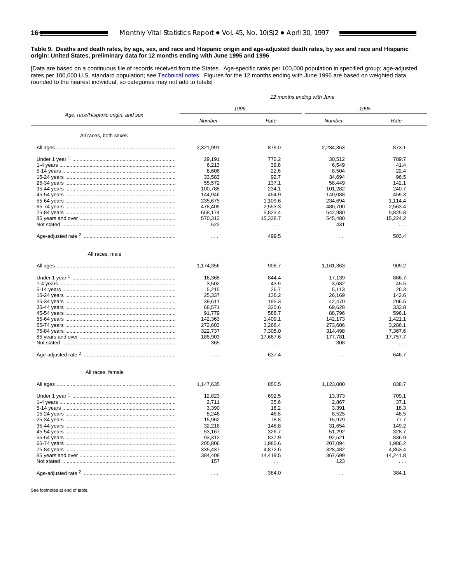<span id="page-15-0"></span>[Data are based on a continuous file of records received from the States. Age-specific rates per 100,000 population in specified group; age-adjusted rates per 100,000 U.S. standard population; se[e Technical notes.](#page-32-0) Figures for the 12 months ending with June 1996 are based on weighted data rounded to the nearest individual, so categories may not add to totals]

|                                    | 12 months ending with June |                      |                      |                      |  |  |  |  |
|------------------------------------|----------------------------|----------------------|----------------------|----------------------|--|--|--|--|
|                                    |                            | 1996                 |                      | 1995                 |  |  |  |  |
| Age, race/Hispanic origin, and sex | Number                     | Rate                 | Number               | Rate                 |  |  |  |  |
| All races, both sexes              |                            |                      |                      |                      |  |  |  |  |
|                                    | 2,321,991                  | 879.0                | 2,284,363            | 873.1                |  |  |  |  |
|                                    | 29,191                     | 770.2                | 30,512               | 789.7                |  |  |  |  |
|                                    | 6,213                      | 39.8                 | 6,549                | 41.4                 |  |  |  |  |
|                                    | 8,606                      | 22.6                 | 8,504                | 22.4                 |  |  |  |  |
|                                    | 33,583                     | 92.7                 | 34,694               | 96.5                 |  |  |  |  |
|                                    | 55,572                     | 137.1                | 58,449               | 142.1                |  |  |  |  |
|                                    | 100,788                    | 234.1                | 101,282              | 240.7                |  |  |  |  |
|                                    | 144,946                    | 454.9                | 140,088              | 459.3                |  |  |  |  |
|                                    | 235,675                    | 1,109.6              | 234,694              | 1,114.4              |  |  |  |  |
|                                    | 478,409                    | 2,553.3              | 480,700              | 2,563.4              |  |  |  |  |
|                                    | 658,174                    | 5,823.4              | 642,980              | 5,825.8              |  |  |  |  |
|                                    | 570,312                    | 15,338.7             | 545,480              | 15,224.2             |  |  |  |  |
|                                    | 522                        |                      |                      |                      |  |  |  |  |
|                                    |                            | $\sim$ $\sim$ $\sim$ | 431                  | $\sim$ $\sim$        |  |  |  |  |
|                                    | $\sim$ $\sim$ $\sim$       | 499.5                | $\cdots$             | 503.4                |  |  |  |  |
| All races, male                    |                            |                      |                      |                      |  |  |  |  |
|                                    | 1,174,356                  | 908.7                | 1,161,363            | 909.2                |  |  |  |  |
|                                    | 16,368                     | 844.4                | 17,139               | 866.7                |  |  |  |  |
|                                    | 3,502                      | 43.9                 | 3,682                | 45.5                 |  |  |  |  |
|                                    |                            | 26.7                 |                      |                      |  |  |  |  |
|                                    | 5,215                      |                      | 5,113                | 26.3                 |  |  |  |  |
|                                    | 25,337                     | 136.2                | 26,169               | 142.6                |  |  |  |  |
|                                    | 39,611                     | 195.3                | 42,470               | 206.5                |  |  |  |  |
|                                    | 68,571                     | 320.6                | 69,628               | 333.8                |  |  |  |  |
|                                    | 91,779                     | 588.7                | 88,796               | 596.1                |  |  |  |  |
|                                    | 142,363                    | 1,409.1              | 142,173              | 1,421.1              |  |  |  |  |
|                                    | 272,603                    | 3,266.4              | 273,606              | 3,286.1              |  |  |  |  |
|                                    | 322,737                    | 7,305.0              | 314,498              | 7,367.6              |  |  |  |  |
|                                    | 185,903                    | 17,667.6             | 177,781              | 17,757.7             |  |  |  |  |
|                                    | 365                        | $\cdots$             | 308                  | .                    |  |  |  |  |
|                                    | $\cdots$                   | 637.4                | $\sim$ $\sim$ $\sim$ | 646.7                |  |  |  |  |
| All races, female                  |                            |                      |                      |                      |  |  |  |  |
|                                    | 1,147,635                  | 850.5                | 1,123,000            | 838.7                |  |  |  |  |
|                                    | 12,823                     | 692.5                | 13,373               | 709.1                |  |  |  |  |
|                                    | 2,711                      | 35.6                 | 2,867                | 37.1                 |  |  |  |  |
|                                    | 3,390                      | 18.2                 | 3,391                | 18.3                 |  |  |  |  |
|                                    | 8,246                      | 46.8                 | 8,525                | 48.5                 |  |  |  |  |
|                                    | 15,962                     | 78.8                 | 15,979               | 77.7                 |  |  |  |  |
|                                    | 32,216                     | 148.8                | 31,654               | 149.2                |  |  |  |  |
|                                    | 53,167                     | 326.7                | 51,292               | 328.7                |  |  |  |  |
|                                    | 93,312                     | 837.9                | 92,521               | 836.9                |  |  |  |  |
|                                    | 205,806                    | 1,980.6              | 207,094              | 1,986.2              |  |  |  |  |
|                                    |                            |                      |                      |                      |  |  |  |  |
|                                    | 335,437                    | 4,872.6              | 328,482              | 4,853.4              |  |  |  |  |
|                                    | 384,408                    | 14,419.5             | 367,699              | 14,241.8             |  |  |  |  |
|                                    | 157                        | $\sim$ $\sim$ $\sim$ | 123                  | $\sim$ $\sim$ $\sim$ |  |  |  |  |
|                                    | $\sim$ $\sim$ $\sim$       | 384.0                | $\sim$ $\sim$ $\sim$ | 384.1                |  |  |  |  |
|                                    |                            |                      |                      |                      |  |  |  |  |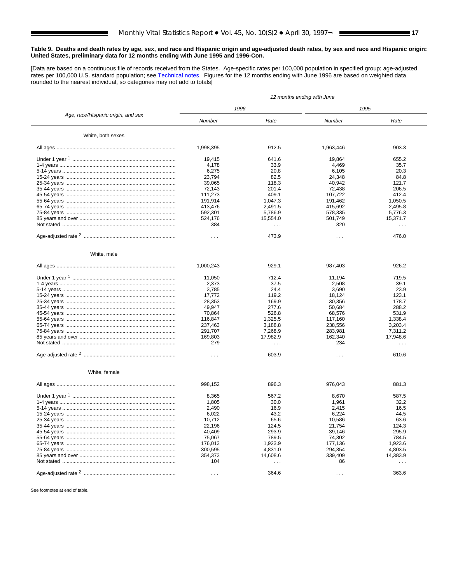[Data are based on a continuous file of records received from the States. Age-specific rates per 100,000 population in specified group; age-adjusted rates per 100,000 U.S. standard population; se[e Technical notes.](#page-32-0) Figures for the 12 months ending with June 1996 are based on weighted data rounded to the nearest individual, so categories may not add to totals]

|                                    | 12 months ending with June |                      |                      |                      |  |  |  |  |
|------------------------------------|----------------------------|----------------------|----------------------|----------------------|--|--|--|--|
|                                    |                            | 1996                 |                      | 1995                 |  |  |  |  |
| Age, race/Hispanic origin, and sex | Number                     | Rate                 | Number               | Rate                 |  |  |  |  |
| White, both sexes                  |                            |                      |                      |                      |  |  |  |  |
|                                    | 1,998,395                  | 912.5                | 1,963,446            | 903.3                |  |  |  |  |
|                                    | 19,415                     | 641.6                | 19,864               | 655.2                |  |  |  |  |
|                                    | 4,178                      | 33.9                 | 4,469                | 35.7                 |  |  |  |  |
|                                    | 6,275                      | 20.8                 | 6,105                | 20.3                 |  |  |  |  |
|                                    | 23,794                     | 82.5                 | 24,348               | 84.8                 |  |  |  |  |
|                                    | 39,065                     | 118.3                | 40,942               | 121.7                |  |  |  |  |
|                                    | 72.143                     | 201.4                | 72.438               | 206.5                |  |  |  |  |
|                                    |                            | 409.1                | 107,722              | 412.4                |  |  |  |  |
|                                    | 111,273                    |                      |                      |                      |  |  |  |  |
|                                    | 191,914                    | 1,047.3              | 191,462              | 1,050.5              |  |  |  |  |
|                                    | 413,476                    | 2,491.5              | 415,692              | 2,495.8              |  |  |  |  |
|                                    | 592,301                    | 5,786.9              | 578,335              | 5,776.3              |  |  |  |  |
|                                    | 524,176                    | 15,554.0             | 501,749              | 15,371.7             |  |  |  |  |
|                                    | 384                        | $\sim$ $\sim$ $\sim$ | 320                  | $\sim$ $\sim$        |  |  |  |  |
|                                    | $\sim$ $\sim$ $\sim$       | 473.9                | $\cdots$             | 476.0                |  |  |  |  |
| White, male                        |                            |                      |                      |                      |  |  |  |  |
|                                    | 1,000,243                  | 929.1                | 987,403              | 926.2                |  |  |  |  |
|                                    | 11,050                     | 712.4                | 11,194               | 719.5                |  |  |  |  |
|                                    |                            |                      |                      |                      |  |  |  |  |
|                                    | 2,373                      | 37.5                 | 2,508                | 39.1                 |  |  |  |  |
|                                    | 3,785                      | 24.4                 | 3,690                | 23.9                 |  |  |  |  |
|                                    | 17,772                     | 119.2                | 18,124               | 123.1                |  |  |  |  |
|                                    | 28,353                     | 169.9                | 30,356               | 178.7                |  |  |  |  |
|                                    | 49,947                     | 277.6                | 50,684               | 288.2                |  |  |  |  |
|                                    | 70,864                     | 526.8                | 68,576               | 531.9                |  |  |  |  |
|                                    | 116,847                    | 1,325.5              | 117,160              | 1,338.4              |  |  |  |  |
|                                    | 237,463                    | 3,188.8              | 238,556              | 3,203.4              |  |  |  |  |
|                                    | 291,707                    | 7,268.9              | 283,981              | 7,311.2              |  |  |  |  |
|                                    | 169,803                    | 17,982.9             | 162,340              | 17,948.6             |  |  |  |  |
|                                    | 279                        | $\cdots$             | 234                  | $\cdots$             |  |  |  |  |
|                                    | $\cdots$                   | 603.9                | $\sim$ $\sim$ $\sim$ | 610.6                |  |  |  |  |
| White, female                      |                            |                      |                      |                      |  |  |  |  |
|                                    | 998,152                    | 896.3                | 976,043              | 881.3                |  |  |  |  |
|                                    | 8,365                      | 567.2                | 8,670                | 587.5                |  |  |  |  |
|                                    | 1,805                      | 30.0                 | 1,961                | 32.2                 |  |  |  |  |
|                                    | 2,490                      | 16.9                 | 2,415                | 16.5                 |  |  |  |  |
|                                    | 6,022                      | 43.2                 | 6,224                | 44.5                 |  |  |  |  |
|                                    | 10,712                     | 65.6                 | 10,586               | 63.6                 |  |  |  |  |
|                                    | 22,196                     | 124.5                | 21,754               | 124.3                |  |  |  |  |
|                                    | 40,409                     | 293.9                | 39,146               | 295.9                |  |  |  |  |
|                                    |                            |                      |                      |                      |  |  |  |  |
|                                    | 75,067                     | 789.5                | 74,302               | 784.5                |  |  |  |  |
|                                    | 176,013                    | 1,923.9              | 177,136              | 1,923.6              |  |  |  |  |
|                                    | 300,595                    | 4,831.0              | 294,354              | 4,803.5              |  |  |  |  |
|                                    | 354,373                    | 14,608.6             | 339,409              | 14,383.9             |  |  |  |  |
|                                    | 104                        | $\sim$ $\sim$ $\sim$ | 86                   | $\sim$ $\sim$ $\sim$ |  |  |  |  |
|                                    | $\sim$ $\sim$ $\sim$       | 364.6                | $\sim$ $\sim$ $\sim$ | 363.6                |  |  |  |  |
|                                    |                            |                      |                      |                      |  |  |  |  |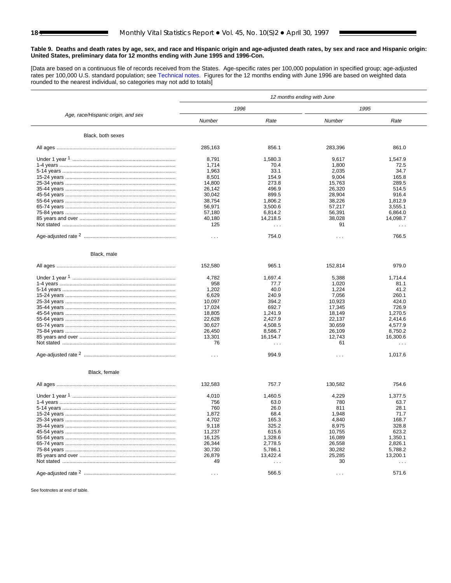[Data are based on a continuous file of records received from the States. Age-specific rates per 100,000 population in specified group; age-adjusted rates per 100,000 U.S. standard population; se[e Technical notes.](#page-32-0) Figures for the 12 months ending with June 1996 are based on weighted data rounded to the nearest individual, so categories may not add to totals]

|                                    | 12 months ending with June |                      |                      |                      |  |  |  |  |
|------------------------------------|----------------------------|----------------------|----------------------|----------------------|--|--|--|--|
|                                    |                            | 1996                 |                      | 1995                 |  |  |  |  |
| Age, race/Hispanic origin, and sex | Number                     | Rate                 | Number               | Rate                 |  |  |  |  |
| Black, both sexes                  |                            |                      |                      |                      |  |  |  |  |
|                                    | 285,163                    | 856.1                | 283,396              | 861.0                |  |  |  |  |
|                                    | 8,791                      | 1,580.3              | 9,617                | 1,547.9              |  |  |  |  |
|                                    | 1,714                      | 70.4                 | 1,800                | 72.5                 |  |  |  |  |
|                                    | 1,963                      | 33.1                 | 2,035                | 34.7                 |  |  |  |  |
|                                    | 8,501                      | 154.9                | 9,004                | 165.8                |  |  |  |  |
|                                    | 14,800                     | 273.8                | 15,763               | 289.5                |  |  |  |  |
|                                    |                            |                      |                      |                      |  |  |  |  |
|                                    | 26,142                     | 496.9                | 26,320               | 514.5                |  |  |  |  |
|                                    | 30,042                     | 899.5                | 28,904               | 916.4                |  |  |  |  |
|                                    | 38,754                     | 1,806.2              | 38,226               | 1,812.9              |  |  |  |  |
|                                    | 56,971                     | 3,500.6              | 57,217               | 3,555.1              |  |  |  |  |
|                                    | 57,180                     | 6,814.2              | 56,391               | 6,864.0              |  |  |  |  |
|                                    | 40,180                     | 14,218.5             | 38,028               | 14,098.7             |  |  |  |  |
|                                    | 125                        | $\sim$ $\sim$ $\sim$ | 91                   | $\sim$ $\sim$        |  |  |  |  |
|                                    | $\sim$ $\sim$ $\sim$       | 754.0                | $\cdots$             | 766.5                |  |  |  |  |
|                                    |                            |                      |                      |                      |  |  |  |  |
| Black, male                        |                            |                      |                      |                      |  |  |  |  |
|                                    | 152,580                    | 965.1                | 152,814              | 979.0                |  |  |  |  |
|                                    | 4,782                      | 1,697.4              | 5,388                | 1,714.4              |  |  |  |  |
|                                    | 958                        | 77.7                 | 1,020                | 81.1                 |  |  |  |  |
|                                    |                            | 40.0                 | 1,224                | 41.2                 |  |  |  |  |
|                                    | 1,202                      |                      |                      |                      |  |  |  |  |
|                                    | 6,629                      | 240.9                | 7,056                | 260.1                |  |  |  |  |
|                                    | 10,097                     | 394.2                | 10,923               | 424.0                |  |  |  |  |
|                                    | 17,024                     | 692.7                | 17,345               | 726.9                |  |  |  |  |
|                                    | 18,805                     | 1,241.9              | 18,149               | 1,270.5              |  |  |  |  |
|                                    | 22,628                     | 2,427.9              | 22,137               | 2,414.6              |  |  |  |  |
|                                    | 30,627                     | 4,508.5              | 30,659               | 4,577.9              |  |  |  |  |
|                                    | 26,450                     | 8,586.7              | 26,109               | 8,750.2              |  |  |  |  |
|                                    | 13,301                     | 16,154.7             | 12,743               | 16,300.6             |  |  |  |  |
|                                    | 76                         | $\sim$ $\sim$ $\sim$ | 61                   | $\cdots$             |  |  |  |  |
|                                    |                            |                      |                      |                      |  |  |  |  |
|                                    | $\cdots$                   | 994.9                | $\sim$ $\sim$ $\sim$ | 1,017.6              |  |  |  |  |
| Black, female                      |                            |                      |                      |                      |  |  |  |  |
|                                    | 132,583                    | 757.7                | 130,582              | 754.6                |  |  |  |  |
|                                    | 4,010                      | 1,460.5              | 4,229                | 1,377.5              |  |  |  |  |
|                                    | 756                        | 63.0                 | 780                  | 63.7                 |  |  |  |  |
|                                    | 760                        | 26.0                 | 811                  | 28.1                 |  |  |  |  |
|                                    |                            | 68.4                 | 1,948                | 71.7                 |  |  |  |  |
|                                    | 1,872                      |                      |                      |                      |  |  |  |  |
|                                    | 4,702                      | 165.3                | 4,840                | 168.7                |  |  |  |  |
|                                    | 9,118                      | 325.2                | 8,975                | 328.8                |  |  |  |  |
|                                    | 11,237                     | 615.6                | 10,755               | 623.2                |  |  |  |  |
|                                    | 16,125                     | 1,328.6              | 16,089               | 1,350.1              |  |  |  |  |
|                                    | 26,344                     | 2,778.5              | 26,558               | 2,826.1              |  |  |  |  |
|                                    | 30,730                     | 5,786.1              | 30,282               | 5,788.2              |  |  |  |  |
|                                    | 26,879                     | 13,422.4             | 25,285               | 13,200.1             |  |  |  |  |
|                                    | 49                         | $\cdots$             | 30                   | $\sim$ $\sim$ $\sim$ |  |  |  |  |
|                                    |                            |                      |                      |                      |  |  |  |  |
|                                    | $\sim$ $\sim$ $\sim$       | 566.5                | $\sim$ $\sim$ $\sim$ | 571.6                |  |  |  |  |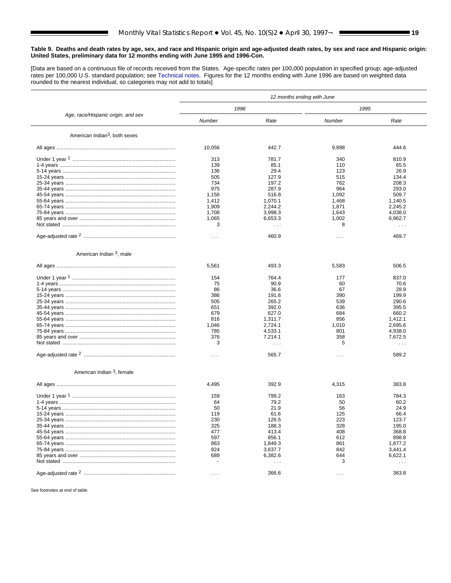[Data are based on a continuous file of records received from the States. Age-specific rates per 100,000 population in specified group; age-adjusted rates per 100,000 U.S. standard population; se[e Technical notes.](#page-32-0) Figures for the 12 months ending with June 1996 are based on weighted data rounded to the nearest individual, so categories may not add to totals]

|                                           | 12 months ending with June |          |                      |                      |  |  |  |  |
|-------------------------------------------|----------------------------|----------|----------------------|----------------------|--|--|--|--|
|                                           | 1996                       |          | 1995                 |                      |  |  |  |  |
| Age, race/Hispanic origin, and sex        | Number                     | Rate     | Number               | Rate                 |  |  |  |  |
| American Indian <sup>3</sup> , both sexes |                            |          |                      |                      |  |  |  |  |
|                                           | 10,056                     | 442.7    | 9,898                | 444.6                |  |  |  |  |
|                                           | 313                        | 781.7    | 340                  | 810.9                |  |  |  |  |
|                                           | 139                        | 85.1     | 110                  | 65.5                 |  |  |  |  |
|                                           | 136                        | 29.4     | 123                  | 26.9                 |  |  |  |  |
|                                           | 505                        | 127.9    | 515                  | 134.4                |  |  |  |  |
|                                           | 734                        | 197.2    | 762                  | 208.3                |  |  |  |  |
|                                           | 975                        | 287.9    | 964                  | 293.0                |  |  |  |  |
|                                           | 1,156                      | 516.8    | 1,092                | 509.7                |  |  |  |  |
|                                           | 1,412                      | 1,070.1  | 1,468                | 1,140.5              |  |  |  |  |
|                                           | 1,909                      | 2,244.2  | 1,871                | 2,245.2              |  |  |  |  |
|                                           | 1,708                      | 3,998.3  | 1,643                | 4,038.0              |  |  |  |  |
|                                           | 1,065                      | 6,653.3  | 1,002                | 6,962.7              |  |  |  |  |
|                                           | 3                          | $\cdots$ | 8                    | $\sim$ $\sim$ $\sim$ |  |  |  |  |
|                                           | $\cdots$                   | 460.9    | $\cdots$             | 469.7                |  |  |  |  |
| American Indian <sup>3</sup> , male       |                            |          |                      |                      |  |  |  |  |
|                                           | 5,561                      | 493.3    | 5,583                | 506.5                |  |  |  |  |
|                                           | 154                        | 764.4    | 177                  | 837.0                |  |  |  |  |
|                                           | 75                         | 90.9     | 60                   | 70.6                 |  |  |  |  |
|                                           | 86                         | 36.6     | 67                   | 28.9                 |  |  |  |  |
|                                           | 386                        | 191.6    | 390                  | 199.9                |  |  |  |  |
|                                           | 505                        | 265.2    | 539                  | 290.6                |  |  |  |  |
|                                           | 651                        | 392.0    | 636                  | 395.5                |  |  |  |  |
|                                           | 679                        | 627.0    | 684                  | 660.2                |  |  |  |  |
|                                           |                            |          |                      |                      |  |  |  |  |
|                                           | 816                        | 1,311.7  | 856                  | 1,412.1              |  |  |  |  |
|                                           | 1,046                      | 2,724.1  | 1,010                | 2,695.6              |  |  |  |  |
|                                           | 785                        | 4,533.1  | 801                  | 4,938.0              |  |  |  |  |
|                                           | 376                        | 7,214.1  | 358                  | 7,672.5              |  |  |  |  |
|                                           | 3                          |          | 5                    | $\cdots$             |  |  |  |  |
|                                           | $\cdots$                   | 565.7    | $\sim$ $\sim$ $\sim$ | 589.2                |  |  |  |  |
| American Indian 3, female                 |                            |          |                      |                      |  |  |  |  |
|                                           | 4,495                      | 392.9    | 4,315                | 383.8                |  |  |  |  |
|                                           | 159                        | 799.2    | 163                  | 784.3                |  |  |  |  |
|                                           | 64                         | 79.2     | 50                   | 60.2                 |  |  |  |  |
|                                           | 50                         | 21.9     | 56                   | 24.9                 |  |  |  |  |
|                                           | 119                        | 61.6     | 125                  | 66.4                 |  |  |  |  |
|                                           | 230                        | 126.5    | 223                  | 123.7                |  |  |  |  |
|                                           | 325                        | 188.3    | 328                  | 195.0                |  |  |  |  |
|                                           | 477                        | 413.4    | 408                  | 368.8                |  |  |  |  |
|                                           | 597                        | 856.1    | 612                  | 898.8                |  |  |  |  |
|                                           | 863                        | 1,849.3  | 861                  | 1,877.2              |  |  |  |  |
|                                           | 924                        | 3,637.7  | 842                  | 3,441.4              |  |  |  |  |
|                                           | 689                        | 6,382.6  | 644                  | 6,622.1              |  |  |  |  |
|                                           |                            | $\cdots$ | 3                    | $\cdots$             |  |  |  |  |
|                                           |                            |          |                      |                      |  |  |  |  |
|                                           | $\sim$ $\sim$ $\sim$       | 366.6    | $\sim$ $\sim$ $\sim$ | 363.8                |  |  |  |  |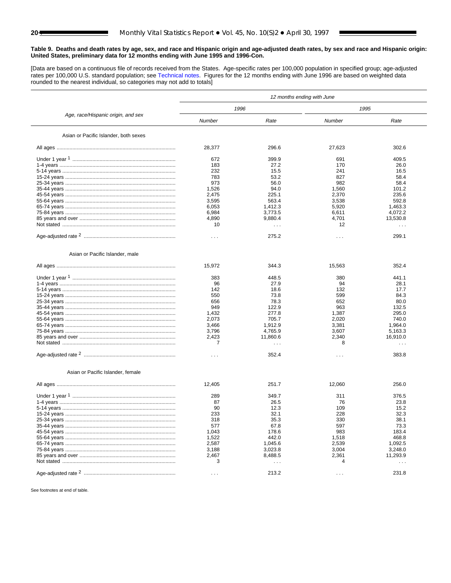[Data are based on a continuous file of records received from the States. Age-specific rates per 100,000 population in specified group; age-adjusted rates per 100,000 U.S. standard population; see [Technical notes.](#page-32-0) Figures for the 12 months ending with June 1996 are based on weighted data rounded to the nearest individual, so categories may not add to totals]

|                                       | 12 months ending with June |                      |                      |                      |  |  |  |  |
|---------------------------------------|----------------------------|----------------------|----------------------|----------------------|--|--|--|--|
|                                       | 1996                       |                      |                      | 1995                 |  |  |  |  |
| Age, race/Hispanic origin, and sex    | Number                     | Rate                 | Number               | Rate                 |  |  |  |  |
| Asian or Pacific Islander, both sexes |                            |                      |                      |                      |  |  |  |  |
|                                       | 28,377                     | 296.6                | 27,623               | 302.6                |  |  |  |  |
|                                       | 672                        | 399.9                | 691                  | 409.5                |  |  |  |  |
|                                       | 183                        | 27.2                 | 170                  | 26.0                 |  |  |  |  |
|                                       | 232                        | 15.5                 | 241                  | 16.5                 |  |  |  |  |
|                                       | 783                        | 53.2                 | 827                  | 58.4                 |  |  |  |  |
|                                       | 973                        | 56.0                 | 982                  | 58.4                 |  |  |  |  |
|                                       | 1,526                      | 94.0                 | 1,560                | 101.2                |  |  |  |  |
|                                       | 2,475                      | 225.1                | 2,370                | 235.6                |  |  |  |  |
|                                       | 3,595                      | 563.4                | 3,538                | 592.8                |  |  |  |  |
|                                       | 6,053                      | 1,412.3              | 5,920                | 1,463.3              |  |  |  |  |
|                                       | 6,984                      | 3,773.5              | 6,611                | 4,072.2              |  |  |  |  |
|                                       | 4,890                      | 9,880.4              | 4,701                | 13,530.8             |  |  |  |  |
|                                       | 10                         |                      | 12                   |                      |  |  |  |  |
|                                       |                            | $\sim$ $\sim$ $\sim$ |                      | $\sim$ $\sim$        |  |  |  |  |
|                                       | $\sim$ $\sim$ $\sim$       | 275.2                | $\cdots$             | 299.1                |  |  |  |  |
| Asian or Pacific Islander, male       |                            |                      |                      |                      |  |  |  |  |
|                                       | 15,972                     | 344.3                | 15,563               | 352.4                |  |  |  |  |
|                                       | 383                        | 448.5                | 380                  | 441.1                |  |  |  |  |
|                                       | 96                         | 27.9                 | 94                   | 28.1                 |  |  |  |  |
|                                       |                            |                      |                      |                      |  |  |  |  |
|                                       | 142                        | 18.6                 | 132                  | 17.7                 |  |  |  |  |
|                                       | 550                        | 73.8                 | 599                  | 84.3                 |  |  |  |  |
|                                       | 656                        | 78.3                 | 652                  | 80.0                 |  |  |  |  |
|                                       | 949                        | 122.9                | 963                  | 132.5                |  |  |  |  |
|                                       | 1,432                      | 277.8                | 1,387                | 295.0                |  |  |  |  |
|                                       | 2,073                      | 705.7                | 2,020                | 740.0                |  |  |  |  |
|                                       | 3,466                      | 1,912.9              | 3,381                | 1,964.0              |  |  |  |  |
|                                       | 3,796                      | 4,765.9              | 3,607                | 5,163.3              |  |  |  |  |
|                                       | 2,423                      | 11,860.6             | 2,340                | 16,910.0             |  |  |  |  |
|                                       | 7                          | $\cdots$             | 8                    | $\cdots$             |  |  |  |  |
|                                       | $\sim$ $\sim$ $\sim$       | 352.4                | $\sim$ $\sim$ $\sim$ | 383.8                |  |  |  |  |
| Asian or Pacific Islander, female     |                            |                      |                      |                      |  |  |  |  |
|                                       | 12,405                     | 251.7                | 12,060               | 256.0                |  |  |  |  |
|                                       | 289                        | 349.7                | 311                  | 376.5                |  |  |  |  |
|                                       | 87                         | 26.5                 | 76                   | 23.8                 |  |  |  |  |
|                                       | 90                         | 12.3                 | 109                  | 15.2                 |  |  |  |  |
|                                       | 233                        | 32.1                 | 228                  | 32.3                 |  |  |  |  |
|                                       | 318                        | 35.3                 | 330                  | 38.1                 |  |  |  |  |
|                                       |                            |                      |                      |                      |  |  |  |  |
|                                       | 577                        | 67.8                 | 597                  | 73.3                 |  |  |  |  |
|                                       | 1,043                      | 178.6                | 983                  | 183.4                |  |  |  |  |
|                                       | 1,522                      | 442.0                | 1,518                | 468.8                |  |  |  |  |
|                                       | 2,587                      | 1,045.6              | 2,539                | 1,092.5              |  |  |  |  |
|                                       | 3,188                      | 3,023.8              | 3,004                | 3,248.0              |  |  |  |  |
|                                       | 2,467                      | 8,488.5              | 2,361                | 11,293.9             |  |  |  |  |
|                                       | 3                          | $\cdots$             | 4                    | $\sim$ $\sim$ $\sim$ |  |  |  |  |
|                                       |                            | 213.2                |                      | 231.8                |  |  |  |  |
|                                       | $\sim$ $\sim$ $\sim$       |                      | $\sim$ $\sim$ $\sim$ |                      |  |  |  |  |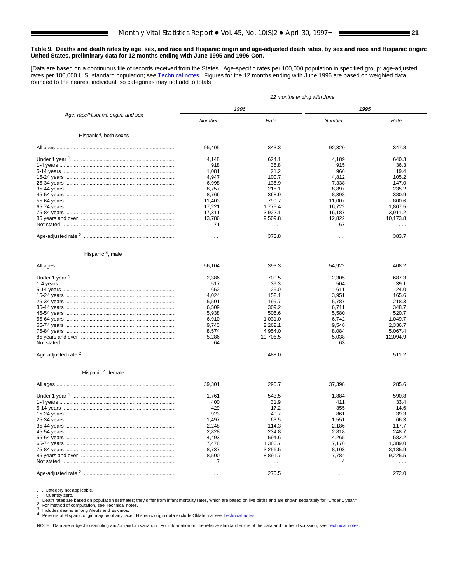[Data are based on a continuous file of records received from the States. Age-specific rates per 100,000 population in specified group; age-adjusted rates per 100,000 U.S. standard population; se[e Technical notes.](#page-32-0) Figures for the 12 months ending with June 1996 are based on weighted data rounded to the nearest individual, so categories may not add to totals]

|                                    | 12 months ending with June |                      |                      |                      |  |  |  |  |
|------------------------------------|----------------------------|----------------------|----------------------|----------------------|--|--|--|--|
|                                    | 1996                       |                      |                      | 1995                 |  |  |  |  |
| Age, race/Hispanic origin, and sex | Number                     | Rate                 | Number               | Rate                 |  |  |  |  |
| Hispanic <sup>4</sup> , both sexes |                            |                      |                      |                      |  |  |  |  |
|                                    | 95,405                     | 343.3                | 92,320               | 347.8                |  |  |  |  |
|                                    | 4,148                      | 624.1                | 4,189                | 640.3                |  |  |  |  |
|                                    | 918                        | 35.8                 | 915                  | 36.3                 |  |  |  |  |
|                                    | 1,081                      | 21.2                 | 966                  | 19.4                 |  |  |  |  |
|                                    | 4,947                      | 100.7                | 4,812                | 105.2                |  |  |  |  |
|                                    | 6,998                      | 136.9                | 7,338                | 147.0                |  |  |  |  |
|                                    | 8,757                      | 215.1                | 8,897                | 235.2                |  |  |  |  |
|                                    | 8,766                      | 368.9                | 8,398                | 380.9                |  |  |  |  |
|                                    | 11,403                     | 799.7                | 11,007               | 800.6                |  |  |  |  |
|                                    | 17,221                     | 1,775.4              | 16,722               | 1,807.5              |  |  |  |  |
|                                    | 17,311                     | 3,922.1              | 16,187               | 3,911.2              |  |  |  |  |
|                                    | 13,786                     | 9,509.8              | 12,822               | 10,173.8             |  |  |  |  |
|                                    | 71                         | $\cdots$             | 67                   | $\sim$ $\sim$ $\sim$ |  |  |  |  |
|                                    | $\sim$ $\sim$ $\sim$       | 373.8                | $\cdots$             | 383.7                |  |  |  |  |
| Hispanic <sup>4</sup> , male       |                            |                      |                      |                      |  |  |  |  |
|                                    | 56,104                     | 393.3                | 54,922               | 408.2                |  |  |  |  |
|                                    | 2,386                      | 700.5                | 2,305                | 687.3                |  |  |  |  |
|                                    | 517                        | 39.3                 | 504                  | 39.1                 |  |  |  |  |
|                                    | 652                        | 25.0                 | 611                  | 24.0                 |  |  |  |  |
|                                    | 4,024                      | 152.1                | 3,951                | 165.6                |  |  |  |  |
|                                    | 5,501                      | 199.7                | 5,787                | 218.3                |  |  |  |  |
|                                    | 6,509                      | 309.2                | 6,711                | 348.7                |  |  |  |  |
|                                    | 5,938                      | 506.6                | 5,580                | 520.7                |  |  |  |  |
|                                    | 6,910                      | 1,031.0              | 6,742                | 1,049.7              |  |  |  |  |
|                                    |                            | 2,262.1              |                      | 2,336.7              |  |  |  |  |
|                                    | 9,743                      |                      | 9,546                |                      |  |  |  |  |
|                                    | 8,574                      | 4,954.0              | 8,084                | 5,067.4              |  |  |  |  |
|                                    | 5,286                      | 10,706.5             | 5,038                | 12,094.9             |  |  |  |  |
|                                    | 64                         | $\ldots$             | 63                   | $\cdots$             |  |  |  |  |
|                                    | $\sim$ $\sim$              | 488.0                | $\sim$ $\sim$ $\sim$ | 511.2                |  |  |  |  |
| Hispanic <sup>4</sup> , female     |                            |                      |                      |                      |  |  |  |  |
|                                    | 39,301                     | 290.7                | 37,398               | 285.6                |  |  |  |  |
|                                    | 1,761                      | 543.5                | 1,884                | 590.8                |  |  |  |  |
|                                    | 400                        | 31.9                 | 411                  | 33.4                 |  |  |  |  |
|                                    | 429                        | 17.2                 | 355                  | 14.6                 |  |  |  |  |
|                                    | 923                        | 40.7                 | 861                  | 39.3                 |  |  |  |  |
|                                    | 1,497                      | 63.5                 | 1,551                | 66.3                 |  |  |  |  |
|                                    | 2,248                      | 114.3                | 2,186                | 117.7                |  |  |  |  |
|                                    | 2,828                      | 234.8                | 2,818                | 248.7                |  |  |  |  |
|                                    | 4,493                      | 594.6                | 4,265                | 582.2                |  |  |  |  |
|                                    | 7,478                      | 1,386.7              | 7,176                | 1,389.0              |  |  |  |  |
|                                    | 8,737                      | 3,256.5              | 8,103                | 3,185.9              |  |  |  |  |
|                                    | 8,500                      | 8,891.7              | 7,784                | 9,225.5              |  |  |  |  |
|                                    | 7                          | $\sim$ $\sim$ $\sim$ | 4                    | $\sim$ $\sim$ $\sim$ |  |  |  |  |
|                                    |                            |                      |                      |                      |  |  |  |  |
|                                    | $\sim$ $\sim$              | 270.5                | $\sim$ $\sim$ $\sim$ | 272.0                |  |  |  |  |

Category not applicable.<br>Quantity zero.

-<br>
1 Death rates are based on population estimates; they differ from infant mortality rates, which are based on live births and are shown separately for "Under 1 year."<br>
2 For method of computation, se[e Technical notes.](#page-32-0)<br>
3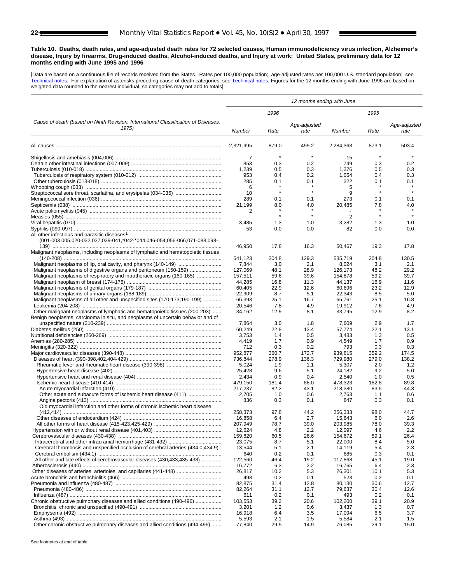<span id="page-21-0"></span>**Table 10. Deaths, death rates, and age-adjusted death rates for 72 selected causes, Human immunodeficiency virus infection, Alzheimer's disease, Injury by firearms, Drug-induced deaths, Alcohol-induced deaths, and Injury at work: United States, preliminary data for 12 months ending with June 1995 and 1996**

[Data are based on a continuous file of records received from the States. Rates per 100,000 population; age-adjusted rates per 100,000 U.S. standard population; see [Technical notes.](#page-32-0) For explanation of asterisks preceding cause-of-death categories, se[e Technical notes.](#page-32-0) Figures for the 12 months ending with June 1996 are based on weighted data rounded to the nearest individual, so categories may not add to totals]

|                                                                                                                                     | 12 months ending with June |                    |                      |                  |                    |                      |  |  |
|-------------------------------------------------------------------------------------------------------------------------------------|----------------------------|--------------------|----------------------|------------------|--------------------|----------------------|--|--|
|                                                                                                                                     |                            | 1996               |                      |                  | 1995               |                      |  |  |
| Cause of death (based on Ninth Revision, International Classification of Diseases,<br>1975)                                         | Number                     | Rate               | Age-adjusted<br>rate | Number           | Rate               | Age-adjusted<br>rate |  |  |
|                                                                                                                                     | 2.321.995                  | 879.0              | 499.2                | 2,284,363        | 873.1              | 503.4                |  |  |
|                                                                                                                                     | 7                          | $\star$            | $\star$              | 15               | $\star$            |                      |  |  |
|                                                                                                                                     | 853                        | 0.3                | 0.2                  | 749              | 0.3                | 0.2                  |  |  |
|                                                                                                                                     | 1,239                      | 0.5                | 0.3                  | 1,376            | 0.5                | 0.3                  |  |  |
|                                                                                                                                     | 953                        | 0.4                | 0.2                  | 1,054            | 0.4                | 0.3                  |  |  |
|                                                                                                                                     | 285                        | 0.1                | 0.1                  | 322              | 0.1                | 0.1                  |  |  |
|                                                                                                                                     | 6                          | $\star$<br>$\star$ | $\star$<br>$\star$   | 5                | $\star$<br>$\star$ | $\star$              |  |  |
| Streptococcal sore throat, scarlatina, and erysipelas (034-035)                                                                     | 10                         |                    |                      | 9                |                    |                      |  |  |
|                                                                                                                                     | 289<br>21,199              | 0.1<br>8.0         | 0.1                  | 273              | 0.1                | 0.1                  |  |  |
|                                                                                                                                     | 2                          |                    | 4.0                  | 20,485           | 7.8                | 4.0                  |  |  |
|                                                                                                                                     |                            | $\star$            | $\star$              | 2                | $\star$            |                      |  |  |
|                                                                                                                                     | 3,485                      | 1.3                | 1.0                  | 3,282            | 1.3                | 1.0                  |  |  |
|                                                                                                                                     | 53                         | 0.0                | 0.0                  | 82               | 0.0                | 0.0                  |  |  |
| All other infectious and parasitic diseases <sup>1</sup><br>(001-003,005,020-032,037,039-041,*042-*044,046-054,056-066,071-088,098- |                            |                    |                      |                  |                    |                      |  |  |
| Malignant neoplasms, including neoplasms of lymphatic and hematopoietic tissues                                                     | 46,950                     | 17.8               | 16.3                 | 50,467           | 19.3               | 17.8                 |  |  |
|                                                                                                                                     | 541,123                    | 204.8              | 129.3                | 535,719          | 204.8              | 130.5                |  |  |
|                                                                                                                                     | 7,844                      | 3.0                | 2.1                  | 8,024            | 3.1                | 2.1                  |  |  |
| Malignant neoplasms of digestive organs and peritoneum (150-159)                                                                    | 127,069                    | 48.1               | 28.9                 | 126,173          | 48.2               | 29.2                 |  |  |
| Malignant neoplasms of respiratory and intrathoracic organs (160-165)                                                               | 157,511                    | 59.6               | 39.6                 | 154,878          | 59.2               | 39.7                 |  |  |
|                                                                                                                                     | 44,285                     | 16.8               | 11.3                 | 44,137           | 16.9               | 11.6                 |  |  |
|                                                                                                                                     | 60,405<br>22,909           | 22.9<br>8.7        | 12.6<br>5.1          | 60,696<br>22,343 | 23.2<br>8.5        | 12.9<br>5.0          |  |  |
| Malignant neoplasms of all other and unspecified sites (170-173,190-199)                                                            | 66,393                     | 25.1               | 16.7                 | 65,761           | 25.1               | 16.8                 |  |  |
|                                                                                                                                     | 20,546                     | 7.8                | 4.9                  | 19,912           | 7.6                | 4.9                  |  |  |
| Other malignant neoplasms of lymphatic and hematopoietic tissues (200-203)                                                          | 34,162                     | 12.9               | 8.1                  | 33,795           | 12.9               | 8.2                  |  |  |
| Benign neoplasms, carcinoma in situ, and neoplasms of uncertain behavior and of                                                     |                            |                    |                      |                  |                    |                      |  |  |
|                                                                                                                                     | 7,864                      | 3.0                | 1.8                  | 7,609            | 2.9                | 1.7                  |  |  |
|                                                                                                                                     | 60,249                     | 22.8               | 13.4                 | 57,774           | 22.1               | 13.1                 |  |  |
|                                                                                                                                     | 3,753                      | 1.4                | 0.5                  | 3,483            | 1.3                | 0.5                  |  |  |
|                                                                                                                                     | 4,419                      | 1.7                | 0.9                  | 4,549            | 1.7                | 0.9                  |  |  |
|                                                                                                                                     | 712                        | 0.3                | 0.2                  | 793              | 0.3                | 0.3                  |  |  |
|                                                                                                                                     | 952,877                    | 360.7              | 172.7                | 939,815          | 359.2              | 174.5                |  |  |
|                                                                                                                                     | 736,844                    | 278.9              | 136.3                | 729,980          | 279.0              | 138.2                |  |  |
|                                                                                                                                     | 5,024<br>25,428            | 1.9<br>9.6         | 1.1<br>5.1           | 5,307            | 2.0<br>9.2         | 1.2<br>5.0           |  |  |
|                                                                                                                                     | 2,434                      | 0.9                | 0.4                  | 24,182<br>2,540  | 1.0                | 0.5                  |  |  |
|                                                                                                                                     | 479,150                    | 181.4              | 88.0                 | 478,323          | 182.8              | 89.8                 |  |  |
|                                                                                                                                     | 217,237                    | 82.2               | 43.1                 | 218,380          | 83.5               | 44.3                 |  |  |
|                                                                                                                                     | 2,705                      | 1.0                | 0.6                  | 2,763            | 1.1                | 0.6                  |  |  |
|                                                                                                                                     | 836                        | 0.3                | 0.1                  | 847              | 0.3                | 0.1                  |  |  |
| Old myocardial infarction and other forms of chronic ischemic heart disease                                                         |                            |                    |                      |                  |                    |                      |  |  |
|                                                                                                                                     | 258,373                    | 97.8               | 44.2                 | 256.333          | 98.0               | 44.7                 |  |  |
|                                                                                                                                     | 16,858                     | 6.4                | 2.7                  | 15,643           | 6.0                | 2.6                  |  |  |
|                                                                                                                                     | 207,949                    | 78.7               | 39.0                 | 203,985          | 78.0               | 39.3                 |  |  |
|                                                                                                                                     | 12,624                     | 4.8                | 2.2                  | 12,097           | 4.6                | 2.2                  |  |  |
|                                                                                                                                     | 159,820                    | 60.5               | 26.6                 | 154,672          | 59.1               | 26.4                 |  |  |
|                                                                                                                                     | 23,075<br>13,544           | 8.7                | 5.1                  | 22,000           | 8.4                | 5.0                  |  |  |
| Cerebral thrombosis and unspecified occlusion of cerebral arteries (434.0,434.9)                                                    | 640                        | 5.1<br>0.2         | 2.1<br>0.1           | 14,119<br>685    | 5.4<br>0.3         | 2.3<br>0.1           |  |  |
| All other and late effects of cerebrovascular diseases (430,433,435-438)                                                            | 122,560                    | 46.4               | 19.2                 | 117,868          | 45.1               | 19.0                 |  |  |
|                                                                                                                                     | 16,772                     | 6.3                | 2.2                  | 16,765           | 6.4                | 2.3                  |  |  |
| Other diseases of arteries, arterioles, and capillaries (441-448)                                                                   | 26,817                     | 10.2               | 5.3                  | 26,301           | 10.1               | 5.3                  |  |  |
|                                                                                                                                     | 498                        | 0.2                | 0.1                  | 523              | 0.2                | 0.1                  |  |  |
|                                                                                                                                     | 82,875                     | 31.4               | 12.8                 | 80,130           | 30.6               | 12.7                 |  |  |
|                                                                                                                                     | 82,264                     | 31.1               | 12.7                 | 79,637           | 30.4               | 12.6                 |  |  |
|                                                                                                                                     | 611                        | 0.2                | 0.1                  | 493              | 0.2                | 0.1                  |  |  |
| Chronic obstructive pulmonary diseases and allied conditions (490-496)                                                              | 103,553                    | 39.2               | 20.6                 | 102,200          | 39.1               | 20.9                 |  |  |
|                                                                                                                                     | 3,201                      | 1.2                | 0.6                  | 3,437            | 1.3                | 0.7                  |  |  |
|                                                                                                                                     | 16,918                     | 6.4                | 3.5                  | 17,094           | 6.5                | 3.7                  |  |  |
|                                                                                                                                     | 5,593                      | 2.1                | 1.5                  | 5,584            | 2.1                | 1.5                  |  |  |
| Other chronic obstructive pulmonary diseases and allied conditions (494-496)                                                        | 77,840                     | 29.5               | 14.9                 | 76,085           | 29.1               | 15.0                 |  |  |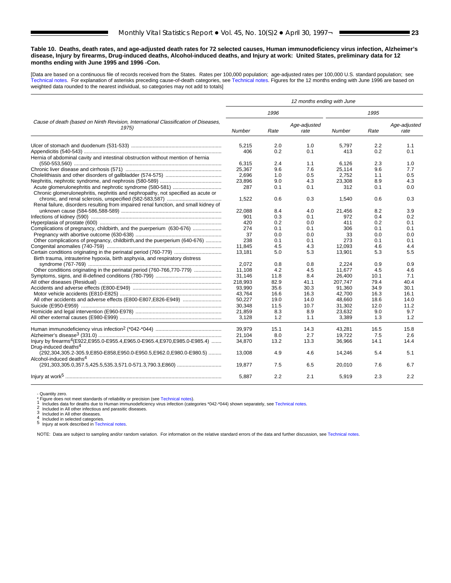#### **Table 10. Deaths, death rates, and age-adjusted death rates for 72 selected causes, Human immunodeficiency virus infection, Alzheimer's disease, Injury by firearms, Drug-induced deaths, Alcohol-induced deaths, and Injury at work: United States, preliminary data for 12 months ending with June 1995 and 1996 -Con.**

[Data are based on a continuous file of records received from the States. Rates per 100,000 population; age-adjusted rates per 100,000 U.S. standard population; see [Technical notes.](#page-32-0) For explanation of asterisks preceding cause-of-death categories, se[e Technical notes.](#page-32-0) Figures for the 12 months ending with June 1996 are based on weighted data rounded to the nearest individual, so categories may not add to totals]

|                                                                                                                                               | 12 months ending with June |      |                      |         |      |                      |  |  |
|-----------------------------------------------------------------------------------------------------------------------------------------------|----------------------------|------|----------------------|---------|------|----------------------|--|--|
|                                                                                                                                               |                            | 1996 |                      |         | 1995 |                      |  |  |
| Cause of death (based on Ninth Revision, International Classification of Diseases,<br>1975)                                                   | Number                     | Rate | Age-adjusted<br>rate | Number  | Rate | Age-adjusted<br>rate |  |  |
|                                                                                                                                               | 5,215                      | 2.0  | 1.0                  | 5.797   | 2.2  | 1.1                  |  |  |
|                                                                                                                                               | 406                        | 0.2  | 0.1                  | 413     | 0.2  | 0.1                  |  |  |
| Hernia of abdominal cavity and intestinal obstruction without mention of hernia                                                               |                            |      |                      |         |      |                      |  |  |
|                                                                                                                                               | 6.315                      | 2.4  | 1.1                  | 6.126   | 2.3  | 1.0                  |  |  |
|                                                                                                                                               | 25,367                     | 9.6  | 7.6                  | 25,114  | 9.6  | 7.7                  |  |  |
|                                                                                                                                               | 2.696                      | 1.0  | 0.5                  | 2.752   | 1.1  | 0.5                  |  |  |
|                                                                                                                                               | 23,896                     | 9.0  | 4.3                  | 23,308  | 8.9  | 4.3                  |  |  |
|                                                                                                                                               | 287                        | 0.1  | 0.1                  | 312     | 0.1  | 0.0                  |  |  |
| Chronic glomerulonephritis, nephritis and nephropathy, not specified as acute or                                                              |                            |      |                      |         |      |                      |  |  |
|                                                                                                                                               | 1,522                      | 0.6  | 0.3                  | 1.540   | 0.6  | 0.3                  |  |  |
| Renal failure, disorders resulting from impaired renal function, and small kidney of                                                          |                            |      |                      |         |      |                      |  |  |
|                                                                                                                                               | 22.088                     | 8.4  | 4.0                  | 21.456  | 8.2  | 3.9                  |  |  |
|                                                                                                                                               | 901                        | 0.3  | 0.1                  | 972     | 0.4  | 0.2                  |  |  |
|                                                                                                                                               | 420                        | 0.2  | 0.0                  | 411     | 0.2  | 0.1                  |  |  |
| Complications of pregnancy, childbirth, and the puerperium (630-676)                                                                          | 274                        | 0.1  | 0.1                  | 306     | 0.1  | 0.1                  |  |  |
|                                                                                                                                               |                            |      |                      |         |      |                      |  |  |
|                                                                                                                                               | 37                         | 0.0  | 0.0                  | 33      | 0.0  | 0.0                  |  |  |
| Other complications of pregnancy, childbirth, and the puerperium (640-676)                                                                    | 238                        | 0.1  | 0.1                  | 273     | 0.1  | 0.1                  |  |  |
|                                                                                                                                               | 11,845                     | 4.5  | 4.3                  | 12,093  | 4.6  | 4.4                  |  |  |
|                                                                                                                                               | 13.181                     | 5.0  | 5.3                  | 13.901  | 5.3  | 5.5                  |  |  |
| Birth trauma, intrauterine hypoxia, birth asphyxia, and respiratory distress                                                                  |                            |      |                      |         |      |                      |  |  |
|                                                                                                                                               | 2,072                      | 0.8  | 0.8                  | 2,224   | 0.9  | 0.9                  |  |  |
|                                                                                                                                               | 11.108                     | 4.2  | 4.5                  | 11.677  | 4.5  | 4.6                  |  |  |
|                                                                                                                                               | 31,146                     | 11.8 | 8.4                  | 26,400  | 10.1 | 7.1                  |  |  |
|                                                                                                                                               | 218.993                    | 82.9 | 41.1                 | 207.747 | 79.4 | 40.4                 |  |  |
|                                                                                                                                               | 93.990                     | 35.6 | 30.3                 | 91,360  | 34.9 | 30.1                 |  |  |
|                                                                                                                                               | 43,764                     | 16.6 | 16.3                 | 42.700  | 16.3 | 16.1                 |  |  |
|                                                                                                                                               | 50,227                     | 19.0 | 14.0                 | 48,660  | 18.6 | 14.0                 |  |  |
|                                                                                                                                               | 30.348                     | 11.5 | 10.7                 | 31.302  | 12.0 | 11.2                 |  |  |
|                                                                                                                                               | 21,859                     | 8.3  | 8.9                  | 23,632  | 9.0  | 9.7                  |  |  |
|                                                                                                                                               | 3,128                      | 1.2  | 1.1                  | 3,389   | 1.3  | 1.2                  |  |  |
|                                                                                                                                               | 39,979                     | 15.1 | 14.3                 | 43,281  | 16.5 | 15.8                 |  |  |
|                                                                                                                                               | 21.104                     | 8.0  | 2.7                  | 19.722  | 7.5  | 2.6                  |  |  |
| Injury by firearms <sup>4</sup> (E922,E955.0-E955.4,E965.0-E965.4,E970,E985.0-E985.4)                                                         | 34.870                     | 13.2 | 13.3                 | 36,966  | 14.1 | 14.4                 |  |  |
| Drug-induced deaths <sup>4</sup><br>(292,304,305.2-305.9,E850-E858,E950.0-E950.5,E962.0,E980.0-E980.5)<br>Alcohol-induced deaths <sup>4</sup> | 13.008                     | 4.9  | 4.6                  | 14.246  | 5.4  | 5.1                  |  |  |
|                                                                                                                                               | 19.877                     | 7.5  | 6.5                  | 20.010  | 7.6  | 6.7                  |  |  |
|                                                                                                                                               | 5,887                      | 2.2  | 2.1                  | 5,919   | 2.3  | 2.2                  |  |  |

- Quantity zero.<br>\* Figure does not meet standards of reliability or precision (see Technical notes).

 $\begin{array}{l} \text{1 includes data for deaths due to Human immunodeficiency virus infection (categories ``042-^044) shown separately, see Technical notes.}\\ \text{2 included in All other infections and parasite diseases.}\\ \text{3 included in All other infections and parasite diseases.}\\ \text{4 included in all other infections.}\\ \text{4 included in all other infections.}\\ \text{5 provided in selected categories.}\\ \text{5 Inputy at work described in Technical notes.}\\ \end{array}$  $\begin{array}{l} \text{1 includes data for deaths due to Human immunodeficiency virus infection (categories ``042-^044) shown separately, see Technical notes.}\\ \text{2 included in All other infections and parasite diseases.}\\ \text{3 included in All other infections and parasite diseases.}\\ \text{4 included in all other infections.}\\ \text{4 included in all other infections.}\\ \text{5 provided in selected categories.}\\ \text{5 Inputy at work described in Technical notes.}\\ \end{array}$  $\begin{array}{l} \text{1 includes data for deaths due to Human immunodeficiency virus infection (categories ``042-^044) shown separately, see Technical notes.}\\ \text{2 included in All other infections and parasite diseases.}\\ \text{3 included in All other infections and parasite diseases.}\\ \text{4 included in all other infections.}\\ \text{4 included in all other infections.}\\ \text{5 provided in selected categories.}\\ \text{5 Inputy at work described in Technical notes.}\\ \end{array}$  $\begin{array}{l} \text{1 includes data for deaths due to Human immunodeficiency virus infection (categories ``042-^044) shown separately, see Technical notes.}\\ \text{2 included in All other infections and parasite diseases.}\\ \text{3 included in All other infections and parasite diseases.}\\ \text{4 included in all other infections.}\\ \text{4 included in all other infections.}\\ \text{5 provided in selected categories.}\\ \text{5 Inputy at work described in Technical notes.}\\ \end{array}$  $\begin{array}{l} \text{1 includes data for deaths due to Human immunodeficiency virus infection (categories ``042-^044) shown separately, see Technical notes.}\\ \text{2 included in All other infections and parasite diseases.}\\ \text{3 included in All other infections and parasite diseases.}\\ \text{4 included in all other infections.}\\ \text{4 included in all other infections.}\\ \text{5 provided in selected categories.}\\ \text{5 Inputy at work described in Technical notes.}\\ \end{array}$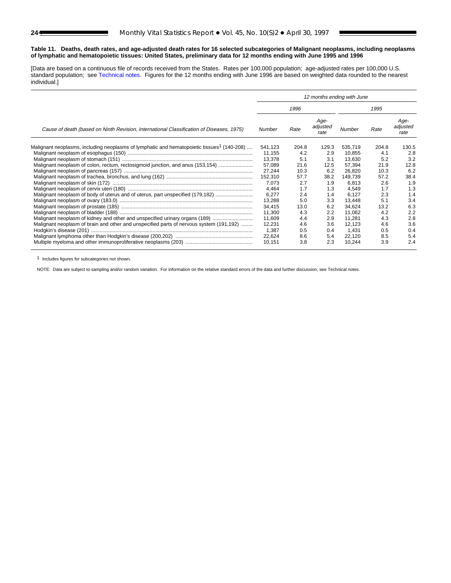#### <span id="page-23-0"></span>**Table 11. Deaths, death rates, and age-adjusted death rates for 16 selected subcategories of Malignant neoplasms, including neoplasms of lymphatic and hematopoietic tissues: United States, preliminary data for 12 months ending with June 1995 and 1996**

[Data are based on a continuous file of records received from the States. Rates per 100,000 population; age-adjusted rates per 100,000 U.S. standard population; se[e Technical notes.](#page-32-0) Figures for the 12 months ending with June 1996 are based on weighted data rounded to the nearest individual.]

|                                                                                                        | 12 months ending with June |       |                          |         |       |                          |  |
|--------------------------------------------------------------------------------------------------------|----------------------------|-------|--------------------------|---------|-------|--------------------------|--|
|                                                                                                        |                            | 1996  |                          |         | 1995  |                          |  |
| Cause of death (based on Ninth Revision, International Classification of Diseases, 1975)               | Number                     | Rate  | Age-<br>adjusted<br>rate | Number  | Rate  | Age-<br>adjusted<br>rate |  |
| Malignant neoplasms, including neoplasms of lymphatic and hematopoietic tissues <sup>1</sup> (140-208) | 541.123                    | 204.8 | 129.3                    | 535,719 | 204.8 | 130.5                    |  |
|                                                                                                        | 11,155                     | 4.2   | 2.9                      | 10.855  | 4.1   | 2.8                      |  |
|                                                                                                        | 13,378                     | 5.1   | 3.1                      | 13,630  | 5.2   | 3.2                      |  |
| Malignant neoplasm of colon, rectum, rectosigmoid junction, and anus (153,154)                         | 57,089                     | 21.6  | 12.5                     | 57,394  | 21.9  | 12.8                     |  |
|                                                                                                        | 27,244                     | 10.3  | 6.2                      | 26,820  | 10.3  | 6.2                      |  |
|                                                                                                        | 152,310                    | 57.7  | 38.2                     | 149.739 | 57.2  | 38.4                     |  |
|                                                                                                        | 7,073                      | 2.7   | 1.9                      | 6,813   | 2.6   | 1.9                      |  |
|                                                                                                        | 4.464                      | 1.7   | 1.3                      | 4.549   | 1.7   | 1.3                      |  |
| Malignant neoplasm of body of uterus and of uterus, part unspecified (179,182)                         | 6,277                      | 2.4   | 1.4                      | 6.127   | 2.3   | 1.4                      |  |
|                                                                                                        | 13,288                     | 5.0   | 3.3                      | 13.448  | 5.1   | 3.4                      |  |
|                                                                                                        | 34,415                     | 13.0  | 6.2                      | 34,624  | 13.2  | 6.3                      |  |
|                                                                                                        | 11,300                     | 4.3   | 2.2                      | 11,062  | 4.2   | 2.2                      |  |
| Malignant neoplasm of kidney and other and unspecified urinary organs (189)                            | 11,609                     | 4.4   | 2.9                      | 11,281  | 4.3   | 2.8                      |  |
| Malignant neoplasm of brain and other and unspecified parts of nervous system (191,192)                | 12,231                     | 4.6   | 3.6                      | 12.123  | 4.6   | 3.6                      |  |
|                                                                                                        | 1,387                      | 0.5   | 0.4                      | 1.431   | 0.5   | 0.4                      |  |
|                                                                                                        | 22,624                     | 8.6   | 5.4                      | 22,120  | 8.5   | 5.4                      |  |
|                                                                                                        | 10,151                     | 3.8   | 2.3                      | 10,244  | 3.9   | 2.4                      |  |

1 Includes figures for subcategories not shown.

NOTE: Data are subject to sampling and/or random variation. For information on the relative standard errors of the data and further discussion, see Technical notes.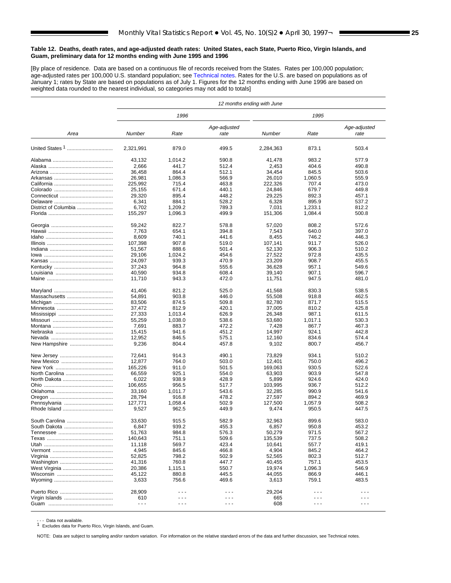#### <span id="page-24-0"></span>**Table 12. Deaths, death rates, and age-adjusted death rates: United States, each State, Puerto Rico, Virgin Islands, and Guam, preliminary data for 12 months ending with June 1995 and 1996**

[By place of residence. Data are based on a continuous file of records received from the States. Rates per 100,000 population; age-adjusted rates per 100,000 U.S. standard population; se[e Technical notes.](#page-32-0) Rates for the U.S. are based on populations as of January 1; rates by State are based on populations as of July 1. Figures for the 12 months ending with June 1996 are based on weighted data rounded to the nearest individual, so categories may not add to totals]

|                      | 12 months ending with June |                      |                      |           |         |                      |
|----------------------|----------------------------|----------------------|----------------------|-----------|---------|----------------------|
|                      |                            | 1996                 |                      |           | 1995    |                      |
| Area                 | Number                     | Rate                 | Age-adjusted<br>rate | Number    | Rate    | Age-adjusted<br>rate |
|                      | 2,321,991                  | 879.0                | 499.5                | 2,284,363 | 873.1   | 503.4                |
|                      | 43,132                     | 1,014.2              | 590.8                | 41,478    | 983.2   | 577.9                |
|                      | 2,666                      | 441.7                | 512.4                | 2,453     | 404.6   | 490.8                |
|                      | 36,458                     | 864.4                | 512.1                | 34,454    | 845.5   | 503.6                |
|                      | 26,981                     | 1,086.3              | 566.9                | 26,010    | 1,060.5 | 555.9                |
|                      | 225,992                    | 715.4                | 463.8                | 222.326   | 707.4   | 473.0                |
|                      | 25,155                     | 671.4                | 440.1                | 24,846    | 679.7   | 449.8                |
|                      | 29,320                     | 895.4                | 448.2                | 29,225    | 892.3   | 457.1                |
|                      | 6,341                      | 884.1                | 528.2                | 6,328     | 895.9   | 537.2                |
| District of Columbia | 6,702                      | 1,209.2              | 789.3                | 7,031     | 1,233.1 | 812.2                |
|                      | 155,297                    | 1,096.3              | 499.9                | 151,306   | 1,084.4 | 500.8                |
|                      | 59,242                     | 822.7                | 578.8                | 57,020    | 808.2   | 572.6                |
|                      | 7,763                      | 654.1                | 394.8                | 7,543     | 640.0   | 397.0                |
|                      | 8,609                      | 740.1                | 441.6                | 8,455     | 746.2   | 446.3                |
|                      | 107,398                    | 907.8                | 519.0                | 107,141   | 911.7   | 526.0                |
|                      | 51.567                     | 888.6                | 501.4                | 52,130    | 906.3   | 510.2                |
|                      | 29,106                     | 1,024.2              | 454.6                | 27,522    | 972.8   | 435.5                |
|                      | 24.097                     | 939.3                | 470.9                | 23,209    | 908.7   | 455.5                |
|                      | 37,243                     | 964.8                | 555.6                | 36,628    | 957.1   | 549.6                |
|                      | 40,590                     | 934.8                | 608.4                | 39,140    | 907.1   | 596.7                |
|                      | 11,710                     | 943.3                | 472.0                | 11,751    | 947.5   | 481.0                |
|                      | 41,406                     | 821.2                | 525.0                | 41,568    | 830.3   | 538.5                |
| Massachusetts        | 54,891                     | 903.8                | 446.0                | 55,508    | 918.8   | 462.5                |
|                      | 83,506                     | 874.5                | 509.8                | 82,780    | 871.7   | 515.5                |
|                      | 37,472                     | 812.9                | 420.1                | 37,005    | 810.2   | 425.8                |
|                      | 27,333                     | 1,013.4              | 626.9                | 26,348    | 987.1   | 611.5                |
|                      | 55,259                     | 1,038.0              | 538.6                | 53,680    | 1,017.1 | 530.3                |
|                      | 7,691                      | 883.7                | 472.2                | 7,428     | 867.7   | 467.3                |
|                      | 15,415                     | 941.6                | 451.2                | 14,997    | 924.1   | 442.8                |
|                      | 12,952                     | 846.5                | 575.1                | 12,160    | 834.6   | 574.4                |
| New Hampshire        | 9,236                      | 804.4                | 457.8                | 9,102     | 800.7   | 456.7                |
|                      | 72,641                     | 914.3                | 490.1                | 73,829    | 934.1   | 510.2                |
|                      | 12,877                     | 764.0                | 503.0                | 12,401    | 750.0   | 496.2                |
|                      | 165,226                    | 911.0                | 501.5                | 169,063   | 930.5   | 522.6                |
| North Carolina       | 66,559                     | 925.1                | 554.0                | 63,903    | 903.9   | 547.8                |
|                      | 6,022                      | 938.9                | 428.9                | 5,899     | 924.6   | 424.0                |
|                      | 106,655                    | 956.5                | 517.7                | 103,995   | 936.7   | 512.2                |
|                      | 33,160                     | 1,011.7              | 543.6                | 32,285    | 990.9   | 541.6                |
|                      | 28,794                     | 916.8                | 478.2                | 27,597    | 894.2   | 469.9                |
|                      | 127,771                    | 1,058.4              | 502.9                | 127,500   | 1,057.9 | 508.2                |
|                      | 9,527                      | 962.5                | 449.9                | 9,474     | 950.5   | 447.5                |
| South Carolina       | 33,630                     | 915.5                | 582.9                | 32,963    | 899.6   | 583.0                |
| South Dakota         | 6,847                      | 939.2                | 455.3                | 6,857     | 950.8   | 453.2                |
|                      | 51,763                     | 984.8                | 576.3                | 50,279    | 971.5   | 567.2                |
|                      | 140,643                    | 751.1                | 509.6                | 135,539   | 737.5   | 508.2                |
|                      | 11,118                     | 569.7                | 423.4                | 10,641    | 557.7   | 419.1                |
|                      | 4,945                      | 845.6                | 466.8                | 4,904     | 845.2   | 464.2                |
|                      | 52,825                     | 798.2                | 502.9                | 52,565    | 802.3   | 512.7                |
|                      | 41,316                     | 760.8                | 447.7                | 40,455    | 757.1   | 453.5                |
|                      | 20,386                     | 1,115.1              | 550.7                | 19,974    | 1,096.3 | 546.9                |
|                      | 45,122                     | 880.8                | 445.5                | 44,055    | 866.9   | 446.1                |
|                      | 3,633                      | 756.6                | 469.6                | 3,613     | 759.1   | 483.5                |
|                      | 28,909                     | .                    | $\sim$ $\sim$ $\sim$ | 29,204    |         |                      |
| Virgin Islands       | 610                        | $\sim$ $\sim$ $\sim$ | $\sim$ $\sim$ $\sim$ | 665       | .       | $\sim$ $\sim$ $\sim$ |
|                      | - - -                      | - - -                | $ -$                 | 608       | - - -   | $- - -$              |

- - - Data not available.<br>1 Excludes data for Puerto Rico, Virgin Islands, and Guam.

NOTE: Data are subject to sampling and/or random variation. For information on the relative standard errors of the data and further discussion, see Technical notes.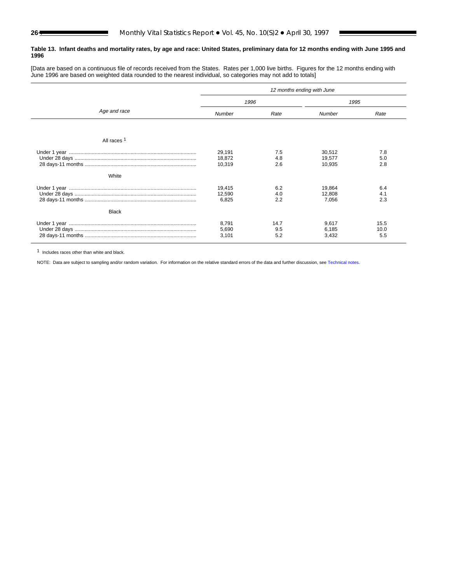#### <span id="page-25-0"></span>**Table 13. Infant deaths and mortality rates, by age and race: United States, preliminary data for 12 months ending with June 1995 and 1996**

[Data are based on a continuous file of records received from the States. Rates per 1,000 live births. Figures for the 12 months ending with June 1996 are based on weighted data rounded to the nearest individual, so categories may not add to totals]

|                        | 12 months ending with June |                    |                            |                     |  |
|------------------------|----------------------------|--------------------|----------------------------|---------------------|--|
|                        | 1996                       |                    | 1995                       |                     |  |
| Age and race           | <b>Number</b>              | Rate               | Number                     | Rate                |  |
|                        |                            |                    |                            |                     |  |
| All races <sup>1</sup> |                            |                    |                            |                     |  |
|                        | 29,191<br>18,872<br>10,319 | 7.5<br>4.8<br>2.6  | 30,512<br>19,577<br>10,935 | 7.8<br>5.0<br>2.8   |  |
| White                  | 19,415<br>12,590<br>6,825  | 6.2<br>4.0<br>2.2  | 19,864<br>12,808<br>7,056  | 6.4<br>4.1<br>2.3   |  |
| Black                  |                            |                    |                            |                     |  |
|                        | 8,791<br>5,690<br>3,101    | 14.7<br>9.5<br>5.2 | 9,617<br>6,185<br>3,432    | 15.5<br>10.0<br>5.5 |  |

1 Includes races other than white and black.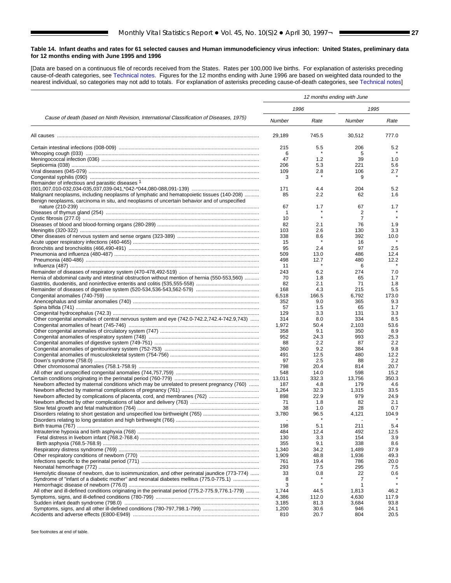#### <span id="page-26-0"></span>**Table 14. Infant deaths and rates for 61 selected causes and Human immunodeficiency virus infection: United States, preliminary data for 12 months ending with June 1995 and 1996**

[Data are based on a continuous file of records received from the States. Rates per 100,000 live births. For explanation of asterisks preceding cause-of-death categories, see [Technical notes.](#page-32-0) Figures for the 12 months ending with June 1996 are based on weighted data rounded to the nearest individual, so categories may not add to totals. For explanation of asterisks preceding cause-of-death categories, se[e Technical notes\]](#page-32-0)

|                                                                                                                                                                                        | 12 months ending with June |              |                      |              |  |
|----------------------------------------------------------------------------------------------------------------------------------------------------------------------------------------|----------------------------|--------------|----------------------|--------------|--|
|                                                                                                                                                                                        | 1996                       |              | 1995                 |              |  |
| Cause of death (based on Ninth Revision, International Classification of Diseases, 1975)                                                                                               |                            | Rate         | Number               | Rate         |  |
|                                                                                                                                                                                        | 29,189                     | 745.5        | 30,512               | 777.0        |  |
|                                                                                                                                                                                        | 215                        | 5.5          | 206                  | 5.2          |  |
|                                                                                                                                                                                        | 6                          |              | 5                    |              |  |
|                                                                                                                                                                                        | 47                         | 1.2          | 39                   | 1.0          |  |
|                                                                                                                                                                                        | 206<br>109                 | 5.3<br>2.8   | 221<br>106           | 5.6<br>2.7   |  |
|                                                                                                                                                                                        | 3                          |              | 9                    |              |  |
| Remainder of infectious and parasitic diseases <sup>1</sup>                                                                                                                            |                            |              |                      |              |  |
|                                                                                                                                                                                        | 171                        | 4.4          | 204                  | 5.2          |  |
| Malignant neoplasms, including neoplasms of lymphatic and hematopoietic tissues (140-208)                                                                                              | 85                         | 2.2          | 62                   | 1.6          |  |
| Benign neoplasms, carcinoma in situ, and neoplasms of uncertain behavior and of unspecified                                                                                            |                            |              |                      |              |  |
|                                                                                                                                                                                        | 67                         | 1.7          | 67                   | 1.7          |  |
|                                                                                                                                                                                        | 1                          | $\star$      | 2                    |              |  |
|                                                                                                                                                                                        | 10                         | 2.1          | $\overline{7}$<br>76 |              |  |
|                                                                                                                                                                                        | 82<br>103                  | 2.6          | 130                  | 1.9<br>3.3   |  |
|                                                                                                                                                                                        | 338                        | 8.6          | 392                  | 10.0         |  |
|                                                                                                                                                                                        | 15                         |              | 16                   |              |  |
|                                                                                                                                                                                        | 95                         | 2.4          | 97                   | 2.5          |  |
|                                                                                                                                                                                        | 509                        | 13.0         | 486                  | 12.4         |  |
|                                                                                                                                                                                        | 498                        | 12.7         | 480                  | 12.2         |  |
|                                                                                                                                                                                        | 11                         |              | 6                    |              |  |
|                                                                                                                                                                                        | 243                        | 6.2          | 274                  | 7.0          |  |
| Hernia of abdominal cavity and intestinal obstruction without mention of hernia (550-553,560)                                                                                          | 70                         | 1.8          | 65                   | 1.7          |  |
|                                                                                                                                                                                        | 82                         | 2.1          | 71                   | 1.8          |  |
|                                                                                                                                                                                        | 168<br>6,518               | 4.3<br>166.5 | 215<br>6,792         | 5.5<br>173.0 |  |
|                                                                                                                                                                                        | 352                        | 9.0          | 365                  | 9.3          |  |
|                                                                                                                                                                                        | 57                         | 1.5          | 65                   | 1.7          |  |
|                                                                                                                                                                                        | 129                        | 3.3          | 131                  | 3.3          |  |
| Other congenital anomalies of central nervous system and eye (742.0-742.2,742.4-742.9,743)                                                                                             | 314                        | 8.0          | 334                  | 8.5          |  |
|                                                                                                                                                                                        | 1,972                      | 50.4         | 2,103                | 53.6         |  |
|                                                                                                                                                                                        | 358                        | 9.1          | 350                  | 8.9          |  |
|                                                                                                                                                                                        | 952                        | 24.3         | 993                  | 25.3         |  |
|                                                                                                                                                                                        | 88                         | 2.2          | 87                   | 2.2          |  |
|                                                                                                                                                                                        | 360                        | 9.2          | 384                  | 9.8          |  |
|                                                                                                                                                                                        | 491<br>97                  | 12.5<br>2.5  | 480<br>88            | 12.2<br>2.2  |  |
|                                                                                                                                                                                        | 798                        | 20.4         | 814                  | 20.7         |  |
|                                                                                                                                                                                        | 548                        | 14.0         | 598                  | 15.2         |  |
|                                                                                                                                                                                        | 13,011                     | 332.3        | 13,756               | 350.3        |  |
| Newborn affected by maternal conditions which may be unrelated to present pregnancy (760)                                                                                              | 187                        | 4.8          | 179                  | 4.6          |  |
|                                                                                                                                                                                        | 1,264                      | 32.3         | 1,315                | 33.5         |  |
|                                                                                                                                                                                        | 898                        | 22.9         | 979                  | 24.9         |  |
|                                                                                                                                                                                        | 71                         | 1.8          | 82                   | 2.1          |  |
|                                                                                                                                                                                        | 38<br>3,780                | 1.0<br>96.5  | 28<br>4,121          | 0.7<br>104.9 |  |
| Disorders relating to long gestation and high birthweight (766)                                                                                                                        |                            |              |                      |              |  |
|                                                                                                                                                                                        | 198                        | 5.1          | 211                  | 5.4          |  |
|                                                                                                                                                                                        | 484                        | 12.4         | 492                  | 12.5         |  |
|                                                                                                                                                                                        | 130                        | 3.3          | 154                  | 3.9          |  |
|                                                                                                                                                                                        | 355                        | 9.1          | 338                  | 8.6          |  |
|                                                                                                                                                                                        | 1,340                      | 34.2         | 1,489                | 37.9         |  |
|                                                                                                                                                                                        | 1,909                      | 48.8         | 1,936                | 49.3         |  |
|                                                                                                                                                                                        | 761                        | 19.4         | 786                  | 20.0         |  |
|                                                                                                                                                                                        | 293                        | 7.5          | 295                  | 7.5          |  |
| Hemolytic disease of newborn, due to isoimmunization, and other perinatal jaundice (773-774)<br>Syndrome of "infant of a diabetic mother" and neonatal diabetes mellitus (775.0-775.1) | 33<br>8                    | 0.8          | 22<br>7              | 0.6          |  |
|                                                                                                                                                                                        | 3                          |              | 1                    |              |  |
| All other and ill-defined conditions originating in the perinatal period (775.2-775.9,776.1-779)                                                                                       | 1,744                      | 44.5         | 1,813                | 46.2         |  |
|                                                                                                                                                                                        | 4,386                      | 112.0        | 4,630                | 117.9        |  |
|                                                                                                                                                                                        | 3,185                      | 81.3         | 3,684                | 93.8         |  |
|                                                                                                                                                                                        | 1,200                      | 30.6         | 946                  | 24.1         |  |
|                                                                                                                                                                                        | 810                        | 20.7         | 804                  | 20.5         |  |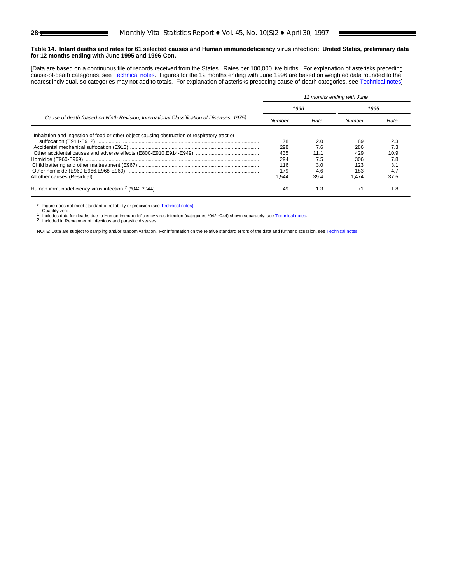#### **Table 14. Infant deaths and rates for 61 selected causes and Human immunodeficiency virus infection: United States, preliminary data for 12 months ending with June 1995 and 1996-Con.**

[Data are based on a continuous file of records received from the States. Rates per 100,000 live births. For explanation of asterisks preceding cause-of-death categories, see [Technical notes.](#page-32-0) Figures for the 12 months ending with June 1996 are based on weighted data rounded to the nearest individual, so categories may not add to totals. For explanation of asterisks preceding cause-of-death categories, see [Technical notes\]](#page-32-0)

|                                                                                              | 12 months ending with June |      |        |      |
|----------------------------------------------------------------------------------------------|----------------------------|------|--------|------|
|                                                                                              | 1996                       |      | 1995   |      |
| Cause of death (based on Ninth Revision, International Classification of Diseases, 1975)     | Number                     | Rate | Number | Rate |
| Inhalation and ingestion of food or other object causing obstruction of respiratory tract or |                            |      |        |      |
|                                                                                              | 78                         | 2.0  | 89     | 2.3  |
|                                                                                              | 298                        | 76   | 286    | 7.3  |
|                                                                                              | 435                        | 11.1 | 429    | 10.9 |
|                                                                                              | 294                        |      | 306    | 7.8  |
|                                                                                              | 116                        | 3.0  | 123    | 3.1  |
|                                                                                              | 179                        | 4.6  | 183    | 4.7  |
|                                                                                              | .544                       | 39.4 | 1.474  | 37.5 |
|                                                                                              | 49                         | 1.3  |        | 1.8  |

\* Figure does not meet standard of reliability or precision (see [Technical notes\)](#page-32-0).

- Quantity zero.<br>1 Includes data for deaths due to Human immunodeficiency virus infection (categories \*042-\*044) shown separately; see [Technical notes.](#page-32-0)<br>2 Included in Remainder of infectious and parasitic diseases.

NOTE: Data are subject to sampling and/or random variation. For information on the relative standard errors of the data and further discussion, se[e Technical notes.](#page-32-0)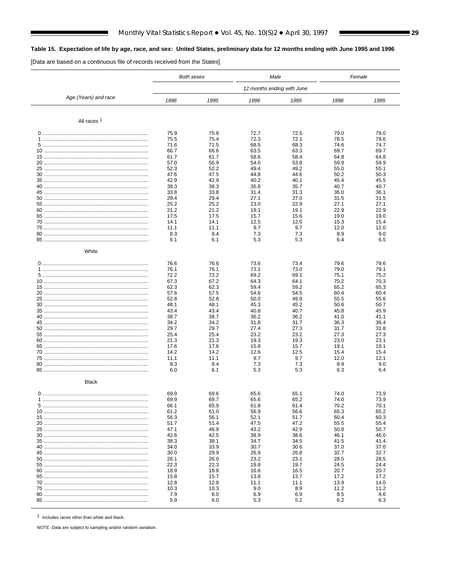# <span id="page-28-0"></span>Table 15. Expectation of life by age, race, and sex: United States, preliminary data for 12 months ending with June 1995 and 1996

[Data are based on a continuous file of records received from the States]

ı

|                        |              | <b>Both sexes</b> | Male         |                            | Female       |              |
|------------------------|--------------|-------------------|--------------|----------------------------|--------------|--------------|
|                        |              |                   |              | 12 months ending with June |              |              |
| Age (Years) and race   | 1996         | 1995              | 1996         | 1995                       | 1996         | 1995         |
| All races <sup>1</sup> |              |                   |              |                            |              |              |
|                        |              |                   |              |                            |              |              |
|                        | 75.9<br>75.5 | 75.8<br>75.4      | 72.7<br>72.3 | 72.5<br>72.1               | 79.0<br>78.5 | 79.0<br>78.6 |
|                        | 71.6         | 71.5              | 68.5         | 68.3                       | 74.6         | 74.7         |
|                        | 66.7         | 66.6              | 63.5         | 63.3                       | 69.7         | 69.7         |
|                        | 61.7         | 61.7              | 58.6         | 58.4                       | 64.8         | 64.8         |
|                        | 57.0         | 56.9              | 54.0         | 53.8                       | 59.9         | 59.9         |
|                        | 52.3         | 52.2              | 49.4         | 49.2                       | 55.0         | 55.1         |
|                        | 47.6         | 47.5              | 44.8         | 44.6                       | 50.2         | 50.3         |
|                        | 42.9         | 42.9              | 40.2         | 40.1                       | 45.4         | 45.5         |
|                        | 38.3         | 38.3              | 35.8         | 35.7                       | 40.7         | 40.7         |
|                        | 33.8         | 33.8              | 31.4         | 31.3                       | 36.0         | 36.1         |
|                        | 29.4         | 29.4              | 27.1         | 27.0                       | 31.5         | 31.5         |
|                        | 25.2         | 25.2              | 23.0         | 22.9                       | 27.1         | 27.1         |
|                        | 21.2         | 21.2              | 19.1         | 19.1                       | 22.9         | 22.9         |
|                        | 17.5<br>14.1 | 17.5<br>14.1      | 15.7<br>12.5 | 15.6<br>12.5               | 19.0<br>15.3 | 19.0<br>15.4 |
|                        | 11.1         | 11.1              | 9.7          | 9.7                        | 12.0         | 12.0         |
|                        | 8.3          | 8.4               | 7.3          | 7.3                        | 8.9          | 9.0          |
|                        | 6.1          | 6.1               | 5.3          | 5.3                        | 6.4          | 6.5          |
| White                  |              |                   |              |                            |              |              |
|                        |              |                   |              |                            |              |              |
|                        | 76.6         | 76.6              | 73.6         | 73.4                       | 79.6         | 79.6         |
|                        | 76.1         | 76.1              | 73.1         | 73.0                       | 79.0         | 79.1         |
|                        | 72.2<br>67.3 | 72.2              | 69.2<br>64.3 | 69.1<br>64.1               | 75.1<br>70.2 | 75.2<br>70.3 |
|                        | 62.3         | 67.2<br>62.3      | 59.4         | 59.2                       | 65.2         | 65.3         |
|                        | 57.6         | 57.5              | 54.6         | 54.5                       | 60.4         | 60.4         |
|                        | 52.8         | 52.8              | 50.0         | 49.9                       | 55.5         | 55.6         |
|                        | 48.1         | 48.1              | 45.3         | 45.2                       | 50.6         | 50.7         |
|                        | 43.4         | 43.4              | 40.8         | 40.7                       | 45.8         | 45.9         |
|                        | 38.7         | 38.7              | 36.2         | 36.2                       | 41.0         | 41.1         |
|                        | 34.2         | 34.2              | 31.8         | 31.7                       | 36.3         | 36.4         |
|                        | 29.7         | 29.7              | 27.4         | 27.3                       | 31.7         | 31.8         |
|                        | 25.4         | 25.4              | 23.2         | 23.2                       | 27.3<br>23.0 | 27.3         |
|                        | 21.3<br>17.6 | 21.3<br>17.6      | 19.3<br>15.8 | 19.3<br>15.7               | 19.1         | 23.1<br>19.1 |
|                        | 14.2         | 14.2              | 12.6         | 12.5                       | 15.4         | 15.4         |
|                        | 11.1         | 11.1              | 9.7          | 9.7                        | 12.0         | 12.1         |
|                        | 8.3          | 8.4               | 7.3          | 7.3                        | 8.9          | 9.0          |
|                        | 6.0          | 6.1               | 5.3          | 5.3                        | 6.3          | 6.4          |
| <b>Black</b>           |              |                   |              |                            |              |              |
|                        | 69.9         | 69.6              | 65.6         | 65.1                       | 74.0         | 73.9         |
|                        | 69.9         | 69.7              | 65.6         | 65.2                       | 74.0         | 73.9         |
|                        | 66.1         | 65.9              | 61.8         | 61.4                       | 70.2         | 70.1         |
|                        | 61.2         | 61.0              | 56.9         | 56.6                       | 65.3         | 65.2         |
|                        | 56.3         | 56.1              | 52.1         | 51.7                       | 60.4         | 60.3         |
|                        | 51.7         | 51.4              | 47.5         | 47.2                       | 55.5         | 55.4         |
|                        | 47.1         | 46.9              | 43.2         | 42.9                       | 50.8         | 50.7         |
|                        | 42.6         | 42.5              | 38.9         | 38.6                       | 46.1         | 46.0         |
|                        | 38.3<br>34.0 | 38.1<br>33.9      | 34.7<br>30.7 | 34.5<br>30.6               | 41.5<br>37.0 | 41.4<br>37.0 |
|                        | 30.0         | 29.9              | 26.9         | 26.8                       | 32.7         | 32.7         |
|                        | 26.1         | 26.0              | 23.2         | 23.1                       | 28.5         | 28.5         |
|                        | 22.3         | 22.3              | 19.8         | 19.7                       | 24.5         | 24.4         |
|                        | 18.9         | 18.8              | 16.6         | 16.5                       | 20.7         | 20.7         |
|                        | 15.8         | 15.7              | 13.8         | 13.7                       | 17.2         | 17.2         |
|                        | 12.8         | 12.8              | 11.1         | 11.1                       | 13.9         | 14.0         |
|                        | 10.3         | 10.3              | 9.0          | 8.9                        | 11.2         | 11.2         |
|                        | 7.9<br>5.9   | 8.0               | 6.9          | 6.9<br>5.2                 | 8.5          | 8.6          |
|                        |              | 6.0               | 5.3          |                            | 6.2          | 6.3          |

1 Includes races other than white and black.

NOTE: Data are subject to sampling and/or random variation.

Ξ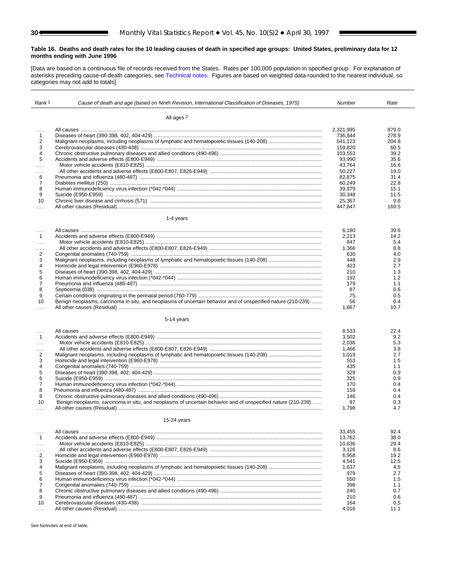#### <span id="page-29-0"></span>**Table 16. Deaths and death rates for the 10 leading causes of death in specified age groups: United States, preliminary data for 12 months ending with June 1996**

[Data are based on a continuous file of records received from the States. Rates per 100,000 population in specified group. For explanation of asterisks preceding cause-of-death categories, se[e Technical notes.](#page-32-0) Figures are based on weighted data rounded to the nearest individual, so categories may not add to totals]

| Rank <sup>1</sup>          | Cause of death and age (based on Ninth Revision, International Classification of Diseases, 1975)             | Number            | Rate       |
|----------------------------|--------------------------------------------------------------------------------------------------------------|-------------------|------------|
|                            |                                                                                                              |                   |            |
|                            | All ages <sup>2</sup>                                                                                        |                   |            |
| $\cdots$                   |                                                                                                              | 2,321,995         | 879.0      |
| $\mathbf{1}$               |                                                                                                              | 736,844           | 278.9      |
| 2                          |                                                                                                              | 541,123           | 204.8      |
| 3                          |                                                                                                              | 159,820           | 60.5       |
| 4                          |                                                                                                              | 103,553           | 39.2       |
| 5                          |                                                                                                              | 93,990            | 35.6       |
| .                          |                                                                                                              | 43,764            | 16.6       |
| $\sim$ $\sim$              |                                                                                                              | 50,227            | 19.0       |
| 6                          |                                                                                                              | 82,875            | 31.4       |
| $\overline{7}$             |                                                                                                              | 60,249            | 22.8       |
| 8                          |                                                                                                              | 39,979            | 15.1       |
| 9                          |                                                                                                              | 30,348            | 11.5       |
| 10                         |                                                                                                              | 25,367<br>447.847 | 9.6        |
| $\sim$ $\sim$              |                                                                                                              |                   | 169.5      |
|                            | 1-4 years                                                                                                    |                   |            |
|                            |                                                                                                              | 6,180             | 39.6       |
| $\mathbf{1}$               |                                                                                                              | 2,213             | 14.2       |
| $\sim 100$                 |                                                                                                              | 847               | 5.4        |
| $\cdots$                   |                                                                                                              | 1,366             | 8.8        |
| 2                          |                                                                                                              | 630               | 4.0        |
| 3                          |                                                                                                              | 448               | 2.9        |
| 4                          |                                                                                                              | 423               | 2.7        |
| 5                          |                                                                                                              | 210               | 1.3        |
| 6                          |                                                                                                              | 192               | 1.2        |
| 7<br>8                     |                                                                                                              | 179<br>87         | 1.1<br>0.6 |
| 9                          |                                                                                                              | 75                | 0.5        |
| 10                         | Benign neoplasms, carcinoma in situ, and neoplasms of uncertain behavior and of unspecified nature (210-239) | 56                | 0.4        |
| $\cdots$                   |                                                                                                              | 1,667             | 10.7       |
|                            | 5-14 years                                                                                                   |                   |            |
|                            |                                                                                                              |                   |            |
| $\sim$ $\sim$ $\sim$       |                                                                                                              | 8,533             | 22.4       |
| $\mathbf{1}$               |                                                                                                              | 3,502             | 9.2<br>5.3 |
| $\sim 10$                  |                                                                                                              | 2,036<br>1,466    | 3.8        |
| $\cdots$<br>$\overline{2}$ |                                                                                                              | 1,019             | 2.7        |
| 3                          |                                                                                                              | 553               | 1.5        |
| 4                          |                                                                                                              | 435               | 1.1        |
| 5                          |                                                                                                              | 329               | 0.9        |
| 6                          |                                                                                                              | 325               | 0.9        |
| 7                          |                                                                                                              | 170               | 0.4        |
| 8                          |                                                                                                              | 159               | 0.4        |
| 9                          |                                                                                                              | 146               | 0.4        |
| 10                         | Benign neoplasms, carcinoma in situ, and neoplasms of uncertain behavior and of unspecified nature (210-239) | 97                | 0.3        |
| $\sim$                     |                                                                                                              | 1,798             | 4.7        |
|                            | $15-24$ years                                                                                                |                   |            |
| $\cdots$                   |                                                                                                              | 33,455            | 92.4       |
| $\mathbf{1}$               |                                                                                                              | 13,762            | 38.0       |
| $\cdots$                   |                                                                                                              | 10,636            | 29.4       |
| .                          |                                                                                                              | 3,126             | 8.6        |
| 2                          |                                                                                                              | 6,958             | 19.2       |
| 3                          |                                                                                                              | 4,541             | 12.5       |
| 4                          |                                                                                                              | 1,637             | 4.5        |
| 5                          |                                                                                                              | 979               | 2.7        |
| 6                          |                                                                                                              | 550               | 1.5        |
| 7<br>8                     |                                                                                                              | 398<br>240        | 1.1<br>0.7 |
| 9                          |                                                                                                              | 210               | 0.6        |
| 10                         |                                                                                                              | 164               | 0.5        |
| $\cdots$                   |                                                                                                              | 4,016             | 11.1       |
|                            |                                                                                                              |                   |            |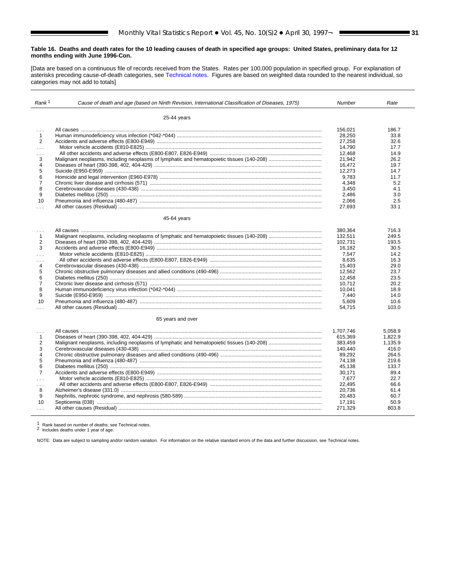#### **Table 16. Deaths and death rates for the 10 leading causes of death in specified age groups: United States, preliminary data for 12 months ending with June 1996-Con.**

[Data are based on a continuous file of records received from the States. Rates per 100,000 population in specified group. For explanation of asterisks preceding cause-of-death categories, see [Technical notes.](#page-32-0) Figures are based on weighted data rounded to the nearest individual, so categories may not add to totals]

| Rank <sup>1</sup>       | Cause of death and age (based on Ninth Revision, International Classification of Diseases, 1975) | Number    | Rate    |
|-------------------------|--------------------------------------------------------------------------------------------------|-----------|---------|
|                         | 25-44 years                                                                                      |           |         |
| $\sim$                  |                                                                                                  | 156.021   | 186.7   |
| $\mathbf{1}$            |                                                                                                  | 28,250    | 33.8    |
| 2                       |                                                                                                  | 27,258    | 32.6    |
| $\cdots$                |                                                                                                  | 14.790    | 17.7    |
| $\cdots$                |                                                                                                  | 12,468    | 14.9    |
| 3                       |                                                                                                  | 21.942    | 26.2    |
| $\overline{4}$          |                                                                                                  | 16,472    | 19.7    |
| 5                       |                                                                                                  | 12.273    | 14.7    |
| 6                       |                                                                                                  | 9,783     | 11.7    |
| $\overline{7}$          |                                                                                                  | 4.348     | 5.2     |
| 8                       |                                                                                                  | 3,450     | 4.1     |
| 9                       |                                                                                                  | 2,486     | 3.0     |
| 10                      |                                                                                                  | 2,066     | 2.5     |
| .                       |                                                                                                  | 27.693    | 33.1    |
|                         | 45-64 years                                                                                      |           |         |
|                         |                                                                                                  | 380.364   | 716.3   |
| .<br>$\mathbf{1}$       |                                                                                                  | 132,511   | 249.5   |
| $\overline{2}$          |                                                                                                  | 102.731   | 193.5   |
| 3                       |                                                                                                  | 16.182    | 30.5    |
| .                       |                                                                                                  | 7,547     | 14.2    |
| $\sim$                  |                                                                                                  | 8.635     | 16.3    |
| $\overline{4}$          |                                                                                                  | 15,403    | 29.0    |
| 5                       |                                                                                                  | 12,562    | 23.7    |
| 6                       |                                                                                                  | 12,458    | 23.5    |
| $\overline{7}$          |                                                                                                  | 10,712    | 20.2    |
| 8                       |                                                                                                  | 10.041    | 18.9    |
| 9                       |                                                                                                  | 7,440     | 14.0    |
| 10                      |                                                                                                  | 5,609     | 10.6    |
| $\cdots$                |                                                                                                  | 54,715    | 103.0   |
|                         |                                                                                                  |           |         |
|                         | 65 years and over                                                                                |           |         |
| .                       |                                                                                                  | 1.707.746 | 5.058.9 |
| $\mathbf{1}$            |                                                                                                  | 615,369   | 1,822.9 |
| $\overline{2}$          |                                                                                                  | 383.459   | 1,135.9 |
| 3                       |                                                                                                  | 140.440   | 416.0   |
| $\overline{\mathbf{4}}$ |                                                                                                  | 89,292    | 264.5   |
| 5                       |                                                                                                  | 74,138    | 219.6   |
| 6                       |                                                                                                  | 45,138    | 133.7   |
| $\overline{7}$          |                                                                                                  | 30,171    | 89.4    |
| in a                    |                                                                                                  | 7,677     | 22.7    |
| $\sim 100$              |                                                                                                  | 22.495    | 66.6    |
| 8                       |                                                                                                  | 20.736    | 61.4    |
| 9                       |                                                                                                  | 20,483    | 60.7    |
| 10                      |                                                                                                  | 17,191    | 50.9    |
| $\cdots$                |                                                                                                  | 271,329   | 803.8   |
|                         |                                                                                                  |           |         |

<sup>1</sup> Rank based on number of deaths; see Technical notes. <sup>2</sup> Includes deaths under 1 year of age.

NOTE: Data are subject to sampling and/or random variation. For information on the relative standard errors of the data and further discussion, see Technical notes.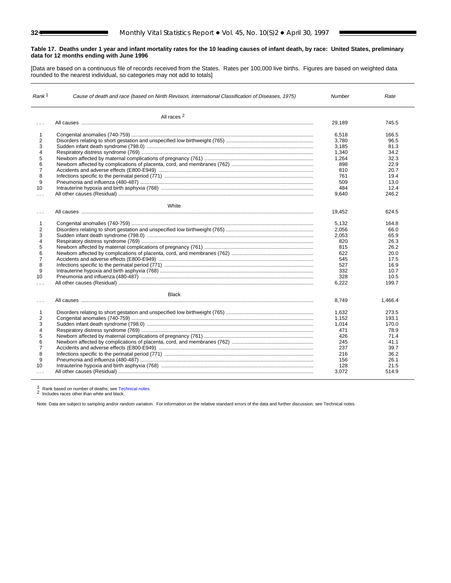# <span id="page-31-0"></span>**Table 17. Deaths under 1 year and infant mortality rates for the 10 leading causes of infant death, by race: United States, preliminary data for 12 months ending with June 1996**

[Data are based on a continuous file of records received from the States. Rates per 100,000 live births. Figures are based on weighted data rounded to the nearest individual, so categories may not add to totals]

| Rank <sup>1</sup>    | Cause of death and race (based on Ninth Revision, International Classification of Diseases, 1975) |        | Rate    |
|----------------------|---------------------------------------------------------------------------------------------------|--------|---------|
|                      | All races 2                                                                                       |        |         |
|                      |                                                                                                   | 29.189 | 745.5   |
| 1                    |                                                                                                   | 6.518  | 166.5   |
| 2                    |                                                                                                   | 3.780  | 96.5    |
| 3                    |                                                                                                   | 3,185  | 81.3    |
| 4                    |                                                                                                   | 1,340  | 34.2    |
| 5                    |                                                                                                   | 1,264  | 32.3    |
| 6                    |                                                                                                   | 898    | 22.9    |
| $\overline{7}$       |                                                                                                   | 810    | 20.7    |
| 8                    |                                                                                                   | 761    | 19.4    |
| 9                    |                                                                                                   | 509    | 13.0    |
| 10                   |                                                                                                   | 484    | 12.4    |
| $\sim 10$            |                                                                                                   | 9,640  | 246.2   |
|                      | White                                                                                             |        |         |
| $\cdots$             |                                                                                                   | 19,452 | 624.5   |
| $\mathbf{1}$         |                                                                                                   | 5,132  | 164.8   |
| 2                    |                                                                                                   | 2,056  | 66.0    |
| 3                    |                                                                                                   | 2,053  | 65.9    |
| 4                    |                                                                                                   | 820    | 26.3    |
| 5                    |                                                                                                   | 815    | 26.2    |
| 6                    |                                                                                                   | 622    | 20.0    |
| $\overline{7}$       |                                                                                                   | 545    | 17.5    |
| 8                    |                                                                                                   | 527    | 16.9    |
| 9                    |                                                                                                   | 332    | 10.7    |
| 10                   |                                                                                                   | 328    | 10.5    |
| $\sim$ $\sim$ $\sim$ |                                                                                                   | 6,222  | 199.7   |
|                      | <b>Black</b>                                                                                      |        |         |
| $\cdots$             |                                                                                                   | 8.749  | 1,466.4 |
| 1                    |                                                                                                   | 1,632  | 273.5   |
| 2                    |                                                                                                   | 1,152  | 193.1   |
| 3                    |                                                                                                   | 1,014  | 170.0   |
| 4                    |                                                                                                   | 471    | 78.9    |
| 5                    |                                                                                                   | 426    | 71.4    |
| 6                    |                                                                                                   | 245    | 41.1    |
| $\overline{7}$       |                                                                                                   | 237    | 39.7    |
| 8                    |                                                                                                   | 216    | 36.2    |
| 9                    |                                                                                                   | 156    | 26.1    |
| 10                   |                                                                                                   | 128    | 21.5    |
|                      |                                                                                                   | 3,072  | 514.9   |

<sup>1</sup> Rank based on number of deaths; se[e Technical notes.](#page-32-0) <sup>2</sup> Includes races other than white and black.

Note: Data are subject to sampling and/or random variation. For information on the relative standard errors of the data and further discussion, see Technical notes.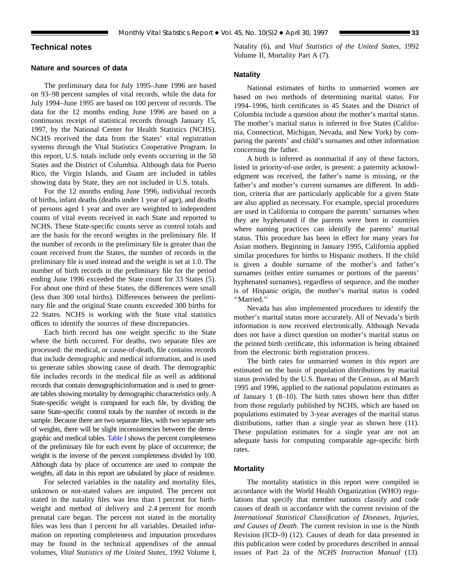# <span id="page-32-0"></span>**Technical notes**

# **Nature and sources of data**

The preliminary data for July 1995–June 1996 are based on 93–98 percent samples of vital records, while the data for July 1994–June 1995 are based on 100 percent of records. The data for the 12 months ending June 1996 are based on a continuous receipt of statistical records through January 15, 1997, by the National Center for Health Statistics (NCHS). NCHS received the data from the States' vital registration systems through the Vital Statistics Cooperative Program. In this report, U.S. totals include only events occurring in the 50 States and the District of Columbia. Although data for Puerto Rico, the Virgin Islands, and Guam are included in tables showing data by State, they are not included in U.S. totals.

For the 12 months ending June 1996, individual records of births, infant deaths (deaths under 1 year of age), and deaths of persons aged 1 year and over are weighted to independent counts of vital events received in each State and reported to NCHS. These State-specific counts serve as control totals and are the basis for the record weights in the preliminary file. If the number of records in the preliminary file is greater than the count received from the States, the number of records in the preliminary file is used instead and the weight is set at 1.0. The number of birth records in the preliminary file for the period ending June 1996 exceeded the State count for 33 States (5). For about one third of these States, the differences were small (less than 300 total births). Differences between the preliminary file and the original State counts exceeded 300 births for 22 States. NCHS is working with the State vital statistics offices to identify the sources of these discrepancies.

Each birth record has one weight specific to the State where the birth occurred. For deaths, two separate files are processed: the medical, or cause-of-death, file contains records that include demographic and medical information, and is used to generate tables showing cause of death. The demographic file includes records in the medical file as well as additional records that contain demographicinformation and is used to generate tables showing mortality by demographic characteristics only. A State-specific weight is computed for each file, by dividing the same State-specific control totals by the number of records in the sample. Because there are two separate files, with two separate sets of weights, there will be slight inconsistencies between the demographic and medical tables. [Table I](#page-33-0) shows the percent completeness of the preliminary file for each event by place of occurrence; the weight is the inverse of the percent completeness divided by 100. Although data by place of occurrence are used to compute the weights, all data in this report are tabulated by place of residence.

For selected variables in the natality and mortality files, unknown or not-stated values are imputed. The percent not stated in the natality files was less than 1 percent for birthweight and method of delivery and 2.4 percent for month prenatal care began. The percent not stated in the mortality files was less than 1 percent for all variables. Detailed information on reporting completeness and imputation procedures may be found in the technical appendixes of the annual volumes, *Vital Statistics of the United States*, 1992 Volume I, Natality (6), and *Vital Statistics of the United States*, 1992 Volume II, Mortality Part A (7).

#### **Natality**

National estimates of births to unmarried women are based on two methods of determining marital status. For 1994–1996, birth certificates in 45 States and the District of Columbia include a question about the mother's marital status. The mother's marital status is inferred in five States (California, Connecticut, Michigan, Nevada, and New York) by comparing the parents' and child's surnames and other information concerning the father.

A birth is inferred as nonmarital if any of these factors, listed in priority-of-use order, is present: a paternity acknowledgment was received, the father's name is missing, or the father's and mother's current surnames are different. In addition, criteria that are particularly applicable for a given State are also applied as necessary. For example, special procedures are used in California to compare the parents' surnames when they are hyphenated if the parents were born in countries where naming practices can identify the parents' marital status. This procedure has been in effect for many years for Asian mothers. Beginning in January 1995, California applied similar procedures for births to Hispanic mothers. If the child is given a double surname of the mother's and father's surnames (either entire surnames or portions of the parents' hyphenated surnames), regardless of sequence, and the mother is of Hispanic origin, the mother's marital status is coded ''Married.''

Nevada has also implemented procedures to identify the mother's marital status more accurately. All of Nevada's birth information is now received electronically. Although Nevada does not have a direct question on mother's marital status on the printed birth certificate, this information is being obtained from the electronic birth registration process.

The birth rates for unmarried women in this report are estimated on the basis of population distributions by marital status provided by the U.S. Bureau of the Census, as of March 1995 and 1996, applied to the national population estimates as of January 1 (8–10). The birth rates shown here thus differ from those regularly published by NCHS, which are based on populations estimated by 3-year averages of the marital status distributions, rather than a single year as shown here  $(11)$ . These population estimates for a single year are not an adequate basis for computing comparable age-specific birth rates.

# **Mortality**

The mortality statistics in this report were compiled in accordance with the World Health Organization (WHO) regulations that specify that member nations classify and code causes of death in accordance with the current revision of the *International Statistical Classification of Diseases, Injuries, and Causes of Death*. The current revision in use is the Ninth Revision (ICD–9) (12). Causes of death for data presented in this publication were coded by procedures described in annual issues of Part 2a of the *NCHS Instruction Manual* (13).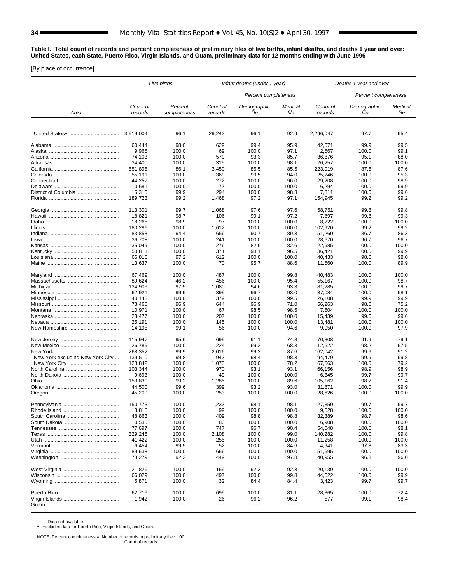<span id="page-33-0"></span>**Table I. Total count of records and percent completeness of preliminary files of live births, infant deaths, and deaths 1 year and over: United States, each State, Puerto Rico, Virgin Islands, and Guam, preliminary data for 12 months ending with June 1996**

[By place of occurrence]

|                                  |                      | Live births             | Infant deaths (under 1 year) |                      | Deaths 1 year and over |                      |                      |                      |
|----------------------------------|----------------------|-------------------------|------------------------------|----------------------|------------------------|----------------------|----------------------|----------------------|
|                                  |                      |                         |                              | Percent completeness |                        |                      | Percent completeness |                      |
| Area                             | Count of<br>records  | Percent<br>completeness | Count of<br>records          | Demographic<br>file  | Medical<br>file        | Count of<br>records  | Demographic<br>file  | Medical<br>file      |
|                                  |                      |                         |                              |                      |                        |                      |                      |                      |
|                                  | 3,919,004            | 96.1                    | 29,242                       | 96.1                 | 92.9                   | 2,296,047            | 97.7                 | 95.4                 |
|                                  | 60,444               | 98.0                    | 629                          | 99.4                 | 95.9                   | 42,071               | 99.9                 | 99.5                 |
|                                  | 9,965                | 100.0                   | 69                           | 100.0                | 97.1                   | 2,567                | 100.0                | 99.1                 |
|                                  | 74.103               | 100.0                   | 579                          | 93.3                 | 85.7                   | 36,876               | 95.1                 | 88.0                 |
|                                  | 34,400               | 100.0                   | 315                          | 100.0                | 98.1                   | 26,257               | 100.0                | 100.0                |
|                                  | 551,895              | 86.1                    | 3,450                        | 85.5                 | 85.5                   | 223,019              | 87.6                 | 87.6                 |
|                                  | 55,191               | 100.0                   | 369                          | 99.5                 | 94.0                   | 25,246               | 100.0                | 95.3                 |
|                                  | 44,257               | 100.0                   | 272                          | 100.0                | 96.0                   | 29,208               | 100.0                | 98.9                 |
|                                  | 10,681               | 100.0                   | 77                           | 100.0                | 100.0                  | 6,294                | 100.0                | 99.9                 |
|                                  | 15,315               | 99.9                    | 294                          | 100.0                | 98.3                   | 7,811                | 100.0                | 99.6                 |
|                                  | 189,723              | 99.2                    | 1,468                        | 97.2                 | 97.1                   | 154,945              | 99.2                 | 99.2                 |
|                                  | 113,301              | 99.7                    | 1,068                        | 97.6                 | 97.6                   | 58,751               | 99.8                 | 99.8                 |
|                                  | 18,821               | 98.7                    | 106                          | 99.1                 | 97.2                   | 7,897                | 99.8                 | 99.3                 |
|                                  | 18,265               | 98.9                    | 97                           | 100.0                | 100.0                  | 8,222                | 100.0                | 100.0                |
|                                  | 180,286              | 100.0                   | 1,612                        | 100.0                | 100.0                  | 102,920              | 99.2                 | 99.2                 |
|                                  | 83,858               | 94.4                    | 656                          | 90.7                 | 89.3                   | 51,260               | 86.7                 | 86.3                 |
|                                  | 36,708               | 100.0                   | 241                          | 100.0                | 100.0                  | 28,670               | 96.7                 | 96.7                 |
|                                  | 35,049               | 100.0                   | 276                          | 82.6                 | 82.6                   | 22,985               | 100.0                | 100.0                |
|                                  | 50,811               | 100.0                   | 371                          | 98.1                 | 96.5                   | 36,421               | 100.0                | 99.9                 |
|                                  | 66,818               | 97.2                    | 612                          | 100.0                | 100.0                  | 40,433               | 98.0                 | 98.0                 |
|                                  | 13,637               | 100.0                   | 70                           | 95.7                 | 88.6                   | 11,560               | 100.0                | 89.9                 |
|                                  | 67.469               | 100.0                   | 487                          | 100.0                | 99.8                   | 40,483               | 100.0                | 100.0                |
|                                  | 89,624               | 46.2                    | 456                          | 100.0                | 95.4                   | 55,167               | 100.0                | 98.7                 |
|                                  | 134,909              | 97.5                    | 1,080                        | 94.6                 | 93.3                   | 81,285               | 100.0                | 99.7                 |
|                                  | 62,921               | 99.9                    | 399                          | 96.7                 | 93.0                   | 37,084               | 100.0                | 98.1                 |
|                                  | 40,143               | 100.0                   | 379                          | 100.0                | 99.5                   | 26,108               | 99.9                 | 99.9                 |
|                                  | 78,468               | 96.9                    | 644                          | 96.9                 | 71.0                   | 56,263               | 98.0                 | 75.2                 |
|                                  | 10,971               | 100.0                   | 67                           | 98.5                 | 98.5                   | 7,604                | 100.0                | 100.0                |
|                                  | 23,477               | 100.0                   | 207                          | 100.0                | 100.0                  | 15,439               | 99.6                 | 99.6                 |
|                                  | 25,191               | 100.0                   | 145                          | 100.0                | 100.0                  | 13,481               | 100.0                | 100.0                |
|                                  | 14,198               | 99.1                    | 56                           | 100.0                | 94.6                   | 9,050                | 100.0                | 97.9                 |
|                                  | 115,947              | 95.6                    | 699                          | 91.1                 | 74.8                   | 70,308               | 91.9                 | 79.1                 |
|                                  | 26,789               | 100.0                   | 224                          | 69.2                 | 68.3                   | 12,622               | 98.2                 | 97.5                 |
|                                  | 268,352              | 99.9                    | 2,016                        | 99.3                 | 87.6                   | 162,042              | 99.9                 | 91.2                 |
| New York excluding New York City | 139,510              | 99.8                    | 943                          | 98.4                 | 98.3                   | 94,479               | 99.9                 | 99.8                 |
|                                  | 128.842              | 100.0                   | 1,073                        | 100.0                | 78.2                   | 67,563               | 100.0                | 79.2                 |
|                                  | 103,344              | 100.0                   | 970                          | 93.1                 | 93.1                   | 66,156               | 98.9                 | 98.9                 |
|                                  | 9,693                | 100.0                   | 49                           | 100.0                | 100.0                  | 6,345                | 99.7                 | 99.7                 |
|                                  | 153.830              | 99.2                    | 1,285                        | 100.0                | 89.6                   | 105,162              | 98.7                 | 91.4                 |
|                                  | 44,500               | 99.6                    | 399                          | 93.2                 | 93.0                   | 31,871               | 100.0                | 99.9                 |
|                                  | 45,200               | 100.0                   | 253                          | 100.0                | 100.0                  | 28,626               | 100.0                | 100.0                |
|                                  | 150,773              | 100.0                   | 1.233                        | 98.1                 | 98.1                   | 127,350              | 99.7                 | 99.7                 |
|                                  | 13,818               | 100.0                   | 99                           | 100.0                | 100.0                  | 9,528                | 100.0                | 100.0                |
|                                  | 48,863               | 100.0                   | 409                          | 98.8                 | 98.8                   | 32,389               | 98.7                 | 98.6                 |
|                                  | 10,535               | 100.0                   | 80                           | 100.0                | 100.0                  | 6,908                | 100.0                | 100.0                |
|                                  | 77,697               | 100.0                   | 747                          | 96.7                 | 90.4                   | 54,048               | 100.0                | 98.1                 |
|                                  | 329,245              | 100.0                   | 2,108                        | 100.0                | 99.0                   | 140,282              | 100.0                | 99.8                 |
|                                  | 41,422               | 100.0                   | 255                          | 100.0                | 100.0                  | 11,258               | 100.0                | 100.0                |
|                                  | 6,454                | 99.5                    | 52                           | 100.0                | 84.6                   | 4,941                | 97.8                 | 83.3                 |
|                                  | 89,638               | 100.0                   | 666                          | 100.0                | 100.0                  | 51,695               | 100.0                | 100.0                |
|                                  | 78,279               | 92.2                    | 449                          | 100.0                | 97.8                   | 40,955               | 96.3                 | 96.0                 |
|                                  | 21,826               | 100.0                   | 169                          | 92.3                 | 92.3                   | 20,139               | 100.0                | 100.0                |
|                                  | 66,029               | 100.0                   | 497                          | 100.0                | 99.8                   | 44,622               | 100.0                | 99.9                 |
|                                  | 5,871                | 100.0                   | 32                           | 84.4                 | 84.4                   | 3,423                | 99.7                 | 99.7                 |
|                                  | 62,719               | 100.0                   | 699                          | 100.0                | 81.1                   | 28,365               | 100.0                | 72.4                 |
|                                  | 1,942                | 100.0                   | 26                           | 96.2                 | 96.2                   | 577                  | 99.1                 | 98.4                 |
|                                  | $\sim$ $\sim$ $\sim$ | $\sim$ $\sim$ $\sim$    | $\sim$ $\sim$ $\sim$         | $\sim$ $\sim$ $\sim$ | $\sim$ $\sim$ $\sim$   | $\sim$ $\sim$ $\sim$ | $\sim$ $\sim$ $\sim$ | $\sim$ $\sim$ $\sim$ |
|                                  |                      |                         |                              |                      |                        |                      |                      |                      |

- - - Data not available.<br>1 Excludes data for Puerto Rico, Virgin Islands, and Guam.

 NOTE: Percent completeness = Number of records in preliminary file \* 100 Count of records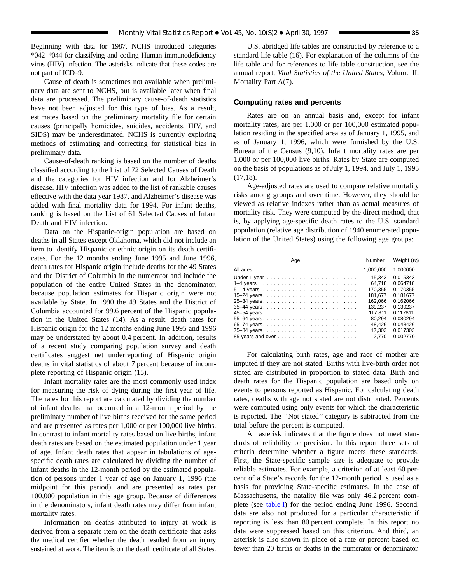Beginning with data for 1987, NCHS introduced categories \*042–\*044 for classifying and coding Human immunodeficiency virus (HIV) infection. The asterisks indicate that these codes are not part of ICD–9.

Cause of death is sometimes not available when preliminary data are sent to NCHS, but is available later when final data are processed. The preliminary cause-of-death statistics have not been adjusted for this type of bias. As a result, estimates based on the preliminary mortality file for certain causes (principally homicides, suicides, accidents, HIV, and SIDS) may be underestimated. NCHS is currently exploring methods of estimating and correcting for statistical bias in preliminary data.

Cause-of-death ranking is based on the number of deaths classified according to the List of 72 Selected Causes of Death and the categories for HIV infection and for Alzheimer's disease. HIV infection was added to the list of rankable causes effective with the data year 1987, and Alzheimer's disease was added with final mortality data for 1994. For infant deaths, ranking is based on the List of 61 Selected Causes of Infant Death and HIV infection.

Data on the Hispanic-origin population are based on deaths in all States except Oklahoma, which did not include an item to identify Hispanic or ethnic origin on its death certificates. For the 12 months ending June 1995 and June 1996, death rates for Hispanic origin include deaths for the 49 States and the District of Columbia in the numerator and include the population of the entire United States in the denominator, because population estimates for Hispanic origin were not available by State. In 1990 the 49 States and the District of Columbia accounted for 99.6 percent of the Hispanic population in the United States (14). As a result, death rates for Hispanic origin for the 12 months ending June 1995 and 1996 may be understated by about 0.4 percent. In addition, results of a recent study comparing population survey and death certificates suggest net underreporting of Hispanic origin deaths in vital statistics of about 7 percent because of incomplete reporting of Hispanic origin (15).

Infant mortality rates are the most commonly used index for measuring the risk of dying during the first year of life. The rates for this report are calculated by dividing the number of infant deaths that occurred in a 12-month period by the preliminary number of live births received for the same period and are presented as rates per 1,000 or per 100,000 live births. In contrast to infant mortality rates based on live births, infant death rates are based on the estimated population under 1 year of age. Infant death rates that appear in tabulations of agespecific death rates are calculated by dividing the number of infant deaths in the 12-month period by the estimated population of persons under 1 year of age on January 1, 1996 (the midpoint for this period), and are presented as rates per 100,000 population in this age group. Because of differences in the denominators, infant death rates may differ from infant mortality rates.

Information on deaths attributed to injury at work is derived from a separate item on the death certificate that asks the medical certifier whether the death resulted from an injury sustained at work. The item is on the death certificate of all States.

U.S. abridged life tables are constructed by reference to a standard life table (16). For explanation of the columns of the life table and for references to life table construction, see the annual report, *Vital Statistics of the United States*, Volume II, Mortality Part A(7).

#### **Computing rates and percents**

Rates are on an annual basis and, except for infant mortality rates, are per 1,000 or per 100,000 estimated population residing in the specified area as of January 1, 1995, and as of January 1, 1996, which were furnished by the U.S. Bureau of the Census (9,10). Infant mortality rates are per 1,000 or per 100,000 live births. Rates by State are computed on the basis of populations as of July 1, 1994, and July 1, 1995 (17,18).

Age-adjusted rates are used to compare relative mortality risks among groups and over time. However, they should be viewed as relative indexes rather than as actual measures of mortality risk. They were computed by the direct method, that is, by applying age-specific death rates to the U.S. standard population (relative age distribution of 1940 enumerated population of the United States) using the following age groups:

| Age         | Number             | Weight $(w_i)$       |
|-------------|--------------------|----------------------|
|             | 1,000,000          | 1.000000             |
|             | 15.343             | 0.015343             |
|             | 64.718             | 0.064718             |
|             | 170.355            | 0.170355             |
|             | 181.677            | 0.181677             |
| 25-34 years | 162.066            | 0.162066<br>0.139237 |
|             | 139.237<br>117.811 | 0.117811             |
|             | 80.294             | 0.080294             |
| 65-74 years | 48.426             | 0.048426             |
| 75-84 years | 17.303             | 0.017303             |
|             | 2.770              | 0.002770             |

For calculating birth rates, age and race of mother are imputed if they are not stated. Births with live-birth order not stated are distributed in proportion to stated data. Birth and death rates for the Hispanic population are based only on events to persons reported as Hispanic. For calculating death rates, deaths with age not stated are not distributed. Percents were computed using only events for which the characteristic is reported. The ''Not stated'' category is subtracted from the total before the percent is computed.

An asterisk indicates that the figure does not meet standards of reliability or precision. In this report three sets of criteria determine whether a figure meets these standards: First, the State-specific sample size is adequate to provide reliable estimates. For example, a criterion of at least 60 percent of a State's records for the 12-month period is used as a basis for providing State-specific estimates. In the case of Massachusetts, the natality file was only 46.2 percent complete (see [table I\)](#page-33-0) for the period ending June 1996. Second, data are also not produced for a particular characteristic if reporting is less than 80 percent complete. In this report no data were suppressed based on this criterion. And third, an asterisk is also shown in place of a rate or percent based on fewer than 20 births or deaths in the numerator or denominator.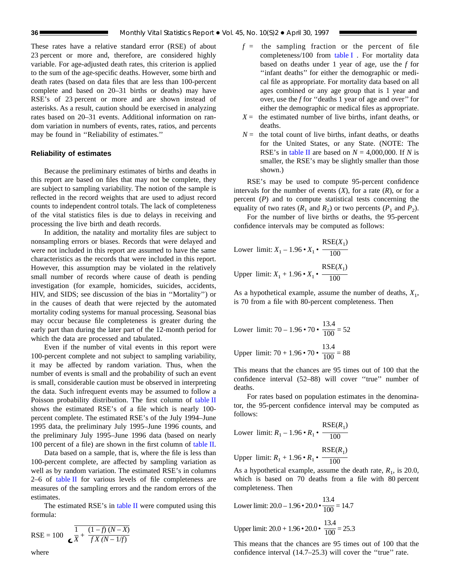These rates have a relative standard error (RSE) of about 23 percent or more and, therefore, are considered highly variable. For age-adjusted death rates, this criterion is applied to the sum of the age-specific deaths. However, some birth and death rates (based on data files that are less than 100-percent complete and based on 20–31 births or deaths) may have RSE's of 23 percent or more and are shown instead of asterisks. As a result, caution should be exercised in analyzing rates based on 20–31 events. Additional information on random variation in numbers of events, rates, ratios, and percents may be found in ''Reliability of estimates.''

# **Reliability of estimates**

Because the preliminary estimates of births and deaths in this report are based on files that may not be complete, they are subject to sampling variability. The notion of the sample is reflected in the record weights that are used to adjust record counts to independent control totals. The lack of completeness of the vital statistics files is due to delays in receiving and processing the live birth and death records.

In addition, the natality and mortality files are subject to nonsampling errors or biases. Records that were delayed and were not included in this report are assumed to have the same characteristics as the records that were included in this report. However, this assumption may be violated in the relatively small number of records where cause of death is pending investigation (for example, homicides, suicides, accidents, HIV, and SIDS; see discussion of the bias in ''Mortality'') or in the causes of death that were rejected by the automated mortality coding systems for manual processing. Seasonal bias may occur because file completeness is greater during the early part than during the later part of the 12-month period for which the data are processed and tabulated.

Even if the number of vital events in this report were 100-percent complete and not subject to sampling variability, it may be affected by random variation. Thus, when the number of events is small and the probability of such an event is small, considerable caution must be observed in interpreting the data. Such infrequent events may be assumed to follow a Poisson probability distribution. The first column of [table II](#page-36-0) shows the estimated RSE's of a file which is nearly 100 percent complete. The estimated RSE's of the July 1994–June 1995 data, the preliminary July 1995–June 1996 counts, and the preliminary July 1995–June 1996 data (based on nearly 100 percent of a file) are shown in the first column of [table II.](#page-36-0)

Data based on a sample, that is, where the file is less than 100-percent complete, are affected by sampling variation as well as by random variation. The estimated RSE's in columns  $2-6$  of [table II](#page-36-0) for various levels of file completeness are measures of the sampling errors and the random errors of the estimates.

The estimated RSE's in [table II](#page-36-0) were computed using this formula:

RSE = 100 
$$
\frac{1}{\mathbf{X} + \frac{(1 - f)(N - X)}{f X (N - 1/f)}}
$$

$$
f
$$
 = the sampling fraction or the percent of file completeness/100 from table I. For mortality data based on deaths under 1 year of age, use the *f* for "infant deaths" for either the demographic or medical file as appropriate. For mortality data based on all ages combined or any age group that is 1 year and over, use the *f* for "deaths 1 year of age and over" for either the demographic or medical files as appropriate.

- $X =$  the estimated number of live births, infant deaths, or deaths.
- $N =$  the total count of live births, infant deaths, or deaths for the United States, or any State. (NOTE: The RSE's in [table II](#page-36-0) are based on  $N = 4,000,000$ . If *N* is smaller, the RSE's may be slightly smaller than those shown.)

RSE's may be used to compute 95-percent confidence intervals for the number of events  $(X)$ , for a rate  $(R)$ , or for a percent (*P*) and to compute statistical tests concerning the equality of two rates  $(R_1 \text{ and } R_2)$  or two percents  $(P_1 \text{ and } P_2)$ .

For the number of live births or deaths, the 95-percent confidence intervals may be computed as follows:

Lower limit: 
$$
X_1 - 1.96 \cdot X_1 \cdot \frac{\text{RSE}(X_1)}{100}
$$
  
Upper limit:  $X_1 + 1.96 \cdot X_1 \cdot \frac{\text{RSE}(X_1)}{100}$ 

As a hypothetical example, assume the number of deaths,  $X_1$ , is 70 from a file with 80-percent completeness. Then

Lower limit: 
$$
70 - 1.96 \cdot 70 \cdot \frac{13.4}{100} = 52
$$
  
Upper limit:  $70 + 1.96 \cdot 70 \cdot \frac{13.4}{100} = 88$ 

This means that the chances are 95 times out of 100 that the confidence interval (52–88) will cover ''true'' number of deaths.

For rates based on population estimates in the denominator, the 95-percent confidence interval may be computed as follows:

Lower limit: 
$$
R_1 - 1.96 \cdot R_1 \cdot \frac{\text{RSE}(R_1)}{100}
$$

Upper limit: 
$$
R_1 + 1.96 \cdot R_1 \cdot \frac{\text{RSE}(R_1)}{100}
$$

As a hypothetical example, assume the death rate,  $R_1$ , is 20.0, which is based on 70 deaths from a file with 80 percent completeness. Then

13.4

Lower limit: 
$$
20.0 - 1.96 \cdot 20.0 \cdot \frac{13.4}{100} = 14.7
$$
  
Upper limit:  $20.0 + 1.96 \cdot 20.0 \cdot \frac{13.4}{100} = 25.3$ 

This means that the chances are 95 times out of 100 that the confidence interval (14.7–25.3) will cover the ''true'' rate.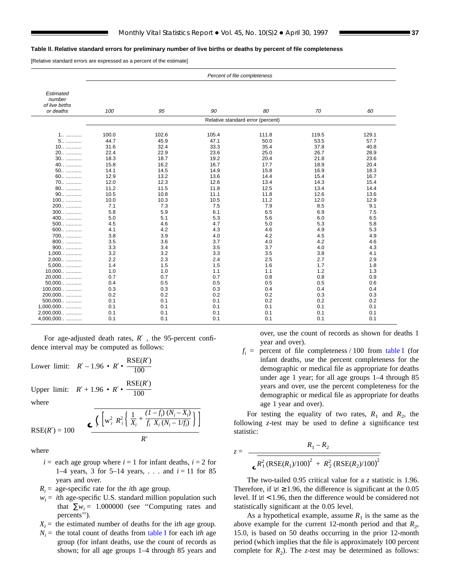#### <span id="page-36-0"></span>**Table ll. Relative standard errors for preliminary number of live births or deaths by percent of file completeness**

[Relative standard errors are expressed as a percent of the estimate]

|                                       | Percent of file completeness |       |       |                                   |       |       |
|---------------------------------------|------------------------------|-------|-------|-----------------------------------|-------|-------|
|                                       |                              |       |       |                                   |       |       |
| Estimated<br>number<br>of live births |                              |       |       |                                   |       |       |
| or deaths                             | 100                          | 95    | 90    | 80                                | 70    | 60    |
|                                       |                              |       |       | Relative standard error (percent) |       |       |
|                                       |                              |       |       |                                   |       |       |
| 1                                     | 100.0                        | 102.6 | 105.4 | 111.8                             | 119.5 | 129.1 |
| 5                                     | 44.7                         | 45.9  | 47.1  | 50.0                              | 53.5  | 57.7  |
| 10                                    | 31.6                         | 32.4  | 33.3  | 35.4                              | 37.8  | 40.8  |
| 20                                    | 22.4                         | 22.9  | 23.6  | 25.0                              | 26.7  | 28.9  |
| 30                                    | 18.3                         | 18.7  | 19.2  | 20.4                              | 21.8  | 23.6  |
| 40                                    | 15.8                         | 16.2  | 16.7  | 17.7                              | 18.9  | 20.4  |
| 50                                    | 14.1                         | 14.5  | 14.9  | 15.8                              | 16.9  | 18.3  |
| 60                                    | 12.9                         | 13.2  | 13.6  | 14.4                              | 15.4  | 16.7  |
| 70                                    | 12.0                         | 12.3  | 12.6  | 13.4                              | 14.3  | 15.4  |
| 80                                    | 11.2                         | 11.5  | 11.8  | 12.5                              | 13.4  | 14.4  |
| 90                                    | 10.5                         | 10.8  | 11.1  | 11.8                              | 12.6  | 13.6  |
| 100                                   | 10.0                         | 10.3  | 10.5  | 11.2                              | 12.0  | 12.9  |
| 200                                   | 7.1                          | 7.3   | 7.5   | 7.9                               | 8.5   | 9.1   |
| $300$                                 | 5.8                          | 5.9   | 6.1   | 6.5                               | 6.9   | 7.5   |
| 400                                   | 5.0                          | 5.1   | 5.3   | 5.6                               | 6.0   | 6.5   |
| 500                                   | 4.5                          | 4.6   | 4.7   | 5.0                               | 5.3   | 5.8   |
| 600                                   | 4.1                          | 4.2   | 4.3   | 4.6                               | 4.9   | 5.3   |
| 700                                   | 3.8                          | 3.9   | 4.0   | 4.2                               | 4.5   | 4.9   |
| 800                                   | 3.5                          | 3.6   | 3.7   | 4.0                               | 4.2   | 4.6   |
| 900                                   | 3.3                          | 3.4   | 3.5   | 3.7                               | 4.0   | 4.3   |
| $1,000$                               | 3.2                          | 3.2   | 3.3   | 3.5                               | 3.8   | 4.1   |
| 2,000                                 | 2.2                          | 2.3   | 2.4   | 2.5                               | 2.7   | 2.9   |
| 5,000                                 | 1.4                          | 1.5   | 1.5   | 1.6                               | 1.7   | 1.8   |
| 10,000                                | 1.0                          | 1.0   | 1.1   | 1.1                               | 1.2   | 1.3   |
| 20,000                                | 0.7                          | 0.7   | 0.7   | 0.8                               | 0.8   | 0.9   |
| 50,000                                | 0.4                          | 0.5   | 0.5   | 0.5                               | 0.5   | 0.6   |
| $100,000$                             | 0.3                          | 0.3   | 0.3   | 0.4                               | 0.4   | 0.4   |
| 200,000                               | 0.2                          | 0.2   | 0.2   | 0.2                               | 0.3   | 0.3   |
| 500,000                               | 0.1                          | 0.1   | 0.1   | 0.2                               | 0.2   | 0.2   |
| $1,000,000$                           | 0.1                          | 0.1   | 0.1   | 0.1                               | 0.1   | 0.1   |
| 2,000,000                             | 0.1                          | 0.1   | 0.1   | 0.1                               | 0.1   | 0.1   |
| 4,000,000                             | 0.1                          | 0.1   | 0.1   | 0.1                               | 0.1   | 0.1   |

For age-adjusted death rates, *R*′ , the 95-percent confidence interval may be computed as follows:

Lower limit: 
$$
R' - 1.96 \cdot R' \cdot \frac{\text{RSE}(R')}{100}
$$
  
\nUpper limit:  $R' + 1.96 \cdot R' \cdot \frac{\text{RSE}(R')}{100}$   
\nwhere  
\n
$$
\int_{R'} \sqrt{R_i^2 R_i^2 \left\{ \frac{1}{X_i} + \frac{(1 - f_i)(N_i - X_i)}{f_i X_i (N_i - 1/f_i)} \right\} dV}
$$

 $RSE(R') = 100$ 

where

 $i =$  each age group where  $i = 1$  for infant deaths,  $i = 2$  for 1–4 years, 3 for 5–14 years, . . . and  $i = 11$  for 85 years and over.

*R'*

 $f_i$   $X_i$   $(N_i - 1/f_i)$   $\Big]$ 

- $R_i$  = age-specific rate for the *i*th age group.
- $w_i$  = *i*th age-specific U.S. standard million population such that  $\sum w_i = 1.000000$  (see "Computing rates and percents'').
- $X_i$  = the estimated number of deaths for the *ith* age group.
- $N_i$  = the total count of deaths from [table I](#page-33-0) for each ith age group (for infant deaths, use the count of records as shown; for all age groups 1–4 through 85 years and

over, use the count of records as shown for deaths 1 year and over).

 $f_i$  = percent of file completeness / 100 from [table I](#page-33-0) (for infant deaths, use the percent completeness for the demographic or medical file as appropriate for deaths under age 1 year; for all age groups 1–4 through 85 years and over, use the percent completeness for the demographic or medical file as appropriate for deaths age 1 year and over).

For testing the equality of two rates,  $R_1$  and  $R_2$ , the following *z*-test may be used to define a significance test statistic:

$$
z = \frac{R_1 - R_2}{\epsilon R_1^2 (RSE(R_1)/100)^2 + R_2^2 (RSE(R_2)/100)^2}
$$

The two-tailed 0.95 critical value for a *z* statistic is 1.96. Therefore, if  $|z| \ge 1.96$ , the difference is significant at the 0.05 level. If  $|z|$  < 1.96, then the difference would be considered not statistically significant at the 0.05 level.

As a hypothetical example, assume  $R_1$  is the same as the above example for the current 12-month period and that  $R_2$ , 15.0, is based on 50 deaths occurring in the prior 12-month period (which implies that the file is approximately 100 percent complete for  $R_2$ ). The *z*-test may be determined as follows: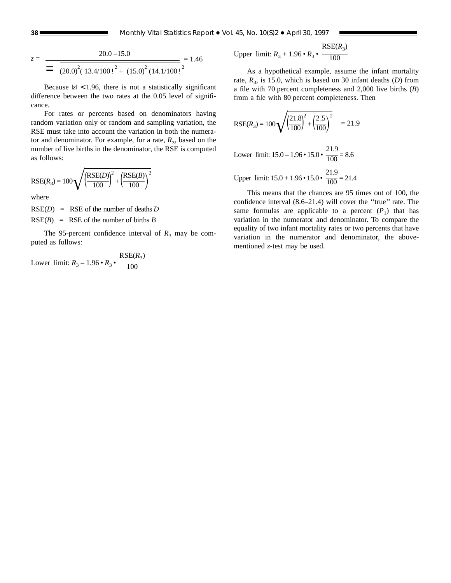**38 Monthly Vital Statistics Report • Vol. 45, No. 10(S)2 • April 30, 1997** 

$$
z = \frac{20.0 - 15.0}{\left(20.0\right)^2 \left(13.4/100\right)^2 + \left(15.0\right)^2 \left(14.1/100\right)^2} = 1.46
$$

Because  $|z|$  < 1.96, there is not a statistically significant difference between the two rates at the 0.05 level of significance.

For rates or percents based on denominators having random variation only or random and sampling variation, the RSE must take into account the variation in both the numerator and denominator. For example, for a rate,  $R_3$ , based on the number of live births in the denominator, the RSE is computed as follows:

$$
RSE(R_3) = 100 \sqrt{\left(\frac{RSE(D)}{100}\right)^2 + \left(\frac{RSE(B)}{100}\right)^2}
$$

where

 $RSE(D) = RSE$  of the number of deaths *D*  $RSE(B) = RSE$  of the number of births *B* 

The 95-percent confidence interval of  $R_3$  may be computed as follows:

Lower limit: 
$$
R_3 - 1.96 \cdot R_3 \cdot \frac{\text{RSE}(R_3)}{100}
$$

Upper limit: 
$$
R_3 + 1.96 \cdot R_3 \cdot \frac{\text{RSE}(R_3)}{100}
$$

As a hypothetical example, assume the infant mortality rate,  $R_3$ , is 15.0, which is based on 30 infant deaths (*D*) from a file with 70 percent completeness and 2,000 live births (*B*) from a file with 80 percent completeness. Then

$$
RSE(R_3) = 100 \sqrt{\left(\frac{21.8}{100}\right)^2 + \left(\frac{2.5}{100}\right)^2} = 21.9
$$

Lower limit:  $15.0 - 1.96 \cdot 15.0 \cdot$ 21.9  $\frac{1}{100} = 8.6$ 

Upper limit:  $15.0 + 1.96 \cdot 15.0 \cdot$ 21.9  $\frac{1}{100}$  = 21.4

This means that the chances are 95 times out of 100, the confidence interval (8.6–21.4) will cover the ''true'' rate. The same formulas are applicable to a percent  $(P_1)$  that has variation in the numerator and denominator. To compare the equality of two infant mortality rates or two percents that have variation in the numerator and denominator, the abovementioned *z*-test may be used.